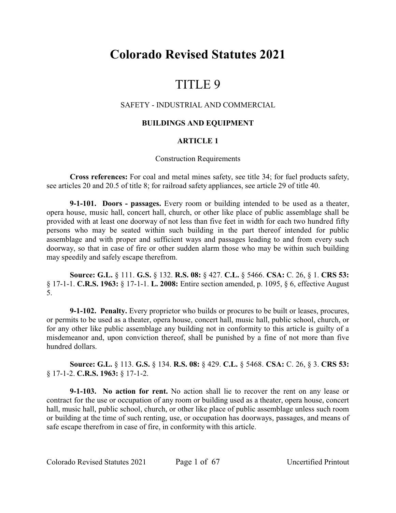# **Colorado Revised Statutes 2021**

# TITLE 9

# SAFETY - INDUSTRIAL AND COMMERCIAL

# **BUILDINGS AND EQUIPMENT**

# **ARTICLE 1**

#### Construction Requirements

**Cross references:** For coal and metal mines safety, see title 34; for fuel products safety, see articles 20 and 20.5 of title 8; for railroad safety appliances, see article 29 of title 40.

**9-1-101. Doors - passages.** Every room or building intended to be used as a theater, opera house, music hall, concert hall, church, or other like place of public assemblage shall be provided with at least one doorway of not less than five feet in width for each two hundred fifty persons who may be seated within such building in the part thereof intended for public assemblage and with proper and sufficient ways and passages leading to and from every such doorway, so that in case of fire or other sudden alarm those who may be within such building may speedily and safely escape therefrom.

**Source: G.L.** § 111. **G.S.** § 132. **R.S. 08:** § 427. **C.L.** § 5466. **CSA:** C. 26, § 1. **CRS 53:** § 17-1-1. **C.R.S. 1963:** § 17-1-1. **L. 2008:** Entire section amended, p. 1095, § 6, effective August 5.

**9-1-102. Penalty.** Every proprietor who builds or procures to be built or leases, procures, or permits to be used as a theater, opera house, concert hall, music hall, public school, church, or for any other like public assemblage any building not in conformity to this article is guilty of a misdemeanor and, upon conviction thereof, shall be punished by a fine of not more than five hundred dollars.

**Source: G.L.** § 113. **G.S.** § 134. **R.S. 08:** § 429. **C.L.** § 5468. **CSA:** C. 26, § 3. **CRS 53:** § 17-1-2. **C.R.S. 1963:** § 17-1-2.

**9-1-103. No action for rent.** No action shall lie to recover the rent on any lease or contract for the use or occupation of any room or building used as a theater, opera house, concert hall, music hall, public school, church, or other like place of public assemblage unless such room or building at the time of such renting, use, or occupation has doorways, passages, and means of safe escape therefrom in case of fire, in conformity with this article.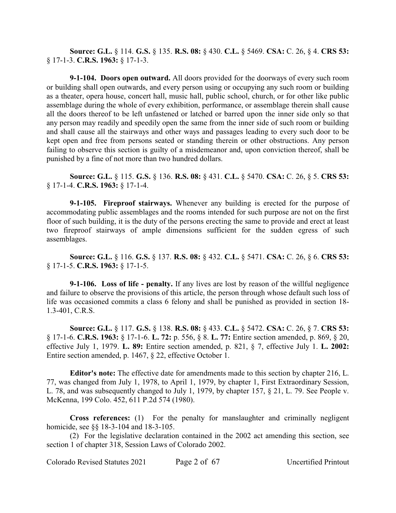**Source: G.L.** § 114. **G.S.** § 135. **R.S. 08:** § 430. **C.L.** § 5469. **CSA:** C. 26, § 4. **CRS 53:** § 17-1-3. **C.R.S. 1963:** § 17-1-3.

**9-1-104. Doors open outward.** All doors provided for the doorways of every such room or building shall open outwards, and every person using or occupying any such room or building as a theater, opera house, concert hall, music hall, public school, church, or for other like public assemblage during the whole of every exhibition, performance, or assemblage therein shall cause all the doors thereof to be left unfastened or latched or barred upon the inner side only so that any person may readily and speedily open the same from the inner side of such room or building and shall cause all the stairways and other ways and passages leading to every such door to be kept open and free from persons seated or standing therein or other obstructions. Any person failing to observe this section is guilty of a misdemeanor and, upon conviction thereof, shall be punished by a fine of not more than two hundred dollars.

**Source: G.L.** § 115. **G.S.** § 136. **R.S. 08:** § 431. **C.L.** § 5470. **CSA:** C. 26, § 5. **CRS 53:** § 17-1-4. **C.R.S. 1963:** § 17-1-4.

**9-1-105. Fireproof stairways.** Whenever any building is erected for the purpose of accommodating public assemblages and the rooms intended for such purpose are not on the first floor of such building, it is the duty of the persons erecting the same to provide and erect at least two fireproof stairways of ample dimensions sufficient for the sudden egress of such assemblages.

**Source: G.L.** § 116. **G.S.** § 137. **R.S. 08:** § 432. **C.L.** § 5471. **CSA:** C. 26, § 6. **CRS 53:** § 17-1-5. **C.R.S. 1963:** § 17-1-5.

**9-1-106. Loss of life - penalty.** If any lives are lost by reason of the willful negligence and failure to observe the provisions of this article, the person through whose default such loss of life was occasioned commits a class 6 felony and shall be punished as provided in section 18- 1.3-401, C.R.S.

**Source: G.L.** § 117. **G.S.** § 138. **R.S. 08:** § 433. **C.L.** § 5472. **CSA:** C. 26, § 7. **CRS 53:** § 17-1-6. **C.R.S. 1963:** § 17-1-6. **L. 72:** p. 556, § 8. **L. 77:** Entire section amended, p. 869, § 20, effective July 1, 1979. **L. 89:** Entire section amended, p. 821, § 7, effective July 1. **L. 2002:** Entire section amended, p. 1467, § 22, effective October 1.

**Editor's note:** The effective date for amendments made to this section by chapter 216, L. 77, was changed from July 1, 1978, to April 1, 1979, by chapter 1, First Extraordinary Session, L. 78, and was subsequently changed to July 1, 1979, by chapter 157, § 21, L. 79. See People v. McKenna, 199 Colo. 452, 611 P.2d 574 (1980).

**Cross references:** (1) For the penalty for manslaughter and criminally negligent homicide, see §§ 18-3-104 and 18-3-105.

(2) For the legislative declaration contained in the 2002 act amending this section, see section 1 of chapter 318, Session Laws of Colorado 2002.

Colorado Revised Statutes 2021 Page 2 of 67 Uncertified Printout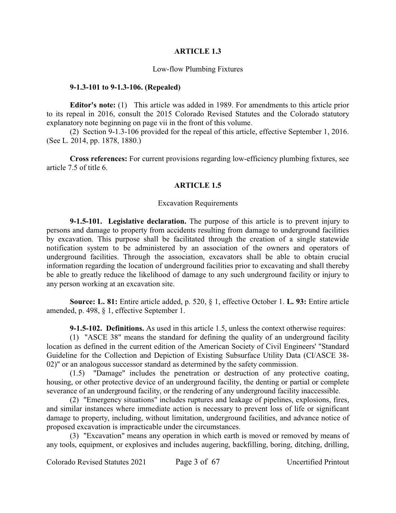#### **ARTICLE 1.3**

#### Low-flow Plumbing Fixtures

#### **9-1.3-101 to 9-1.3-106. (Repealed)**

**Editor's note:** (1) This article was added in 1989. For amendments to this article prior to its repeal in 2016, consult the 2015 Colorado Revised Statutes and the Colorado statutory explanatory note beginning on page vii in the front of this volume.

(2) Section 9-1.3-106 provided for the repeal of this article, effective September 1, 2016. (See L. 2014, pp. 1878, 1880.)

**Cross references:** For current provisions regarding low-efficiency plumbing fixtures, see article 7.5 of title 6.

#### **ARTICLE 1.5**

#### Excavation Requirements

**9-1.5-101. Legislative declaration.** The purpose of this article is to prevent injury to persons and damage to property from accidents resulting from damage to underground facilities by excavation. This purpose shall be facilitated through the creation of a single statewide notification system to be administered by an association of the owners and operators of underground facilities. Through the association, excavators shall be able to obtain crucial information regarding the location of underground facilities prior to excavating and shall thereby be able to greatly reduce the likelihood of damage to any such underground facility or injury to any person working at an excavation site.

**Source: L. 81:** Entire article added, p. 520, § 1, effective October 1. **L. 93:** Entire article amended, p. 498, § 1, effective September 1.

**9-1.5-102. Definitions.** As used in this article 1.5, unless the context otherwise requires:

(1) "ASCE 38" means the standard for defining the quality of an underground facility location as defined in the current edition of the American Society of Civil Engineers' "Standard Guideline for the Collection and Depiction of Existing Subsurface Utility Data (CI/ASCE 38- 02)" or an analogous successor standard as determined by the safety commission.

(1.5) "Damage" includes the penetration or destruction of any protective coating, housing, or other protective device of an underground facility, the denting or partial or complete severance of an underground facility, or the rendering of any underground facility inaccessible.

(2) "Emergency situations" includes ruptures and leakage of pipelines, explosions, fires, and similar instances where immediate action is necessary to prevent loss of life or significant damage to property, including, without limitation, underground facilities, and advance notice of proposed excavation is impracticable under the circumstances.

(3) "Excavation" means any operation in which earth is moved or removed by means of any tools, equipment, or explosives and includes augering, backfilling, boring, ditching, drilling,

Colorado Revised Statutes 2021 Page 3 of 67 Uncertified Printout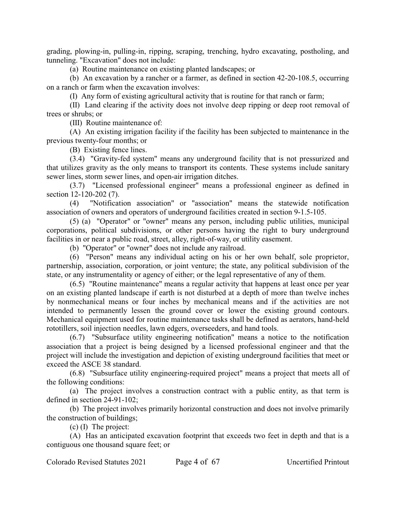grading, plowing-in, pulling-in, ripping, scraping, trenching, hydro excavating, postholing, and tunneling. "Excavation" does not include:

(a) Routine maintenance on existing planted landscapes; or

(b) An excavation by a rancher or a farmer, as defined in section 42-20-108.5, occurring on a ranch or farm when the excavation involves:

(I) Any form of existing agricultural activity that is routine for that ranch or farm;

(II) Land clearing if the activity does not involve deep ripping or deep root removal of trees or shrubs; or

(III) Routine maintenance of:

(A) An existing irrigation facility if the facility has been subjected to maintenance in the previous twenty-four months; or

(B) Existing fence lines.

(3.4) "Gravity-fed system" means any underground facility that is not pressurized and that utilizes gravity as the only means to transport its contents. These systems include sanitary sewer lines, storm sewer lines, and open-air irrigation ditches.

(3.7) "Licensed professional engineer" means a professional engineer as defined in section 12-120-202 (7).

(4) "Notification association" or "association" means the statewide notification association of owners and operators of underground facilities created in section 9-1.5-105.

(5) (a) "Operator" or "owner" means any person, including public utilities, municipal corporations, political subdivisions, or other persons having the right to bury underground facilities in or near a public road, street, alley, right-of-way, or utility easement.

(b) "Operator" or "owner" does not include any railroad.

(6) "Person" means any individual acting on his or her own behalf, sole proprietor, partnership, association, corporation, or joint venture; the state, any political subdivision of the state, or any instrumentality or agency of either; or the legal representative of any of them.

(6.5) "Routine maintenance" means a regular activity that happens at least once per year on an existing planted landscape if earth is not disturbed at a depth of more than twelve inches by nonmechanical means or four inches by mechanical means and if the activities are not intended to permanently lessen the ground cover or lower the existing ground contours. Mechanical equipment used for routine maintenance tasks shall be defined as aerators, hand-held rototillers, soil injection needles, lawn edgers, overseeders, and hand tools.

(6.7) "Subsurface utility engineering notification" means a notice to the notification association that a project is being designed by a licensed professional engineer and that the project will include the investigation and depiction of existing underground facilities that meet or exceed the ASCE 38 standard.

(6.8) "Subsurface utility engineering-required project" means a project that meets all of the following conditions:

(a) The project involves a construction contract with a public entity, as that term is defined in section 24-91-102;

(b) The project involves primarily horizontal construction and does not involve primarily the construction of buildings;

(c) (I) The project:

(A) Has an anticipated excavation footprint that exceeds two feet in depth and that is a contiguous one thousand square feet; or

Colorado Revised Statutes 2021 Page 4 of 67 Uncertified Printout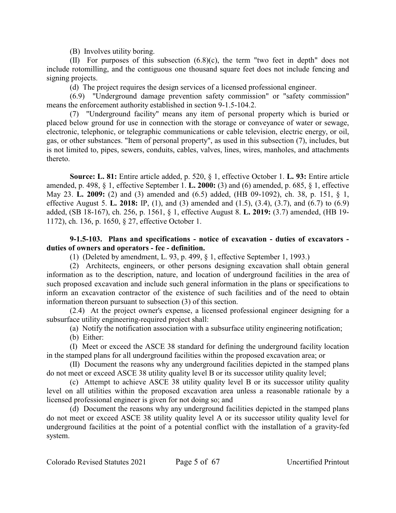(B) Involves utility boring.

(II) For purposes of this subsection (6.8)(c), the term "two feet in depth" does not include rotomilling, and the contiguous one thousand square feet does not include fencing and signing projects.

(d) The project requires the design services of a licensed professional engineer.

(6.9) "Underground damage prevention safety commission" or "safety commission" means the enforcement authority established in section 9-1.5-104.2.

(7) "Underground facility" means any item of personal property which is buried or placed below ground for use in connection with the storage or conveyance of water or sewage, electronic, telephonic, or telegraphic communications or cable television, electric energy, or oil, gas, or other substances. "Item of personal property", as used in this subsection (7), includes, but is not limited to, pipes, sewers, conduits, cables, valves, lines, wires, manholes, and attachments thereto.

**Source: L. 81:** Entire article added, p. 520, § 1, effective October 1. **L. 93:** Entire article amended, p. 498, § 1, effective September 1. **L. 2000:** (3) and (6) amended, p. 685, § 1, effective May 23. **L. 2009:** (2) and (3) amended and (6.5) added, (HB 09-1092), ch. 38, p. 151, § 1, effective August 5. **L. 2018:** IP, (1), and (3) amended and (1.5), (3.4), (3.7), and (6.7) to (6.9) added, (SB 18-167), ch. 256, p. 1561, § 1, effective August 8. **L. 2019:** (3.7) amended, (HB 19- 1172), ch. 136, p. 1650, § 27, effective October 1.

# **9-1.5-103. Plans and specifications - notice of excavation - duties of excavators duties of owners and operators - fee - definition.**

(1) (Deleted by amendment, L. 93, p. 499, § 1, effective September 1, 1993.)

(2) Architects, engineers, or other persons designing excavation shall obtain general information as to the description, nature, and location of underground facilities in the area of such proposed excavation and include such general information in the plans or specifications to inform an excavation contractor of the existence of such facilities and of the need to obtain information thereon pursuant to subsection (3) of this section.

(2.4) At the project owner's expense, a licensed professional engineer designing for a subsurface utility engineering-required project shall:

(a) Notify the notification association with a subsurface utility engineering notification;

(b) Either:

(I) Meet or exceed the ASCE 38 standard for defining the underground facility location in the stamped plans for all underground facilities within the proposed excavation area; or

(II) Document the reasons why any underground facilities depicted in the stamped plans do not meet or exceed ASCE 38 utility quality level B or its successor utility quality level;

(c) Attempt to achieve ASCE 38 utility quality level B or its successor utility quality level on all utilities within the proposed excavation area unless a reasonable rationale by a licensed professional engineer is given for not doing so; and

(d) Document the reasons why any underground facilities depicted in the stamped plans do not meet or exceed ASCE 38 utility quality level A or its successor utility quality level for underground facilities at the point of a potential conflict with the installation of a gravity-fed system.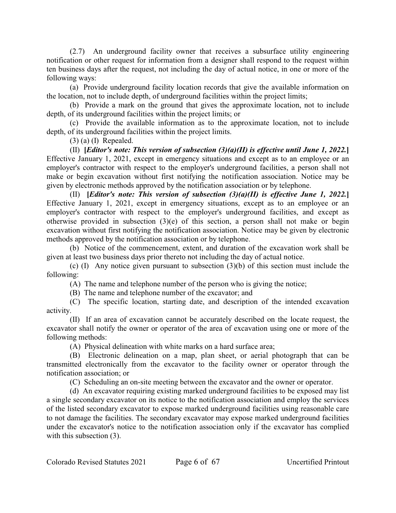(2.7) An underground facility owner that receives a subsurface utility engineering notification or other request for information from a designer shall respond to the request within ten business days after the request, not including the day of actual notice, in one or more of the following ways:

(a) Provide underground facility location records that give the available information on the location, not to include depth, of underground facilities within the project limits;

(b) Provide a mark on the ground that gives the approximate location, not to include depth, of its underground facilities within the project limits; or

(c) Provide the available information as to the approximate location, not to include depth, of its underground facilities within the project limits.

(3) (a) (I) Repealed.

(II) **[***Editor's note: This version of subsection (3)(a)(II) is effective until June 1, 2022.***]** Effective January 1, 2021, except in emergency situations and except as to an employee or an employer's contractor with respect to the employer's underground facilities, a person shall not make or begin excavation without first notifying the notification association. Notice may be given by electronic methods approved by the notification association or by telephone.

(II) **[***Editor's note: This version of subsection (3)(a)(II) is effective June 1, 2022.***]** Effective January 1, 2021, except in emergency situations, except as to an employee or an employer's contractor with respect to the employer's underground facilities, and except as otherwise provided in subsection (3)(e) of this section, a person shall not make or begin excavation without first notifying the notification association. Notice may be given by electronic methods approved by the notification association or by telephone.

(b) Notice of the commencement, extent, and duration of the excavation work shall be given at least two business days prior thereto not including the day of actual notice.

(c) (I) Any notice given pursuant to subsection (3)(b) of this section must include the following:

(A) The name and telephone number of the person who is giving the notice;

(B) The name and telephone number of the excavator; and

(C) The specific location, starting date, and description of the intended excavation activity.

(II) If an area of excavation cannot be accurately described on the locate request, the excavator shall notify the owner or operator of the area of excavation using one or more of the following methods:

(A) Physical delineation with white marks on a hard surface area;

(B) Electronic delineation on a map, plan sheet, or aerial photograph that can be transmitted electronically from the excavator to the facility owner or operator through the notification association; or

(C) Scheduling an on-site meeting between the excavator and the owner or operator.

(d) An excavator requiring existing marked underground facilities to be exposed may list a single secondary excavator on its notice to the notification association and employ the services of the listed secondary excavator to expose marked underground facilities using reasonable care to not damage the facilities. The secondary excavator may expose marked underground facilities under the excavator's notice to the notification association only if the excavator has complied with this subsection  $(3)$ .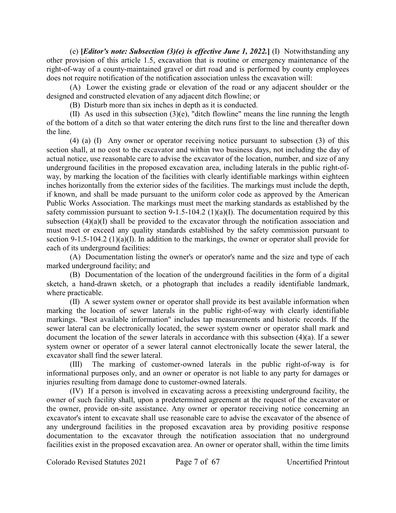(e) **[***Editor's note: Subsection (3)(e) is effective June 1, 2022.***]** (I) Notwithstanding any other provision of this article 1.5, excavation that is routine or emergency maintenance of the right-of-way of a county-maintained gravel or dirt road and is performed by county employees does not require notification of the notification association unless the excavation will:

(A) Lower the existing grade or elevation of the road or any adjacent shoulder or the designed and constructed elevation of any adjacent ditch flowline; or

(B) Disturb more than six inches in depth as it is conducted.

(II) As used in this subsection (3)(e), "ditch flowline" means the line running the length of the bottom of a ditch so that water entering the ditch runs first to the line and thereafter down the line.

(4) (a) (I) Any owner or operator receiving notice pursuant to subsection (3) of this section shall, at no cost to the excavator and within two business days, not including the day of actual notice, use reasonable care to advise the excavator of the location, number, and size of any underground facilities in the proposed excavation area, including laterals in the public right-ofway, by marking the location of the facilities with clearly identifiable markings within eighteen inches horizontally from the exterior sides of the facilities. The markings must include the depth, if known, and shall be made pursuant to the uniform color code as approved by the American Public Works Association. The markings must meet the marking standards as established by the safety commission pursuant to section 9-1.5-104.2 (1)(a)(I). The documentation required by this subsection  $(4)(a)(I)$  shall be provided to the excavator through the notification association and must meet or exceed any quality standards established by the safety commission pursuant to section 9-1.5-104.2 (1)(a)(I). In addition to the markings, the owner or operator shall provide for each of its underground facilities:

(A) Documentation listing the owner's or operator's name and the size and type of each marked underground facility; and

(B) Documentation of the location of the underground facilities in the form of a digital sketch, a hand-drawn sketch, or a photograph that includes a readily identifiable landmark, where practicable.

(II) A sewer system owner or operator shall provide its best available information when marking the location of sewer laterals in the public right-of-way with clearly identifiable markings. "Best available information" includes tap measurements and historic records. If the sewer lateral can be electronically located, the sewer system owner or operator shall mark and document the location of the sewer laterals in accordance with this subsection (4)(a). If a sewer system owner or operator of a sewer lateral cannot electronically locate the sewer lateral, the excavator shall find the sewer lateral.

(III) The marking of customer-owned laterals in the public right-of-way is for informational purposes only, and an owner or operator is not liable to any party for damages or injuries resulting from damage done to customer-owned laterals.

(IV) If a person is involved in excavating across a preexisting underground facility, the owner of such facility shall, upon a predetermined agreement at the request of the excavator or the owner, provide on-site assistance. Any owner or operator receiving notice concerning an excavator's intent to excavate shall use reasonable care to advise the excavator of the absence of any underground facilities in the proposed excavation area by providing positive response documentation to the excavator through the notification association that no underground facilities exist in the proposed excavation area. An owner or operator shall, within the time limits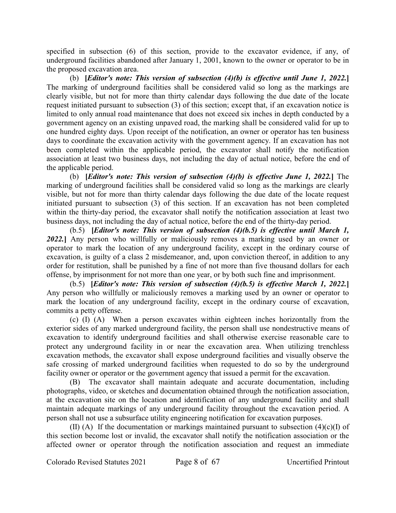specified in subsection (6) of this section, provide to the excavator evidence, if any, of underground facilities abandoned after January 1, 2001, known to the owner or operator to be in the proposed excavation area.

(b) **[***Editor's note: This version of subsection (4)(b) is effective until June 1, 2022.***]** The marking of underground facilities shall be considered valid so long as the markings are clearly visible, but not for more than thirty calendar days following the due date of the locate request initiated pursuant to subsection (3) of this section; except that, if an excavation notice is limited to only annual road maintenance that does not exceed six inches in depth conducted by a government agency on an existing unpaved road, the marking shall be considered valid for up to one hundred eighty days. Upon receipt of the notification, an owner or operator has ten business days to coordinate the excavation activity with the government agency. If an excavation has not been completed within the applicable period, the excavator shall notify the notification association at least two business days, not including the day of actual notice, before the end of the applicable period.

(b) **[***Editor's note: This version of subsection (4)(b) is effective June 1, 2022.***]** The marking of underground facilities shall be considered valid so long as the markings are clearly visible, but not for more than thirty calendar days following the due date of the locate request initiated pursuant to subsection (3) of this section. If an excavation has not been completed within the thirty-day period, the excavator shall notify the notification association at least two business days, not including the day of actual notice, before the end of the thirty-day period.

(b.5) **[***Editor's note: This version of subsection (4)(b.5) is effective until March 1, 2022.***]** Any person who willfully or maliciously removes a marking used by an owner or operator to mark the location of any underground facility, except in the ordinary course of excavation, is guilty of a class 2 misdemeanor, and, upon conviction thereof, in addition to any order for restitution, shall be punished by a fine of not more than five thousand dollars for each offense, by imprisonment for not more than one year, or by both such fine and imprisonment.

(b.5) **[***Editor's note: This version of subsection (4)(b.5) is effective March 1, 2022.***]** Any person who willfully or maliciously removes a marking used by an owner or operator to mark the location of any underground facility, except in the ordinary course of excavation, commits a petty offense.

(c) (I) (A) When a person excavates within eighteen inches horizontally from the exterior sides of any marked underground facility, the person shall use nondestructive means of excavation to identify underground facilities and shall otherwise exercise reasonable care to protect any underground facility in or near the excavation area. When utilizing trenchless excavation methods, the excavator shall expose underground facilities and visually observe the safe crossing of marked underground facilities when requested to do so by the underground facility owner or operator or the government agency that issued a permit for the excavation.

(B) The excavator shall maintain adequate and accurate documentation, including photographs, video, or sketches and documentation obtained through the notification association, at the excavation site on the location and identification of any underground facility and shall maintain adequate markings of any underground facility throughout the excavation period. A person shall not use a subsurface utility engineering notification for excavation purposes.

(II) (A) If the documentation or markings maintained pursuant to subsection  $(4)(c)(I)$  of this section become lost or invalid, the excavator shall notify the notification association or the affected owner or operator through the notification association and request an immediate

Colorado Revised Statutes 2021 Page 8 of 67 Uncertified Printout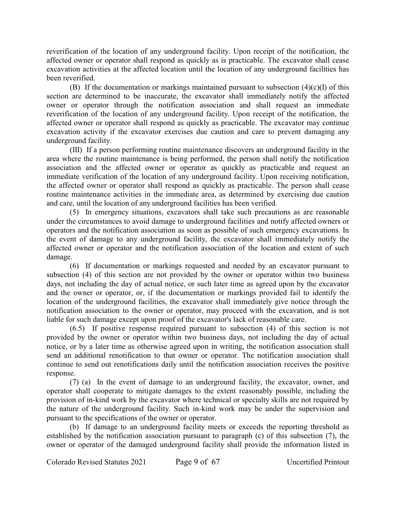reverification of the location of any underground facility. Upon receipt of the notification, the affected owner or operator shall respond as quickly as is practicable. The excavator shall cease excavation activities at the affected location until the location of any underground facilities has been reverified.

(B) If the documentation or markings maintained pursuant to subsection  $(4)(c)(I)$  of this section are determined to be inaccurate, the excavator shall immediately notify the affected owner or operator through the notification association and shall request an immediate reverification of the location of any underground facility. Upon receipt of the notification, the affected owner or operator shall respond as quickly as practicable. The excavator may continue excavation activity if the excavator exercises due caution and care to prevent damaging any underground facility.

(III) If a person performing routine maintenance discovers an underground facility in the area where the routine maintenance is being performed, the person shall notify the notification association and the affected owner or operator as quickly as practicable and request an immediate verification of the location of any underground facility. Upon receiving notification, the affected owner or operator shall respond as quickly as practicable. The person shall cease routine maintenance activities in the immediate area, as determined by exercising due caution and care, until the location of any underground facilities has been verified.

(5) In emergency situations, excavators shall take such precautions as are reasonable under the circumstances to avoid damage to underground facilities and notify affected owners or operators and the notification association as soon as possible of such emergency excavations. In the event of damage to any underground facility, the excavator shall immediately notify the affected owner or operator and the notification association of the location and extent of such damage.

(6) If documentation or markings requested and needed by an excavator pursuant to subsection (4) of this section are not provided by the owner or operator within two business days, not including the day of actual notice, or such later time as agreed upon by the excavator and the owner or operator, or, if the documentation or markings provided fail to identify the location of the underground facilities, the excavator shall immediately give notice through the notification association to the owner or operator, may proceed with the excavation, and is not liable for such damage except upon proof of the excavator's lack of reasonable care.

(6.5) If positive response required pursuant to subsection (4) of this section is not provided by the owner or operator within two business days, not including the day of actual notice, or by a later time as otherwise agreed upon in writing, the notification association shall send an additional renotification to that owner or operator. The notification association shall continue to send out renotifications daily until the notification association receives the positive response.

(7) (a) In the event of damage to an underground facility, the excavator, owner, and operator shall cooperate to mitigate damages to the extent reasonably possible, including the provision of in-kind work by the excavator where technical or specialty skills are not required by the nature of the underground facility. Such in-kind work may be under the supervision and pursuant to the specifications of the owner or operator.

(b) If damage to an underground facility meets or exceeds the reporting threshold as established by the notification association pursuant to paragraph (c) of this subsection (7), the owner or operator of the damaged underground facility shall provide the information listed in

Colorado Revised Statutes 2021 Page 9 of 67 Uncertified Printout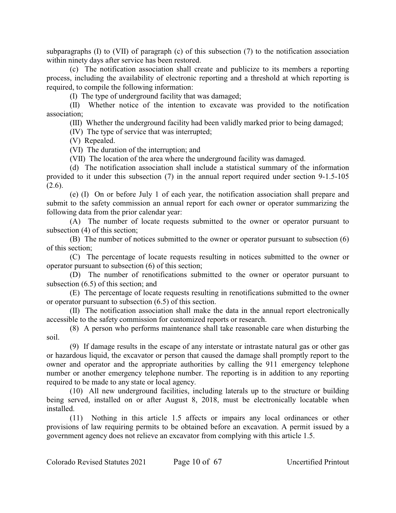subparagraphs (I) to (VII) of paragraph (c) of this subsection (7) to the notification association within ninety days after service has been restored.

(c) The notification association shall create and publicize to its members a reporting process, including the availability of electronic reporting and a threshold at which reporting is required, to compile the following information:

(I) The type of underground facility that was damaged;

(II) Whether notice of the intention to excavate was provided to the notification association;

(III) Whether the underground facility had been validly marked prior to being damaged;

(IV) The type of service that was interrupted;

(V) Repealed.

(VI) The duration of the interruption; and

(VII) The location of the area where the underground facility was damaged.

(d) The notification association shall include a statistical summary of the information provided to it under this subsection (7) in the annual report required under section 9-1.5-105  $(2.6)$ .

(e) (I) On or before July 1 of each year, the notification association shall prepare and submit to the safety commission an annual report for each owner or operator summarizing the following data from the prior calendar year:

(A) The number of locate requests submitted to the owner or operator pursuant to subsection (4) of this section;

(B) The number of notices submitted to the owner or operator pursuant to subsection (6) of this section;

(C) The percentage of locate requests resulting in notices submitted to the owner or operator pursuant to subsection (6) of this section;

(D) The number of renotifications submitted to the owner or operator pursuant to subsection (6.5) of this section; and

(E) The percentage of locate requests resulting in renotifications submitted to the owner or operator pursuant to subsection (6.5) of this section.

(II) The notification association shall make the data in the annual report electronically accessible to the safety commission for customized reports or research.

(8) A person who performs maintenance shall take reasonable care when disturbing the soil.

(9) If damage results in the escape of any interstate or intrastate natural gas or other gas or hazardous liquid, the excavator or person that caused the damage shall promptly report to the owner and operator and the appropriate authorities by calling the 911 emergency telephone number or another emergency telephone number. The reporting is in addition to any reporting required to be made to any state or local agency.

(10) All new underground facilities, including laterals up to the structure or building being served, installed on or after August 8, 2018, must be electronically locatable when installed.

(11) Nothing in this article 1.5 affects or impairs any local ordinances or other provisions of law requiring permits to be obtained before an excavation. A permit issued by a government agency does not relieve an excavator from complying with this article 1.5.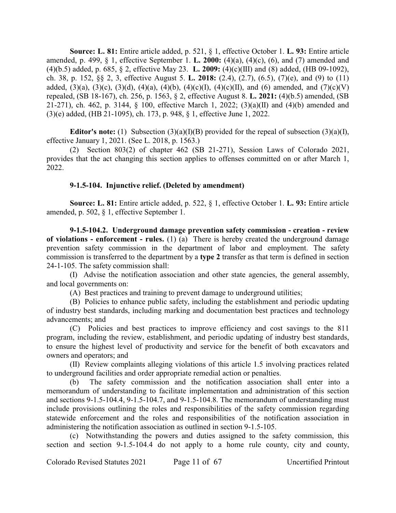**Source: L. 81:** Entire article added, p. 521, § 1, effective October 1. **L. 93:** Entire article amended, p. 499, § 1, effective September 1. **L. 2000:** (4)(a), (4)(c), (6), and (7) amended and (4)(b.5) added, p. 685, § 2, effective May 23. **L. 2009:** (4)(c)(III) and (8) added, (HB 09-1092), ch. 38, p. 152, §§ 2, 3, effective August 5. **L. 2018:** (2.4), (2.7), (6.5), (7)(e), and (9) to (11) added, (3)(a), (3)(c), (3)(d), (4)(a), (4)(b), (4)(c)(I), (4)(c)(II), and (6) amended, and (7)(c)(V) repealed, (SB 18-167), ch. 256, p. 1563, § 2, effective August 8. **L. 2021:** (4)(b.5) amended, (SB 21-271), ch. 462, p. 3144, § 100, effective March 1, 2022; (3)(a)(II) and (4)(b) amended and (3)(e) added, (HB 21-1095), ch. 173, p. 948, § 1, effective June 1, 2022.

**Editor's note:** (1) Subsection (3)(a)(I)(B) provided for the repeal of subsection (3)(a)(I), effective January 1, 2021. (See L. 2018, p. 1563.)

(2) Section 803(2) of chapter 462 (SB 21-271), Session Laws of Colorado 2021, provides that the act changing this section applies to offenses committed on or after March 1, 2022.

#### **9-1.5-104. Injunctive relief. (Deleted by amendment)**

**Source: L. 81:** Entire article added, p. 522, § 1, effective October 1. **L. 93:** Entire article amended, p. 502, § 1, effective September 1.

**9-1.5-104.2. Underground damage prevention safety commission - creation - review of violations - enforcement - rules.** (1) (a) There is hereby created the underground damage prevention safety commission in the department of labor and employment. The safety commission is transferred to the department by a **type 2** transfer as that term is defined in section 24-1-105. The safety commission shall:

(I) Advise the notification association and other state agencies, the general assembly, and local governments on:

(A) Best practices and training to prevent damage to underground utilities;

(B) Policies to enhance public safety, including the establishment and periodic updating of industry best standards, including marking and documentation best practices and technology advancements; and

(C) Policies and best practices to improve efficiency and cost savings to the 811 program, including the review, establishment, and periodic updating of industry best standards, to ensure the highest level of productivity and service for the benefit of both excavators and owners and operators; and

(II) Review complaints alleging violations of this article 1.5 involving practices related to underground facilities and order appropriate remedial action or penalties.

(b) The safety commission and the notification association shall enter into a memorandum of understanding to facilitate implementation and administration of this section and sections 9-1.5-104.4, 9-1.5-104.7, and 9-1.5-104.8. The memorandum of understanding must include provisions outlining the roles and responsibilities of the safety commission regarding statewide enforcement and the roles and responsibilities of the notification association in administering the notification association as outlined in section 9-1.5-105.

(c) Notwithstanding the powers and duties assigned to the safety commission, this section and section 9-1.5-104.4 do not apply to a home rule county, city and county,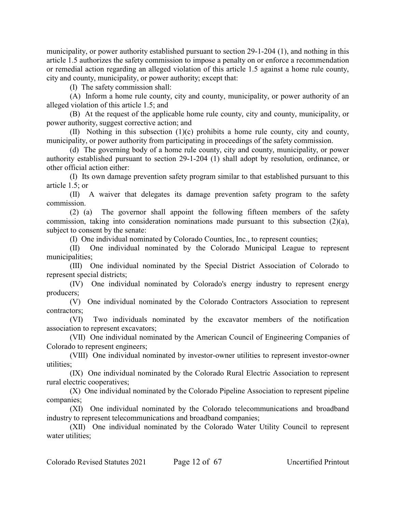municipality, or power authority established pursuant to section 29-1-204 (1), and nothing in this article 1.5 authorizes the safety commission to impose a penalty on or enforce a recommendation or remedial action regarding an alleged violation of this article 1.5 against a home rule county, city and county, municipality, or power authority; except that:

(I) The safety commission shall:

(A) Inform a home rule county, city and county, municipality, or power authority of an alleged violation of this article 1.5; and

(B) At the request of the applicable home rule county, city and county, municipality, or power authority, suggest corrective action; and

(II) Nothing in this subsection (1)(c) prohibits a home rule county, city and county, municipality, or power authority from participating in proceedings of the safety commission.

(d) The governing body of a home rule county, city and county, municipality, or power authority established pursuant to section 29-1-204 (1) shall adopt by resolution, ordinance, or other official action either:

(I) Its own damage prevention safety program similar to that established pursuant to this article 1.5; or

(II) A waiver that delegates its damage prevention safety program to the safety commission.

(2) (a) The governor shall appoint the following fifteen members of the safety commission, taking into consideration nominations made pursuant to this subsection (2)(a), subject to consent by the senate:

(I) One individual nominated by Colorado Counties, Inc., to represent counties;

(II) One individual nominated by the Colorado Municipal League to represent municipalities;

(III) One individual nominated by the Special District Association of Colorado to represent special districts;

(IV) One individual nominated by Colorado's energy industry to represent energy producers;

(V) One individual nominated by the Colorado Contractors Association to represent contractors;

(VI) Two individuals nominated by the excavator members of the notification association to represent excavators;

(VII) One individual nominated by the American Council of Engineering Companies of Colorado to represent engineers;

(VIII) One individual nominated by investor-owner utilities to represent investor-owner utilities;

(IX) One individual nominated by the Colorado Rural Electric Association to represent rural electric cooperatives;

(X) One individual nominated by the Colorado Pipeline Association to represent pipeline companies;

(XI) One individual nominated by the Colorado telecommunications and broadband industry to represent telecommunications and broadband companies;

(XII) One individual nominated by the Colorado Water Utility Council to represent water utilities: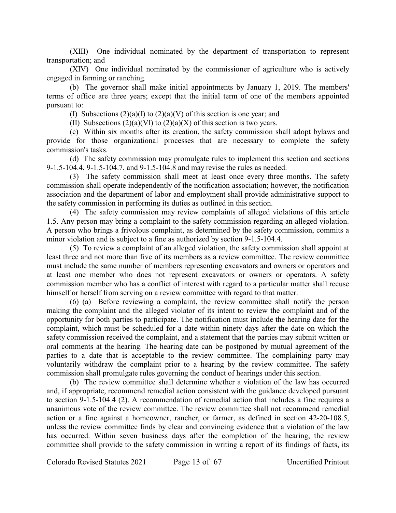(XIII) One individual nominated by the department of transportation to represent transportation; and

(XIV) One individual nominated by the commissioner of agriculture who is actively engaged in farming or ranching.

(b) The governor shall make initial appointments by January 1, 2019. The members' terms of office are three years; except that the initial term of one of the members appointed pursuant to:

(I) Subsections  $(2)(a)(I)$  to  $(2)(a)(V)$  of this section is one year; and

(II) Subsections  $(2)(a)(V)$  to  $(2)(a)(X)$  of this section is two years.

(c) Within six months after its creation, the safety commission shall adopt bylaws and provide for those organizational processes that are necessary to complete the safety commission's tasks.

(d) The safety commission may promulgate rules to implement this section and sections 9-1.5-104.4, 9-1.5-104.7, and 9-1.5-104.8 and may revise the rules as needed.

(3) The safety commission shall meet at least once every three months. The safety commission shall operate independently of the notification association; however, the notification association and the department of labor and employment shall provide administrative support to the safety commission in performing its duties as outlined in this section.

(4) The safety commission may review complaints of alleged violations of this article 1.5. Any person may bring a complaint to the safety commission regarding an alleged violation. A person who brings a frivolous complaint, as determined by the safety commission, commits a minor violation and is subject to a fine as authorized by section 9-1.5-104.4.

(5) To review a complaint of an alleged violation, the safety commission shall appoint at least three and not more than five of its members as a review committee. The review committee must include the same number of members representing excavators and owners or operators and at least one member who does not represent excavators or owners or operators. A safety commission member who has a conflict of interest with regard to a particular matter shall recuse himself or herself from serving on a review committee with regard to that matter.

(6) (a) Before reviewing a complaint, the review committee shall notify the person making the complaint and the alleged violator of its intent to review the complaint and of the opportunity for both parties to participate. The notification must include the hearing date for the complaint, which must be scheduled for a date within ninety days after the date on which the safety commission received the complaint, and a statement that the parties may submit written or oral comments at the hearing. The hearing date can be postponed by mutual agreement of the parties to a date that is acceptable to the review committee. The complaining party may voluntarily withdraw the complaint prior to a hearing by the review committee. The safety commission shall promulgate rules governing the conduct of hearings under this section.

(b) The review committee shall determine whether a violation of the law has occurred and, if appropriate, recommend remedial action consistent with the guidance developed pursuant to section 9-1.5-104.4 (2). A recommendation of remedial action that includes a fine requires a unanimous vote of the review committee. The review committee shall not recommend remedial action or a fine against a homeowner, rancher, or farmer, as defined in section 42-20-108.5, unless the review committee finds by clear and convincing evidence that a violation of the law has occurred. Within seven business days after the completion of the hearing, the review committee shall provide to the safety commission in writing a report of its findings of facts, its

Colorado Revised Statutes 2021 Page 13 of 67 Uncertified Printout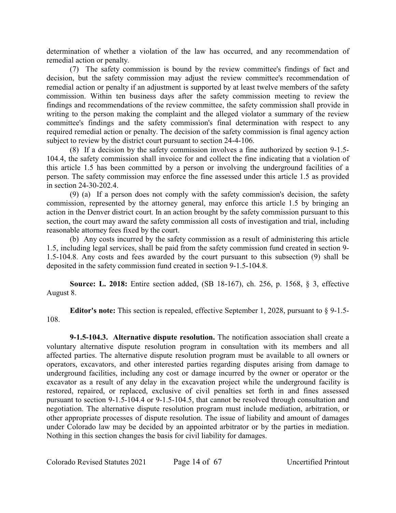determination of whether a violation of the law has occurred, and any recommendation of remedial action or penalty.

(7) The safety commission is bound by the review committee's findings of fact and decision, but the safety commission may adjust the review committee's recommendation of remedial action or penalty if an adjustment is supported by at least twelve members of the safety commission. Within ten business days after the safety commission meeting to review the findings and recommendations of the review committee, the safety commission shall provide in writing to the person making the complaint and the alleged violator a summary of the review committee's findings and the safety commission's final determination with respect to any required remedial action or penalty. The decision of the safety commission is final agency action subject to review by the district court pursuant to section 24-4-106.

(8) If a decision by the safety commission involves a fine authorized by section 9-1.5- 104.4, the safety commission shall invoice for and collect the fine indicating that a violation of this article 1.5 has been committed by a person or involving the underground facilities of a person. The safety commission may enforce the fine assessed under this article 1.5 as provided in section 24-30-202.4.

(9) (a) If a person does not comply with the safety commission's decision, the safety commission, represented by the attorney general, may enforce this article 1.5 by bringing an action in the Denver district court. In an action brought by the safety commission pursuant to this section, the court may award the safety commission all costs of investigation and trial, including reasonable attorney fees fixed by the court.

(b) Any costs incurred by the safety commission as a result of administering this article 1.5, including legal services, shall be paid from the safety commission fund created in section 9- 1.5-104.8. Any costs and fees awarded by the court pursuant to this subsection (9) shall be deposited in the safety commission fund created in section 9-1.5-104.8.

**Source: L. 2018:** Entire section added, (SB 18-167), ch. 256, p. 1568, § 3, effective August 8.

**Editor's note:** This section is repealed, effective September 1, 2028, pursuant to § 9-1.5- 108.

**9-1.5-104.3. Alternative dispute resolution.** The notification association shall create a voluntary alternative dispute resolution program in consultation with its members and all affected parties. The alternative dispute resolution program must be available to all owners or operators, excavators, and other interested parties regarding disputes arising from damage to underground facilities, including any cost or damage incurred by the owner or operator or the excavator as a result of any delay in the excavation project while the underground facility is restored, repaired, or replaced, exclusive of civil penalties set forth in and fines assessed pursuant to section 9-1.5-104.4 or 9-1.5-104.5, that cannot be resolved through consultation and negotiation. The alternative dispute resolution program must include mediation, arbitration, or other appropriate processes of dispute resolution. The issue of liability and amount of damages under Colorado law may be decided by an appointed arbitrator or by the parties in mediation. Nothing in this section changes the basis for civil liability for damages.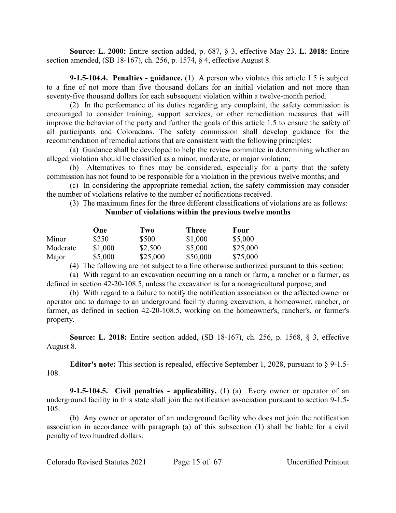**Source: L. 2000:** Entire section added, p. 687, § 3, effective May 23. **L. 2018:** Entire section amended, (SB 18-167), ch. 256, p. 1574, § 4, effective August 8.

**9-1.5-104.4. Penalties - guidance.** (1) A person who violates this article 1.5 is subject to a fine of not more than five thousand dollars for an initial violation and not more than seventy-five thousand dollars for each subsequent violation within a twelve-month period.

(2) In the performance of its duties regarding any complaint, the safety commission is encouraged to consider training, support services, or other remediation measures that will improve the behavior of the party and further the goals of this article 1.5 to ensure the safety of all participants and Coloradans. The safety commission shall develop guidance for the recommendation of remedial actions that are consistent with the following principles:

(a) Guidance shall be developed to help the review committee in determining whether an alleged violation should be classified as a minor, moderate, or major violation;

(b) Alternatives to fines may be considered, especially for a party that the safety commission has not found to be responsible for a violation in the previous twelve months; and

(c) In considering the appropriate remedial action, the safety commission may consider the number of violations relative to the number of notifications received.

(3) The maximum fines for the three different classifications of violations are as follows: **Number of violations within the previous twelve months**

|          | One     | Two      | Three    | Four     |
|----------|---------|----------|----------|----------|
| Minor    | \$250   | \$500    | \$1,000  | \$5,000  |
| Moderate | \$1,000 | \$2,500  | \$5,000  | \$25,000 |
| Major    | \$5,000 | \$25,000 | \$50,000 | \$75,000 |

(4) The following are not subject to a fine otherwise authorized pursuant to this section:

(a) With regard to an excavation occurring on a ranch or farm, a rancher or a farmer, as defined in section 42-20-108.5, unless the excavation is for a nonagricultural purpose; and

(b) With regard to a failure to notify the notification association or the affected owner or operator and to damage to an underground facility during excavation, a homeowner, rancher, or farmer, as defined in section 42-20-108.5, working on the homeowner's, rancher's, or farmer's property.

**Source: L. 2018:** Entire section added, (SB 18-167), ch. 256, p. 1568, § 3, effective August 8.

**Editor's note:** This section is repealed, effective September 1, 2028, pursuant to § 9-1.5- 108.

**9-1.5-104.5. Civil penalties - applicability.** (1) (a) Every owner or operator of an underground facility in this state shall join the notification association pursuant to section 9-1.5- 105.

(b) Any owner or operator of an underground facility who does not join the notification association in accordance with paragraph (a) of this subsection (1) shall be liable for a civil penalty of two hundred dollars.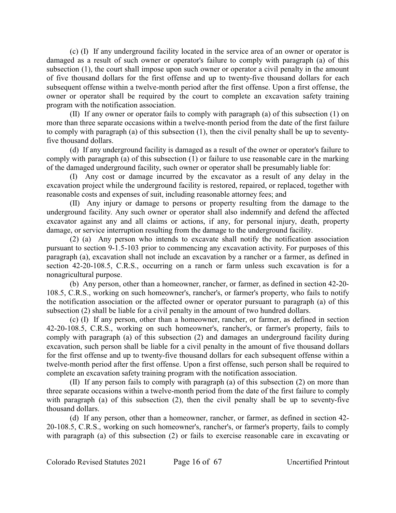(c) (I) If any underground facility located in the service area of an owner or operator is damaged as a result of such owner or operator's failure to comply with paragraph (a) of this subsection (1), the court shall impose upon such owner or operator a civil penalty in the amount of five thousand dollars for the first offense and up to twenty-five thousand dollars for each subsequent offense within a twelve-month period after the first offense. Upon a first offense, the owner or operator shall be required by the court to complete an excavation safety training program with the notification association.

(II) If any owner or operator fails to comply with paragraph (a) of this subsection (1) on more than three separate occasions within a twelve-month period from the date of the first failure to comply with paragraph (a) of this subsection (1), then the civil penalty shall be up to seventyfive thousand dollars.

(d) If any underground facility is damaged as a result of the owner or operator's failure to comply with paragraph (a) of this subsection (1) or failure to use reasonable care in the marking of the damaged underground facility, such owner or operator shall be presumably liable for:

(I) Any cost or damage incurred by the excavator as a result of any delay in the excavation project while the underground facility is restored, repaired, or replaced, together with reasonable costs and expenses of suit, including reasonable attorney fees; and

(II) Any injury or damage to persons or property resulting from the damage to the underground facility. Any such owner or operator shall also indemnify and defend the affected excavator against any and all claims or actions, if any, for personal injury, death, property damage, or service interruption resulting from the damage to the underground facility.

(2) (a) Any person who intends to excavate shall notify the notification association pursuant to section 9-1.5-103 prior to commencing any excavation activity. For purposes of this paragraph (a), excavation shall not include an excavation by a rancher or a farmer, as defined in section 42-20-108.5, C.R.S., occurring on a ranch or farm unless such excavation is for a nonagricultural purpose.

(b) Any person, other than a homeowner, rancher, or farmer, as defined in section 42-20- 108.5, C.R.S., working on such homeowner's, rancher's, or farmer's property, who fails to notify the notification association or the affected owner or operator pursuant to paragraph (a) of this subsection (2) shall be liable for a civil penalty in the amount of two hundred dollars.

(c) (I) If any person, other than a homeowner, rancher, or farmer, as defined in section 42-20-108.5, C.R.S., working on such homeowner's, rancher's, or farmer's property, fails to comply with paragraph (a) of this subsection (2) and damages an underground facility during excavation, such person shall be liable for a civil penalty in the amount of five thousand dollars for the first offense and up to twenty-five thousand dollars for each subsequent offense within a twelve-month period after the first offense. Upon a first offense, such person shall be required to complete an excavation safety training program with the notification association.

(II) If any person fails to comply with paragraph (a) of this subsection (2) on more than three separate occasions within a twelve-month period from the date of the first failure to comply with paragraph (a) of this subsection (2), then the civil penalty shall be up to seventy-five thousand dollars.

(d) If any person, other than a homeowner, rancher, or farmer, as defined in section 42- 20-108.5, C.R.S., working on such homeowner's, rancher's, or farmer's property, fails to comply with paragraph (a) of this subsection (2) or fails to exercise reasonable care in excavating or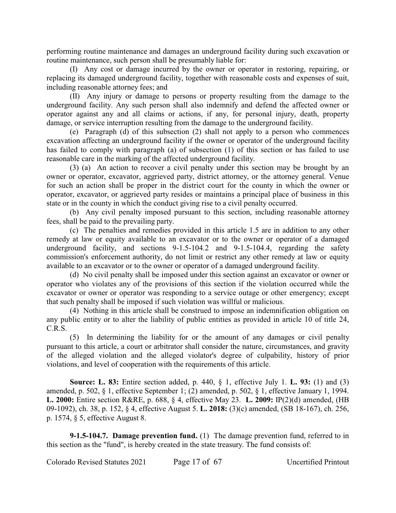performing routine maintenance and damages an underground facility during such excavation or routine maintenance, such person shall be presumably liable for:

(I) Any cost or damage incurred by the owner or operator in restoring, repairing, or replacing its damaged underground facility, together with reasonable costs and expenses of suit, including reasonable attorney fees; and

(II) Any injury or damage to persons or property resulting from the damage to the underground facility. Any such person shall also indemnify and defend the affected owner or operator against any and all claims or actions, if any, for personal injury, death, property damage, or service interruption resulting from the damage to the underground facility.

(e) Paragraph (d) of this subsection (2) shall not apply to a person who commences excavation affecting an underground facility if the owner or operator of the underground facility has failed to comply with paragraph (a) of subsection (1) of this section or has failed to use reasonable care in the marking of the affected underground facility.

(3) (a) An action to recover a civil penalty under this section may be brought by an owner or operator, excavator, aggrieved party, district attorney, or the attorney general. Venue for such an action shall be proper in the district court for the county in which the owner or operator, excavator, or aggrieved party resides or maintains a principal place of business in this state or in the county in which the conduct giving rise to a civil penalty occurred.

(b) Any civil penalty imposed pursuant to this section, including reasonable attorney fees, shall be paid to the prevailing party.

(c) The penalties and remedies provided in this article 1.5 are in addition to any other remedy at law or equity available to an excavator or to the owner or operator of a damaged underground facility, and sections 9-1.5-104.2 and 9-1.5-104.4, regarding the safety commission's enforcement authority, do not limit or restrict any other remedy at law or equity available to an excavator or to the owner or operator of a damaged underground facility.

(d) No civil penalty shall be imposed under this section against an excavator or owner or operator who violates any of the provisions of this section if the violation occurred while the excavator or owner or operator was responding to a service outage or other emergency; except that such penalty shall be imposed if such violation was willful or malicious.

(4) Nothing in this article shall be construed to impose an indemnification obligation on any public entity or to alter the liability of public entities as provided in article 10 of title 24, C.R.S.

(5) In determining the liability for or the amount of any damages or civil penalty pursuant to this article, a court or arbitrator shall consider the nature, circumstances, and gravity of the alleged violation and the alleged violator's degree of culpability, history of prior violations, and level of cooperation with the requirements of this article.

**Source: L. 83:** Entire section added, p. 440, § 1, effective July 1. **L. 93:** (1) and (3) amended, p. 502, § 1, effective September 1; (2) amended, p. 502, § 1, effective January 1, 1994. **L. 2000:** Entire section R&RE, p. 688, § 4, effective May 23. **L. 2009:** IP(2)(d) amended, (HB 09-1092), ch. 38, p. 152, § 4, effective August 5. **L. 2018:** (3)(c) amended, (SB 18-167), ch. 256, p. 1574, § 5, effective August 8.

**9-1.5-104.7. Damage prevention fund.** (1) The damage prevention fund, referred to in this section as the "fund", is hereby created in the state treasury. The fund consists of: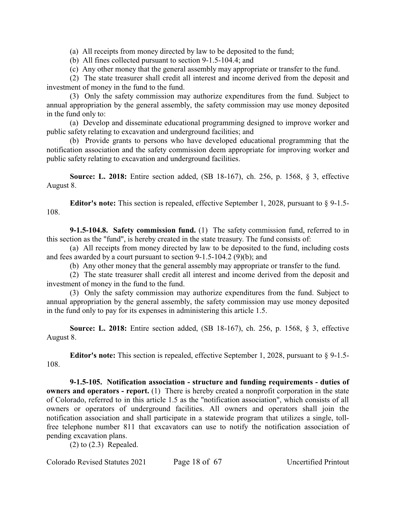(a) All receipts from money directed by law to be deposited to the fund;

(b) All fines collected pursuant to section 9-1.5-104.4; and

(c) Any other money that the general assembly may appropriate or transfer to the fund.

(2) The state treasurer shall credit all interest and income derived from the deposit and investment of money in the fund to the fund.

(3) Only the safety commission may authorize expenditures from the fund. Subject to annual appropriation by the general assembly, the safety commission may use money deposited in the fund only to:

(a) Develop and disseminate educational programming designed to improve worker and public safety relating to excavation and underground facilities; and

(b) Provide grants to persons who have developed educational programming that the notification association and the safety commission deem appropriate for improving worker and public safety relating to excavation and underground facilities.

**Source: L. 2018:** Entire section added, (SB 18-167), ch. 256, p. 1568, § 3, effective August 8.

**Editor's note:** This section is repealed, effective September 1, 2028, pursuant to § 9-1.5- 108.

**9-1.5-104.8. Safety commission fund.** (1) The safety commission fund, referred to in this section as the "fund", is hereby created in the state treasury. The fund consists of:

(a) All receipts from money directed by law to be deposited to the fund, including costs and fees awarded by a court pursuant to section 9-1.5-104.2 (9)(b); and

(b) Any other money that the general assembly may appropriate or transfer to the fund.

(2) The state treasurer shall credit all interest and income derived from the deposit and investment of money in the fund to the fund.

(3) Only the safety commission may authorize expenditures from the fund. Subject to annual appropriation by the general assembly, the safety commission may use money deposited in the fund only to pay for its expenses in administering this article 1.5.

**Source: L. 2018:** Entire section added, (SB 18-167), ch. 256, p. 1568, § 3, effective August 8.

**Editor's note:** This section is repealed, effective September 1, 2028, pursuant to § 9-1.5- 108.

**9-1.5-105. Notification association - structure and funding requirements - duties of owners and operators - report.** (1) There is hereby created a nonprofit corporation in the state of Colorado, referred to in this article 1.5 as the "notification association", which consists of all owners or operators of underground facilities. All owners and operators shall join the notification association and shall participate in a statewide program that utilizes a single, tollfree telephone number 811 that excavators can use to notify the notification association of pending excavation plans.

(2) to (2.3) Repealed.

Colorado Revised Statutes 2021 Page 18 of 67 Uncertified Printout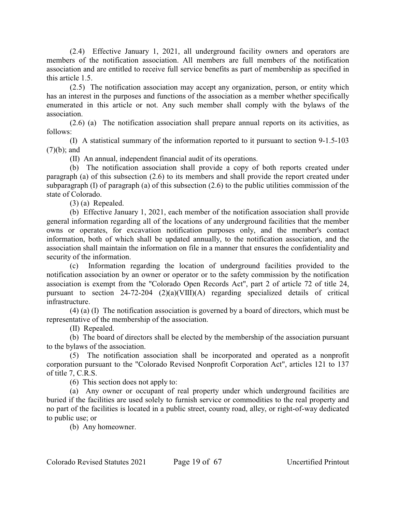(2.4) Effective January 1, 2021, all underground facility owners and operators are members of the notification association. All members are full members of the notification association and are entitled to receive full service benefits as part of membership as specified in this article 1.5.

(2.5) The notification association may accept any organization, person, or entity which has an interest in the purposes and functions of the association as a member whether specifically enumerated in this article or not. Any such member shall comply with the bylaws of the association.

(2.6) (a) The notification association shall prepare annual reports on its activities, as follows:

(I) A statistical summary of the information reported to it pursuant to section 9-1.5-103 (7)(b); and

(II) An annual, independent financial audit of its operations.

(b) The notification association shall provide a copy of both reports created under paragraph (a) of this subsection (2.6) to its members and shall provide the report created under subparagraph (I) of paragraph (a) of this subsection (2.6) to the public utilities commission of the state of Colorado.

(3) (a) Repealed.

(b) Effective January 1, 2021, each member of the notification association shall provide general information regarding all of the locations of any underground facilities that the member owns or operates, for excavation notification purposes only, and the member's contact information, both of which shall be updated annually, to the notification association, and the association shall maintain the information on file in a manner that ensures the confidentiality and security of the information.

(c) Information regarding the location of underground facilities provided to the notification association by an owner or operator or to the safety commission by the notification association is exempt from the "Colorado Open Records Act", part 2 of article 72 of title 24, pursuant to section 24-72-204 (2)(a)(VIII)(A) regarding specialized details of critical infrastructure.

(4) (a) (I) The notification association is governed by a board of directors, which must be representative of the membership of the association.

(II) Repealed.

(b) The board of directors shall be elected by the membership of the association pursuant to the bylaws of the association.

(5) The notification association shall be incorporated and operated as a nonprofit corporation pursuant to the "Colorado Revised Nonprofit Corporation Act", articles 121 to 137 of title 7, C.R.S.

(6) This section does not apply to:

(a) Any owner or occupant of real property under which underground facilities are buried if the facilities are used solely to furnish service or commodities to the real property and no part of the facilities is located in a public street, county road, alley, or right-of-way dedicated to public use; or

(b) Any homeowner.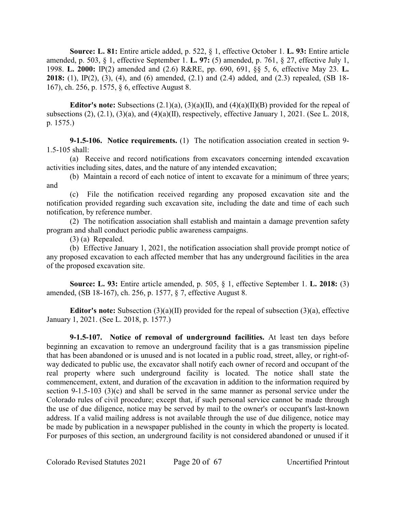**Source: L. 81:** Entire article added, p. 522, § 1, effective October 1. **L. 93:** Entire article amended, p. 503, § 1, effective September 1. **L. 97:** (5) amended, p. 761, § 27, effective July 1, 1998. **L. 2000:** IP(2) amended and (2.6) R&RE, pp. 690, 691, §§ 5, 6, effective May 23. **L. 2018:** (1), IP(2), (3), (4), and (6) amended, (2.1) and (2.4) added, and (2.3) repealed, (SB 18- 167), ch. 256, p. 1575, § 6, effective August 8.

**Editor's note:** Subsections  $(2.1)(a)$ ,  $(3)(a)(II)$ , and  $(4)(a)(II)(B)$  provided for the repeal of subsections (2), (2.1), (3)(a), and (4)(a)(II), respectively, effective January 1, 2021. (See L. 2018, p. 1575.)

**9-1.5-106. Notice requirements.** (1) The notification association created in section 9- 1.5-105 shall:

(a) Receive and record notifications from excavators concerning intended excavation activities including sites, dates, and the nature of any intended excavation;

(b) Maintain a record of each notice of intent to excavate for a minimum of three years; and

(c) File the notification received regarding any proposed excavation site and the notification provided regarding such excavation site, including the date and time of each such notification, by reference number.

(2) The notification association shall establish and maintain a damage prevention safety program and shall conduct periodic public awareness campaigns.

(3) (a) Repealed.

(b) Effective January 1, 2021, the notification association shall provide prompt notice of any proposed excavation to each affected member that has any underground facilities in the area of the proposed excavation site.

**Source: L. 93:** Entire article amended, p. 505, § 1, effective September 1. **L. 2018:** (3) amended, (SB 18-167), ch. 256, p. 1577, § 7, effective August 8.

**Editor's note:** Subsection (3)(a)(II) provided for the repeal of subsection (3)(a), effective January 1, 2021. (See L. 2018, p. 1577.)

**9-1.5-107. Notice of removal of underground facilities.** At least ten days before beginning an excavation to remove an underground facility that is a gas transmission pipeline that has been abandoned or is unused and is not located in a public road, street, alley, or right-ofway dedicated to public use, the excavator shall notify each owner of record and occupant of the real property where such underground facility is located. The notice shall state the commencement, extent, and duration of the excavation in addition to the information required by section 9-1.5-103 (3)(c) and shall be served in the same manner as personal service under the Colorado rules of civil procedure; except that, if such personal service cannot be made through the use of due diligence, notice may be served by mail to the owner's or occupant's last-known address. If a valid mailing address is not available through the use of due diligence, notice may be made by publication in a newspaper published in the county in which the property is located. For purposes of this section, an underground facility is not considered abandoned or unused if it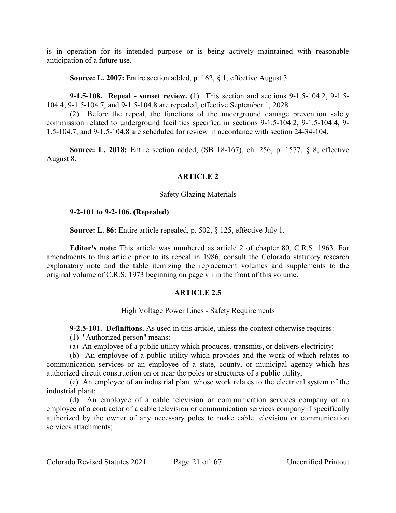is in operation for its intended purpose or is being actively maintained with reasonable anticipation of a future use.

**Source: L. 2007:** Entire section added, p. 162, § 1, effective August 3.

**9-1.5-108. Repeal - sunset review.** (1) This section and sections 9-1.5-104.2, 9-1.5- 104.4, 9-1.5-104.7, and 9-1.5-104.8 are repealed, effective September 1, 2028.

(2) Before the repeal, the functions of the underground damage prevention safety commission related to underground facilities specified in sections 9-1.5-104.2, 9-1.5-104.4, 9- 1.5-104.7, and 9-1.5-104.8 are scheduled for review in accordance with section 24-34-104.

**Source: L. 2018:** Entire section added, (SB 18-167), ch. 256, p. 1577, § 8, effective August 8.

# **ARTICLE 2**

#### Safety Glazing Materials

#### **9-2-101 to 9-2-106. (Repealed)**

**Source: L. 86:** Entire article repealed, p. 502, § 125, effective July 1.

**Editor's note:** This article was numbered as article 2 of chapter 80, C.R.S. 1963. For amendments to this article prior to its repeal in 1986, consult the Colorado statutory research explanatory note and the table itemizing the replacement volumes and supplements to the original volume of C.R.S. 1973 beginning on page vii in the front of this volume.

# **ARTICLE 2.5**

#### High Voltage Power Lines - Safety Requirements

**9-2.5-101. Definitions.** As used in this article, unless the context otherwise requires:

- (1) "Authorized person" means:
- (a) An employee of a public utility which produces, transmits, or delivers electricity;

(b) An employee of a public utility which provides and the work of which relates to communication services or an employee of a state, county, or municipal agency which has authorized circuit construction on or near the poles or structures of a public utility;

(c) An employee of an industrial plant whose work relates to the electrical system of the industrial plant;

(d) An employee of a cable television or communication services company or an employee of a contractor of a cable television or communication services company if specifically authorized by the owner of any necessary poles to make cable television or communication services attachments;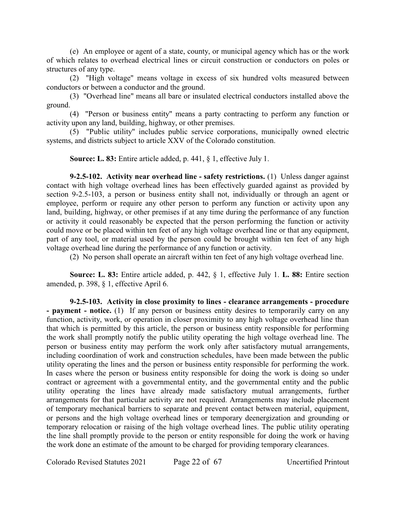(e) An employee or agent of a state, county, or municipal agency which has or the work of which relates to overhead electrical lines or circuit construction or conductors on poles or structures of any type.

(2) "High voltage" means voltage in excess of six hundred volts measured between conductors or between a conductor and the ground.

(3) "Overhead line" means all bare or insulated electrical conductors installed above the ground.

(4) "Person or business entity" means a party contracting to perform any function or activity upon any land, building, highway, or other premises.

(5) "Public utility" includes public service corporations, municipally owned electric systems, and districts subject to article XXV of the Colorado constitution.

**Source: L. 83:** Entire article added, p. 441, § 1, effective July 1.

**9-2.5-102. Activity near overhead line - safety restrictions.** (1) Unless danger against contact with high voltage overhead lines has been effectively guarded against as provided by section 9-2.5-103, a person or business entity shall not, individually or through an agent or employee, perform or require any other person to perform any function or activity upon any land, building, highway, or other premises if at any time during the performance of any function or activity it could reasonably be expected that the person performing the function or activity could move or be placed within ten feet of any high voltage overhead line or that any equipment, part of any tool, or material used by the person could be brought within ten feet of any high voltage overhead line during the performance of any function or activity.

(2) No person shall operate an aircraft within ten feet of any high voltage overhead line.

**Source: L. 83:** Entire article added, p. 442, § 1, effective July 1. **L. 88:** Entire section amended, p. 398, § 1, effective April 6.

**9-2.5-103. Activity in close proximity to lines - clearance arrangements - procedure - payment - notice.** (1) If any person or business entity desires to temporarily carry on any function, activity, work, or operation in closer proximity to any high voltage overhead line than that which is permitted by this article, the person or business entity responsible for performing the work shall promptly notify the public utility operating the high voltage overhead line. The person or business entity may perform the work only after satisfactory mutual arrangements, including coordination of work and construction schedules, have been made between the public utility operating the lines and the person or business entity responsible for performing the work. In cases where the person or business entity responsible for doing the work is doing so under contract or agreement with a governmental entity, and the governmental entity and the public utility operating the lines have already made satisfactory mutual arrangements, further arrangements for that particular activity are not required. Arrangements may include placement of temporary mechanical barriers to separate and prevent contact between material, equipment, or persons and the high voltage overhead lines or temporary deenergization and grounding or temporary relocation or raising of the high voltage overhead lines. The public utility operating the line shall promptly provide to the person or entity responsible for doing the work or having the work done an estimate of the amount to be charged for providing temporary clearances.

Colorado Revised Statutes 2021 Page 22 of 67 Uncertified Printout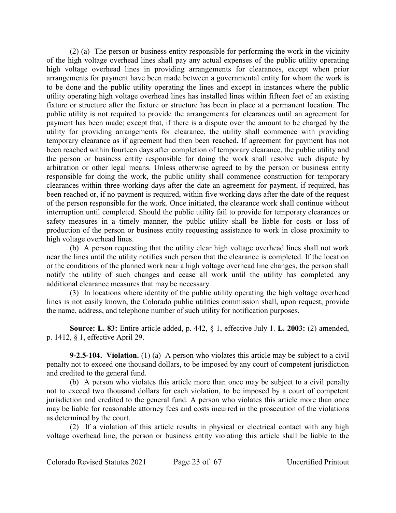(2) (a) The person or business entity responsible for performing the work in the vicinity of the high voltage overhead lines shall pay any actual expenses of the public utility operating high voltage overhead lines in providing arrangements for clearances, except when prior arrangements for payment have been made between a governmental entity for whom the work is to be done and the public utility operating the lines and except in instances where the public utility operating high voltage overhead lines has installed lines within fifteen feet of an existing fixture or structure after the fixture or structure has been in place at a permanent location. The public utility is not required to provide the arrangements for clearances until an agreement for payment has been made; except that, if there is a dispute over the amount to be charged by the utility for providing arrangements for clearance, the utility shall commence with providing temporary clearance as if agreement had then been reached. If agreement for payment has not been reached within fourteen days after completion of temporary clearance, the public utility and the person or business entity responsible for doing the work shall resolve such dispute by arbitration or other legal means. Unless otherwise agreed to by the person or business entity responsible for doing the work, the public utility shall commence construction for temporary clearances within three working days after the date an agreement for payment, if required, has been reached or, if no payment is required, within five working days after the date of the request of the person responsible for the work. Once initiated, the clearance work shall continue without interruption until completed. Should the public utility fail to provide for temporary clearances or safety measures in a timely manner, the public utility shall be liable for costs or loss of production of the person or business entity requesting assistance to work in close proximity to high voltage overhead lines.

(b) A person requesting that the utility clear high voltage overhead lines shall not work near the lines until the utility notifies such person that the clearance is completed. If the location or the conditions of the planned work near a high voltage overhead line changes, the person shall notify the utility of such changes and cease all work until the utility has completed any additional clearance measures that may be necessary.

(3) In locations where identity of the public utility operating the high voltage overhead lines is not easily known, the Colorado public utilities commission shall, upon request, provide the name, address, and telephone number of such utility for notification purposes.

**Source: L. 83:** Entire article added, p. 442, § 1, effective July 1. **L. 2003:** (2) amended, p. 1412, § 1, effective April 29.

**9-2.5-104. Violation.** (1) (a) A person who violates this article may be subject to a civil penalty not to exceed one thousand dollars, to be imposed by any court of competent jurisdiction and credited to the general fund.

(b) A person who violates this article more than once may be subject to a civil penalty not to exceed two thousand dollars for each violation, to be imposed by a court of competent jurisdiction and credited to the general fund. A person who violates this article more than once may be liable for reasonable attorney fees and costs incurred in the prosecution of the violations as determined by the court.

(2) If a violation of this article results in physical or electrical contact with any high voltage overhead line, the person or business entity violating this article shall be liable to the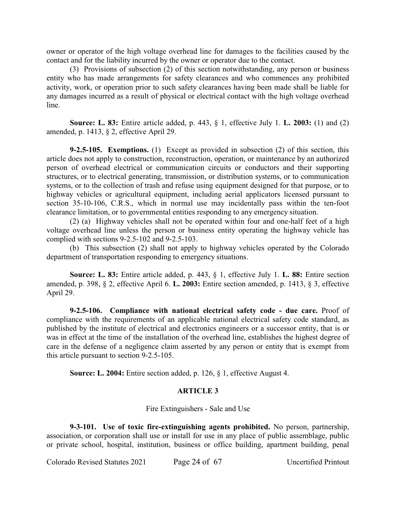owner or operator of the high voltage overhead line for damages to the facilities caused by the contact and for the liability incurred by the owner or operator due to the contact.

(3) Provisions of subsection (2) of this section notwithstanding, any person or business entity who has made arrangements for safety clearances and who commences any prohibited activity, work, or operation prior to such safety clearances having been made shall be liable for any damages incurred as a result of physical or electrical contact with the high voltage overhead line.

**Source: L. 83:** Entire article added, p. 443, § 1, effective July 1. **L. 2003:** (1) and (2) amended, p. 1413, § 2, effective April 29.

**9-2.5-105. Exemptions.** (1) Except as provided in subsection (2) of this section, this article does not apply to construction, reconstruction, operation, or maintenance by an authorized person of overhead electrical or communication circuits or conductors and their supporting structures, or to electrical generating, transmission, or distribution systems, or to communication systems, or to the collection of trash and refuse using equipment designed for that purpose, or to highway vehicles or agricultural equipment, including aerial applicators licensed pursuant to section 35-10-106, C.R.S., which in normal use may incidentally pass within the ten-foot clearance limitation, or to governmental entities responding to any emergency situation.

(2) (a) Highway vehicles shall not be operated within four and one-half feet of a high voltage overhead line unless the person or business entity operating the highway vehicle has complied with sections 9-2.5-102 and 9-2.5-103.

(b) This subsection (2) shall not apply to highway vehicles operated by the Colorado department of transportation responding to emergency situations.

**Source: L. 83:** Entire article added, p. 443, § 1, effective July 1. **L. 88:** Entire section amended, p. 398, § 2, effective April 6. **L. 2003:** Entire section amended, p. 1413, § 3, effective April 29.

**9-2.5-106. Compliance with national electrical safety code - due care.** Proof of compliance with the requirements of an applicable national electrical safety code standard, as published by the institute of electrical and electronics engineers or a successor entity, that is or was in effect at the time of the installation of the overhead line, establishes the highest degree of care in the defense of a negligence claim asserted by any person or entity that is exempt from this article pursuant to section 9-2.5-105.

**Source: L. 2004:** Entire section added, p. 126, § 1, effective August 4.

# **ARTICLE 3**

Fire Extinguishers - Sale and Use

**9-3-101. Use of toxic fire-extinguishing agents prohibited.** No person, partnership, association, or corporation shall use or install for use in any place of public assemblage, public or private school, hospital, institution, business or office building, apartment building, penal

Colorado Revised Statutes 2021 Page 24 of 67 Uncertified Printout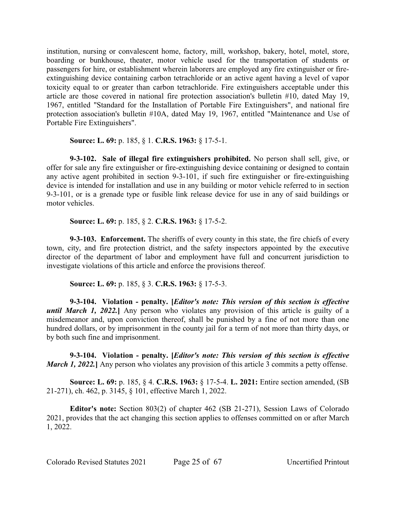institution, nursing or convalescent home, factory, mill, workshop, bakery, hotel, motel, store, boarding or bunkhouse, theater, motor vehicle used for the transportation of students or passengers for hire, or establishment wherein laborers are employed any fire extinguisher or fireextinguishing device containing carbon tetrachloride or an active agent having a level of vapor toxicity equal to or greater than carbon tetrachloride. Fire extinguishers acceptable under this article are those covered in national fire protection association's bulletin #10, dated May 19, 1967, entitled "Standard for the Installation of Portable Fire Extinguishers", and national fire protection association's bulletin #10A, dated May 19, 1967, entitled "Maintenance and Use of Portable Fire Extinguishers".

**Source: L. 69:** p. 185, § 1. **C.R.S. 1963:** § 17-5-1.

**9-3-102. Sale of illegal fire extinguishers prohibited.** No person shall sell, give, or offer for sale any fire extinguisher or fire-extinguishing device containing or designed to contain any active agent prohibited in section 9-3-101, if such fire extinguisher or fire-extinguishing device is intended for installation and use in any building or motor vehicle referred to in section 9-3-101, or is a grenade type or fusible link release device for use in any of said buildings or motor vehicles.

**Source: L. 69:** p. 185, § 2. **C.R.S. 1963:** § 17-5-2.

**9-3-103. Enforcement.** The sheriffs of every county in this state, the fire chiefs of every town, city, and fire protection district, and the safety inspectors appointed by the executive director of the department of labor and employment have full and concurrent jurisdiction to investigate violations of this article and enforce the provisions thereof.

**Source: L. 69:** p. 185, § 3. **C.R.S. 1963:** § 17-5-3.

**9-3-104. Violation - penalty. [***Editor's note: This version of this section is effective until March 1, 2022.***]** Any person who violates any provision of this article is guilty of a misdemeanor and, upon conviction thereof, shall be punished by a fine of not more than one hundred dollars, or by imprisonment in the county jail for a term of not more than thirty days, or by both such fine and imprisonment.

**9-3-104. Violation - penalty. [***Editor's note: This version of this section is effective March 1, 2022.* Any person who violates any provision of this article 3 commits a petty offense.

**Source: L. 69:** p. 185, § 4. **C.R.S. 1963:** § 17-5-4. **L. 2021:** Entire section amended, (SB 21-271), ch. 462, p. 3145, § 101, effective March 1, 2022.

**Editor's note:** Section 803(2) of chapter 462 (SB 21-271), Session Laws of Colorado 2021, provides that the act changing this section applies to offenses committed on or after March 1, 2022.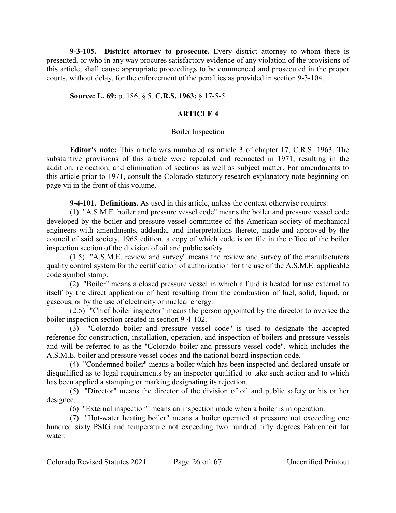**9-3-105. District attorney to prosecute.** Every district attorney to whom there is presented, or who in any way procures satisfactory evidence of any violation of the provisions of this article, shall cause appropriate proceedings to be commenced and prosecuted in the proper courts, without delay, for the enforcement of the penalties as provided in section 9-3-104.

**Source: L. 69:** p. 186, § 5. **C.R.S. 1963:** § 17-5-5.

## **ARTICLE 4**

#### Boiler Inspection

**Editor's note:** This article was numbered as article 3 of chapter 17, C.R.S. 1963. The substantive provisions of this article were repealed and reenacted in 1971, resulting in the addition, relocation, and elimination of sections as well as subject matter. For amendments to this article prior to 1971, consult the Colorado statutory research explanatory note beginning on page vii in the front of this volume.

**9-4-101. Definitions.** As used in this article, unless the context otherwise requires:

(1) "A.S.M.E. boiler and pressure vessel code" means the boiler and pressure vessel code developed by the boiler and pressure vessel committee of the American society of mechanical engineers with amendments, addenda, and interpretations thereto, made and approved by the council of said society, 1968 edition, a copy of which code is on file in the office of the boiler inspection section of the division of oil and public safety.

(1.5) "A.S.M.E. review and survey" means the review and survey of the manufacturers quality control system for the certification of authorization for the use of the A.S.M.E. applicable code symbol stamp.

(2) "Boiler" means a closed pressure vessel in which a fluid is heated for use external to itself by the direct application of heat resulting from the combustion of fuel, solid, liquid, or gaseous, or by the use of electricity or nuclear energy.

(2.5) "Chief boiler inspector" means the person appointed by the director to oversee the boiler inspection section created in section 9-4-102.

(3) "Colorado boiler and pressure vessel code" is used to designate the accepted reference for construction, installation, operation, and inspection of boilers and pressure vessels and will be referred to as the "Colorado boiler and pressure vessel code", which includes the A.S.M.E. boiler and pressure vessel codes and the national board inspection code.

(4) "Condemned boiler" means a boiler which has been inspected and declared unsafe or disqualified as to legal requirements by an inspector qualified to take such action and to which has been applied a stamping or marking designating its rejection.

(5) "Director" means the director of the division of oil and public safety or his or her designee.

(6) "External inspection" means an inspection made when a boiler is in operation.

(7) "Hot-water heating boiler" means a boiler operated at pressure not exceeding one hundred sixty PSIG and temperature not exceeding two hundred fifty degrees Fahrenheit for water.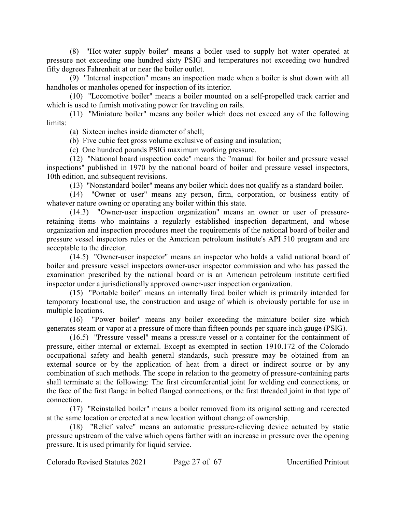(8) "Hot-water supply boiler" means a boiler used to supply hot water operated at pressure not exceeding one hundred sixty PSIG and temperatures not exceeding two hundred fifty degrees Fahrenheit at or near the boiler outlet.

(9) "Internal inspection" means an inspection made when a boiler is shut down with all handholes or manholes opened for inspection of its interior.

(10) "Locomotive boiler" means a boiler mounted on a self-propelled track carrier and which is used to furnish motivating power for traveling on rails.

(11) "Miniature boiler" means any boiler which does not exceed any of the following limits:

(a) Sixteen inches inside diameter of shell;

(b) Five cubic feet gross volume exclusive of casing and insulation;

(c) One hundred pounds PSIG maximum working pressure.

(12) "National board inspection code" means the "manual for boiler and pressure vessel inspections" published in 1970 by the national board of boiler and pressure vessel inspectors, 10th edition, and subsequent revisions.

(13) "Nonstandard boiler" means any boiler which does not qualify as a standard boiler.

(14) "Owner or user" means any person, firm, corporation, or business entity of whatever nature owning or operating any boiler within this state.

(14.3) "Owner-user inspection organization" means an owner or user of pressureretaining items who maintains a regularly established inspection department, and whose organization and inspection procedures meet the requirements of the national board of boiler and pressure vessel inspectors rules or the American petroleum institute's API 510 program and are acceptable to the director.

(14.5) "Owner-user inspector" means an inspector who holds a valid national board of boiler and pressure vessel inspectors owner-user inspector commission and who has passed the examination prescribed by the national board or is an American petroleum institute certified inspector under a jurisdictionally approved owner-user inspection organization.

(15) "Portable boiler" means an internally fired boiler which is primarily intended for temporary locational use, the construction and usage of which is obviously portable for use in multiple locations.

(16) "Power boiler" means any boiler exceeding the miniature boiler size which generates steam or vapor at a pressure of more than fifteen pounds per square inch gauge (PSIG).

(16.5) "Pressure vessel" means a pressure vessel or a container for the containment of pressure, either internal or external. Except as exempted in section 1910.172 of the Colorado occupational safety and health general standards, such pressure may be obtained from an external source or by the application of heat from a direct or indirect source or by any combination of such methods. The scope in relation to the geometry of pressure-containing parts shall terminate at the following: The first circumferential joint for welding end connections, or the face of the first flange in bolted flanged connections, or the first threaded joint in that type of connection.

(17) "Reinstalled boiler" means a boiler removed from its original setting and reerected at the same location or erected at a new location without change of ownership.

(18) "Relief valve" means an automatic pressure-relieving device actuated by static pressure upstream of the valve which opens farther with an increase in pressure over the opening pressure. It is used primarily for liquid service.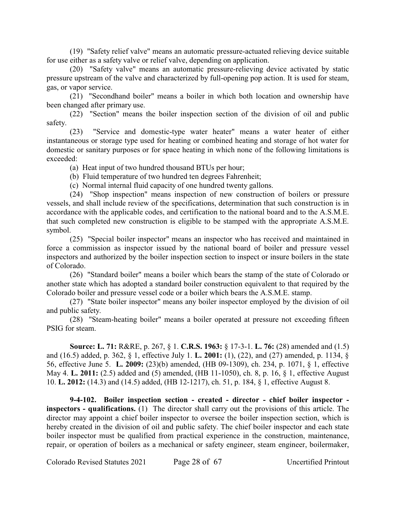(19) "Safety relief valve" means an automatic pressure-actuated relieving device suitable for use either as a safety valve or relief valve, depending on application.

(20) "Safety valve" means an automatic pressure-relieving device activated by static pressure upstream of the valve and characterized by full-opening pop action. It is used for steam, gas, or vapor service.

(21) "Secondhand boiler" means a boiler in which both location and ownership have been changed after primary use.

(22) "Section" means the boiler inspection section of the division of oil and public safety.

(23) "Service and domestic-type water heater" means a water heater of either instantaneous or storage type used for heating or combined heating and storage of hot water for domestic or sanitary purposes or for space heating in which none of the following limitations is exceeded:

(a) Heat input of two hundred thousand BTUs per hour;

(b) Fluid temperature of two hundred ten degrees Fahrenheit;

(c) Normal internal fluid capacity of one hundred twenty gallons.

(24) "Shop inspection" means inspection of new construction of boilers or pressure vessels, and shall include review of the specifications, determination that such construction is in accordance with the applicable codes, and certification to the national board and to the A.S.M.E. that such completed new construction is eligible to be stamped with the appropriate A.S.M.E. symbol.

(25) "Special boiler inspector" means an inspector who has received and maintained in force a commission as inspector issued by the national board of boiler and pressure vessel inspectors and authorized by the boiler inspection section to inspect or insure boilers in the state of Colorado.

(26) "Standard boiler" means a boiler which bears the stamp of the state of Colorado or another state which has adopted a standard boiler construction equivalent to that required by the Colorado boiler and pressure vessel code or a boiler which bears the A.S.M.E. stamp.

(27) "State boiler inspector" means any boiler inspector employed by the division of oil and public safety.

(28) "Steam-heating boiler" means a boiler operated at pressure not exceeding fifteen PSIG for steam.

**Source: L. 71:** R&RE, p. 267, § 1. **C.R.S. 1963:** § 17-3-1. **L. 76:** (28) amended and (1.5) and (16.5) added, p. 362, § 1, effective July 1. **L. 2001:** (1), (22), and (27) amended, p. 1134, § 56, effective June 5. **L. 2009:** (23)(b) amended, (HB 09-1309), ch. 234, p. 1071, § 1, effective May 4. **L. 2011:** (2.5) added and (5) amended, (HB 11-1050), ch. 8, p. 16, § 1, effective August 10. **L. 2012:** (14.3) and (14.5) added, (HB 12-1217), ch. 51, p. 184, § 1, effective August 8.

**9-4-102. Boiler inspection section - created - director - chief boiler inspector inspectors - qualifications.** (1) The director shall carry out the provisions of this article. The director may appoint a chief boiler inspector to oversee the boiler inspection section, which is hereby created in the division of oil and public safety. The chief boiler inspector and each state boiler inspector must be qualified from practical experience in the construction, maintenance, repair, or operation of boilers as a mechanical or safety engineer, steam engineer, boilermaker,

Colorado Revised Statutes 2021 Page 28 of 67 Uncertified Printout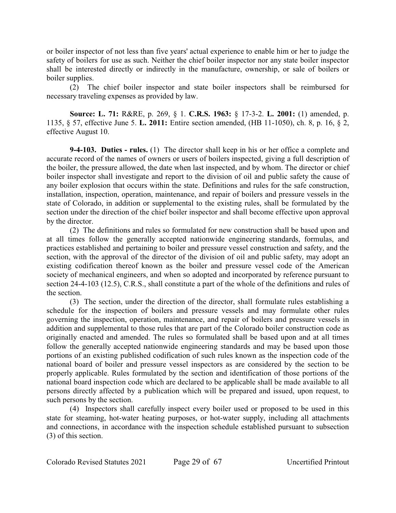or boiler inspector of not less than five years' actual experience to enable him or her to judge the safety of boilers for use as such. Neither the chief boiler inspector nor any state boiler inspector shall be interested directly or indirectly in the manufacture, ownership, or sale of boilers or boiler supplies.

(2) The chief boiler inspector and state boiler inspectors shall be reimbursed for necessary traveling expenses as provided by law.

**Source: L. 71:** R&RE, p. 269, § 1. **C.R.S. 1963:** § 17-3-2. **L. 2001:** (1) amended, p. 1135, § 57, effective June 5. **L. 2011:** Entire section amended, (HB 11-1050), ch. 8, p. 16, § 2, effective August 10.

**9-4-103. Duties - rules.** (1) The director shall keep in his or her office a complete and accurate record of the names of owners or users of boilers inspected, giving a full description of the boiler, the pressure allowed, the date when last inspected, and by whom. The director or chief boiler inspector shall investigate and report to the division of oil and public safety the cause of any boiler explosion that occurs within the state. Definitions and rules for the safe construction, installation, inspection, operation, maintenance, and repair of boilers and pressure vessels in the state of Colorado, in addition or supplemental to the existing rules, shall be formulated by the section under the direction of the chief boiler inspector and shall become effective upon approval by the director.

(2) The definitions and rules so formulated for new construction shall be based upon and at all times follow the generally accepted nationwide engineering standards, formulas, and practices established and pertaining to boiler and pressure vessel construction and safety, and the section, with the approval of the director of the division of oil and public safety, may adopt an existing codification thereof known as the boiler and pressure vessel code of the American society of mechanical engineers, and when so adopted and incorporated by reference pursuant to section 24-4-103 (12.5), C.R.S., shall constitute a part of the whole of the definitions and rules of the section.

(3) The section, under the direction of the director, shall formulate rules establishing a schedule for the inspection of boilers and pressure vessels and may formulate other rules governing the inspection, operation, maintenance, and repair of boilers and pressure vessels in addition and supplemental to those rules that are part of the Colorado boiler construction code as originally enacted and amended. The rules so formulated shall be based upon and at all times follow the generally accepted nationwide engineering standards and may be based upon those portions of an existing published codification of such rules known as the inspection code of the national board of boiler and pressure vessel inspectors as are considered by the section to be properly applicable. Rules formulated by the section and identification of those portions of the national board inspection code which are declared to be applicable shall be made available to all persons directly affected by a publication which will be prepared and issued, upon request, to such persons by the section.

(4) Inspectors shall carefully inspect every boiler used or proposed to be used in this state for steaming, hot-water heating purposes, or hot-water supply, including all attachments and connections, in accordance with the inspection schedule established pursuant to subsection (3) of this section.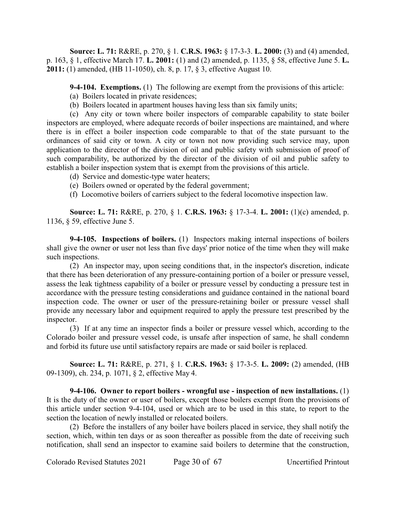**Source: L. 71:** R&RE, p. 270, § 1. **C.R.S. 1963:** § 17-3-3. **L. 2000:** (3) and (4) amended, p. 163, § 1, effective March 17. **L. 2001:** (1) and (2) amended, p. 1135, § 58, effective June 5. **L. 2011:** (1) amended, (HB 11-1050), ch. 8, p. 17, § 3, effective August 10.

**9-4-104. Exemptions.** (1) The following are exempt from the provisions of this article:

- (a) Boilers located in private residences;
- (b) Boilers located in apartment houses having less than six family units;

(c) Any city or town where boiler inspectors of comparable capability to state boiler inspectors are employed, where adequate records of boiler inspections are maintained, and where there is in effect a boiler inspection code comparable to that of the state pursuant to the ordinances of said city or town. A city or town not now providing such service may, upon application to the director of the division of oil and public safety with submission of proof of such comparability, be authorized by the director of the division of oil and public safety to establish a boiler inspection system that is exempt from the provisions of this article.

- (d) Service and domestic-type water heaters;
- (e) Boilers owned or operated by the federal government;
- (f) Locomotive boilers of carriers subject to the federal locomotive inspection law.

**Source: L. 71:** R&RE, p. 270, § 1. **C.R.S. 1963:** § 17-3-4. **L. 2001:** (1)(c) amended, p. 1136, § 59, effective June 5.

**9-4-105. Inspections of boilers.** (1) Inspectors making internal inspections of boilers shall give the owner or user not less than five days' prior notice of the time when they will make such inspections.

(2) An inspector may, upon seeing conditions that, in the inspector's discretion, indicate that there has been deterioration of any pressure-containing portion of a boiler or pressure vessel, assess the leak tightness capability of a boiler or pressure vessel by conducting a pressure test in accordance with the pressure testing considerations and guidance contained in the national board inspection code. The owner or user of the pressure-retaining boiler or pressure vessel shall provide any necessary labor and equipment required to apply the pressure test prescribed by the inspector.

(3) If at any time an inspector finds a boiler or pressure vessel which, according to the Colorado boiler and pressure vessel code, is unsafe after inspection of same, he shall condemn and forbid its future use until satisfactory repairs are made or said boiler is replaced.

**Source: L. 71:** R&RE, p. 271, § 1. **C.R.S. 1963:** § 17-3-5. **L. 2009:** (2) amended, (HB 09-1309), ch. 234, p. 1071, § 2, effective May 4.

**9-4-106. Owner to report boilers - wrongful use - inspection of new installations.** (1) It is the duty of the owner or user of boilers, except those boilers exempt from the provisions of this article under section 9-4-104, used or which are to be used in this state, to report to the section the location of newly installed or relocated boilers.

(2) Before the installers of any boiler have boilers placed in service, they shall notify the section, which, within ten days or as soon thereafter as possible from the date of receiving such notification, shall send an inspector to examine said boilers to determine that the construction,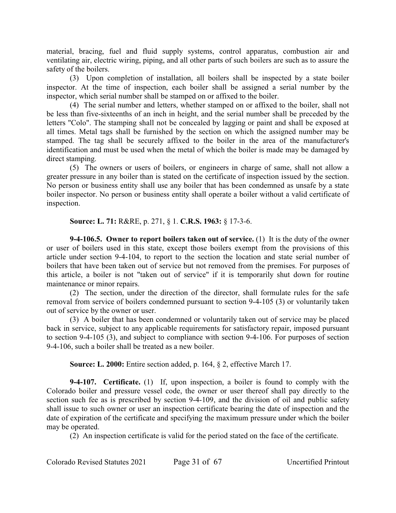material, bracing, fuel and fluid supply systems, control apparatus, combustion air and ventilating air, electric wiring, piping, and all other parts of such boilers are such as to assure the safety of the boilers.

(3) Upon completion of installation, all boilers shall be inspected by a state boiler inspector. At the time of inspection, each boiler shall be assigned a serial number by the inspector, which serial number shall be stamped on or affixed to the boiler.

(4) The serial number and letters, whether stamped on or affixed to the boiler, shall not be less than five-sixteenths of an inch in height, and the serial number shall be preceded by the letters "Colo". The stamping shall not be concealed by lagging or paint and shall be exposed at all times. Metal tags shall be furnished by the section on which the assigned number may be stamped. The tag shall be securely affixed to the boiler in the area of the manufacturer's identification and must be used when the metal of which the boiler is made may be damaged by direct stamping.

(5) The owners or users of boilers, or engineers in charge of same, shall not allow a greater pressure in any boiler than is stated on the certificate of inspection issued by the section. No person or business entity shall use any boiler that has been condemned as unsafe by a state boiler inspector. No person or business entity shall operate a boiler without a valid certificate of inspection.

**Source: L. 71:** R&RE, p. 271, § 1. **C.R.S. 1963:** § 17-3-6.

**9-4-106.5. Owner to report boilers taken out of service.** (1) It is the duty of the owner or user of boilers used in this state, except those boilers exempt from the provisions of this article under section 9-4-104, to report to the section the location and state serial number of boilers that have been taken out of service but not removed from the premises. For purposes of this article, a boiler is not "taken out of service" if it is temporarily shut down for routine maintenance or minor repairs.

(2) The section, under the direction of the director, shall formulate rules for the safe removal from service of boilers condemned pursuant to section 9-4-105 (3) or voluntarily taken out of service by the owner or user.

(3) A boiler that has been condemned or voluntarily taken out of service may be placed back in service, subject to any applicable requirements for satisfactory repair, imposed pursuant to section 9-4-105 (3), and subject to compliance with section 9-4-106. For purposes of section 9-4-106, such a boiler shall be treated as a new boiler.

**Source: L. 2000:** Entire section added, p. 164, § 2, effective March 17.

**9-4-107. Certificate.** (1) If, upon inspection, a boiler is found to comply with the Colorado boiler and pressure vessel code, the owner or user thereof shall pay directly to the section such fee as is prescribed by section 9-4-109, and the division of oil and public safety shall issue to such owner or user an inspection certificate bearing the date of inspection and the date of expiration of the certificate and specifying the maximum pressure under which the boiler may be operated.

(2) An inspection certificate is valid for the period stated on the face of the certificate.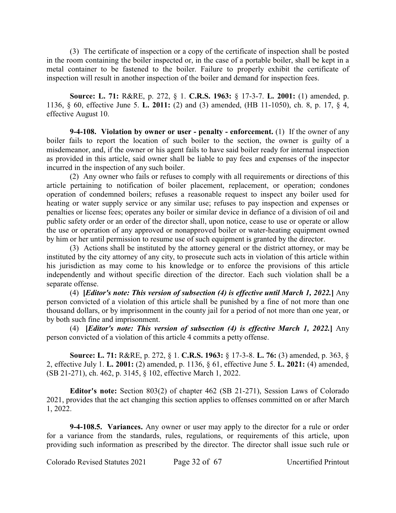(3) The certificate of inspection or a copy of the certificate of inspection shall be posted in the room containing the boiler inspected or, in the case of a portable boiler, shall be kept in a metal container to be fastened to the boiler. Failure to properly exhibit the certificate of inspection will result in another inspection of the boiler and demand for inspection fees.

**Source: L. 71:** R&RE, p. 272, § 1. **C.R.S. 1963:** § 17-3-7. **L. 2001:** (1) amended, p. 1136, § 60, effective June 5. **L. 2011:** (2) and (3) amended, (HB 11-1050), ch. 8, p. 17, § 4, effective August 10.

**9-4-108. Violation by owner or user - penalty - enforcement.** (1) If the owner of any boiler fails to report the location of such boiler to the section, the owner is guilty of a misdemeanor, and, if the owner or his agent fails to have said boiler ready for internal inspection as provided in this article, said owner shall be liable to pay fees and expenses of the inspector incurred in the inspection of any such boiler.

(2) Any owner who fails or refuses to comply with all requirements or directions of this article pertaining to notification of boiler placement, replacement, or operation; condones operation of condemned boilers; refuses a reasonable request to inspect any boiler used for heating or water supply service or any similar use; refuses to pay inspection and expenses or penalties or license fees; operates any boiler or similar device in defiance of a division of oil and public safety order or an order of the director shall, upon notice, cease to use or operate or allow the use or operation of any approved or nonapproved boiler or water-heating equipment owned by him or her until permission to resume use of such equipment is granted by the director.

(3) Actions shall be instituted by the attorney general or the district attorney, or may be instituted by the city attorney of any city, to prosecute such acts in violation of this article within his jurisdiction as may come to his knowledge or to enforce the provisions of this article independently and without specific direction of the director. Each such violation shall be a separate offense.

(4) **[***Editor's note: This version of subsection (4) is effective until March 1, 2022.***]** Any person convicted of a violation of this article shall be punished by a fine of not more than one thousand dollars, or by imprisonment in the county jail for a period of not more than one year, or by both such fine and imprisonment.

(4) **[***Editor's note: This version of subsection (4) is effective March 1, 2022.***]** Any person convicted of a violation of this article 4 commits a petty offense.

**Source: L. 71:** R&RE, p. 272, § 1. **C.R.S. 1963:** § 17-3-8. **L. 76:** (3) amended, p. 363, § 2, effective July 1. **L. 2001:** (2) amended, p. 1136, § 61, effective June 5. **L. 2021:** (4) amended, (SB 21-271), ch. 462, p. 3145, § 102, effective March 1, 2022.

**Editor's note:** Section 803(2) of chapter 462 (SB 21-271), Session Laws of Colorado 2021, provides that the act changing this section applies to offenses committed on or after March 1, 2022.

**9-4-108.5. Variances.** Any owner or user may apply to the director for a rule or order for a variance from the standards, rules, regulations, or requirements of this article, upon providing such information as prescribed by the director. The director shall issue such rule or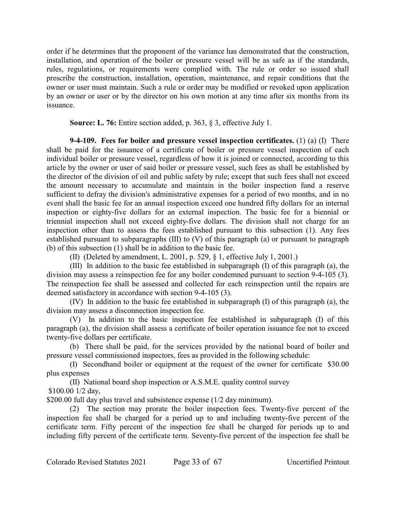order if he determines that the proponent of the variance has demonstrated that the construction, installation, and operation of the boiler or pressure vessel will be as safe as if the standards, rules, regulations, or requirements were complied with. The rule or order so issued shall prescribe the construction, installation, operation, maintenance, and repair conditions that the owner or user must maintain. Such a rule or order may be modified or revoked upon application by an owner or user or by the director on his own motion at any time after six months from its issuance.

**Source: L. 76:** Entire section added, p. 363, § 3, effective July 1.

**9-4-109. Fees for boiler and pressure vessel inspection certificates.** (1) (a) (I) There shall be paid for the issuance of a certificate of boiler or pressure vessel inspection of each individual boiler or pressure vessel, regardless of how it is joined or connected, according to this article by the owner or user of said boiler or pressure vessel, such fees as shall be established by the director of the division of oil and public safety by rule; except that such fees shall not exceed the amount necessary to accumulate and maintain in the boiler inspection fund a reserve sufficient to defray the division's administrative expenses for a period of two months, and in no event shall the basic fee for an annual inspection exceed one hundred fifty dollars for an internal inspection or eighty-five dollars for an external inspection. The basic fee for a biennial or triennial inspection shall not exceed eighty-five dollars. The division shall not charge for an inspection other than to assess the fees established pursuant to this subsection (1). Any fees established pursuant to subparagraphs (III) to (V) of this paragraph (a) or pursuant to paragraph (b) of this subsection (1) shall be in addition to the basic fee.

(II) (Deleted by amendment, L. 2001, p. 529, § 1, effective July 1, 2001.)

(III) In addition to the basic fee established in subparagraph (I) of this paragraph (a), the division may assess a reinspection fee for any boiler condemned pursuant to section 9-4-105 (3). The reinspection fee shall be assessed and collected for each reinspection until the repairs are deemed satisfactory in accordance with section 9-4-105 (3).

(IV) In addition to the basic fee established in subparagraph (I) of this paragraph (a), the division may assess a disconnection inspection fee.

(V) In addition to the basic inspection fee established in subparagraph (I) of this paragraph (a), the division shall assess a certificate of boiler operation issuance fee not to exceed twenty-five dollars per certificate.

(b) There shall be paid, for the services provided by the national board of boiler and pressure vessel commissioned inspectors, fees as provided in the following schedule:

(I) Secondhand boiler or equipment at the request of the owner for certificate \$30.00 plus expenses

(II) National board shop inspection or A.S.M.E. quality control survey

\$100.00 1/2 day,

\$200.00 full day plus travel and subsistence expense (1/2 day minimum).

(2) The section may prorate the boiler inspection fees. Twenty-five percent of the inspection fee shall be charged for a period up to and including twenty-five percent of the certificate term. Fifty percent of the inspection fee shall be charged for periods up to and including fifty percent of the certificate term. Seventy-five percent of the inspection fee shall be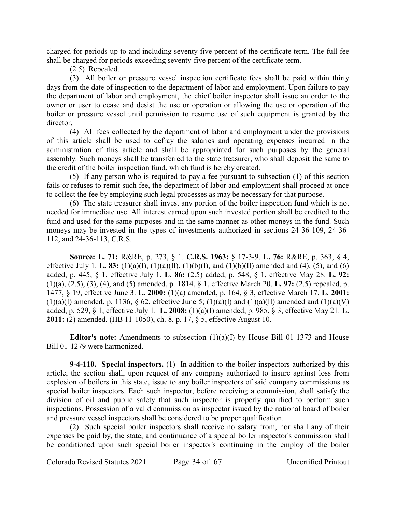charged for periods up to and including seventy-five percent of the certificate term. The full fee shall be charged for periods exceeding seventy-five percent of the certificate term.

(2.5) Repealed.

(3) All boiler or pressure vessel inspection certificate fees shall be paid within thirty days from the date of inspection to the department of labor and employment. Upon failure to pay the department of labor and employment, the chief boiler inspector shall issue an order to the owner or user to cease and desist the use or operation or allowing the use or operation of the boiler or pressure vessel until permission to resume use of such equipment is granted by the director.

(4) All fees collected by the department of labor and employment under the provisions of this article shall be used to defray the salaries and operating expenses incurred in the administration of this article and shall be appropriated for such purposes by the general assembly. Such moneys shall be transferred to the state treasurer, who shall deposit the same to the credit of the boiler inspection fund, which fund is hereby created.

(5) If any person who is required to pay a fee pursuant to subsection (1) of this section fails or refuses to remit such fee, the department of labor and employment shall proceed at once to collect the fee by employing such legal processes as may be necessary for that purpose.

(6) The state treasurer shall invest any portion of the boiler inspection fund which is not needed for immediate use. All interest earned upon such invested portion shall be credited to the fund and used for the same purposes and in the same manner as other moneys in the fund. Such moneys may be invested in the types of investments authorized in sections 24-36-109, 24-36- 112, and 24-36-113, C.R.S.

**Source: L. 71:** R&RE, p. 273, § 1. **C.R.S. 1963:** § 17-3-9. **L. 76:** R&RE, p. 363, § 4, effective July 1. **L. 83:** (1)(a)(I), (1)(a)(II), (1)(b)(I), and (1)(b)(II) amended and (4), (5), and (6) added, p. 445, § 1, effective July 1. **L. 86:** (2.5) added, p. 548, § 1, effective May 28. **L. 92:** (1)(a), (2.5), (3), (4), and (5) amended, p. 1814, § 1, effective March 20. **L. 97:** (2.5) repealed, p. 1477, § 19, effective June 3. **L. 2000:** (1)(a) amended, p. 164, § 3, effective March 17. **L. 2001:**  $(1)(a)(I)$  amended, p. 1136, § 62, effective June 5;  $(1)(a)(I)$  and  $(1)(a)(II)$  amended and  $(1)(a)(V)$ added, p. 529, § 1, effective July 1. **L. 2008:** (1)(a)(I) amended, p. 985, § 3, effective May 21. **L. 2011:** (2) amended, (HB 11-1050), ch. 8, p. 17, § 5, effective August 10.

**Editor's note:** Amendments to subsection (1)(a)(I) by House Bill 01-1373 and House Bill 01-1279 were harmonized.

**9-4-110. Special inspectors.** (1) In addition to the boiler inspectors authorized by this article, the section shall, upon request of any company authorized to insure against loss from explosion of boilers in this state, issue to any boiler inspectors of said company commissions as special boiler inspectors. Each such inspector, before receiving a commission, shall satisfy the division of oil and public safety that such inspector is properly qualified to perform such inspections. Possession of a valid commission as inspector issued by the national board of boiler and pressure vessel inspectors shall be considered to be proper qualification.

(2) Such special boiler inspectors shall receive no salary from, nor shall any of their expenses be paid by, the state, and continuance of a special boiler inspector's commission shall be conditioned upon such special boiler inspector's continuing in the employ of the boiler

Colorado Revised Statutes 2021 Page 34 of 67 Uncertified Printout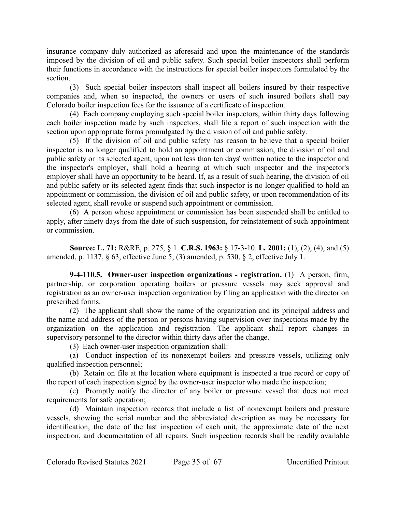insurance company duly authorized as aforesaid and upon the maintenance of the standards imposed by the division of oil and public safety. Such special boiler inspectors shall perform their functions in accordance with the instructions for special boiler inspectors formulated by the section.

(3) Such special boiler inspectors shall inspect all boilers insured by their respective companies and, when so inspected, the owners or users of such insured boilers shall pay Colorado boiler inspection fees for the issuance of a certificate of inspection.

(4) Each company employing such special boiler inspectors, within thirty days following each boiler inspection made by such inspectors, shall file a report of such inspection with the section upon appropriate forms promulgated by the division of oil and public safety.

(5) If the division of oil and public safety has reason to believe that a special boiler inspector is no longer qualified to hold an appointment or commission, the division of oil and public safety or its selected agent, upon not less than ten days' written notice to the inspector and the inspector's employer, shall hold a hearing at which such inspector and the inspector's employer shall have an opportunity to be heard. If, as a result of such hearing, the division of oil and public safety or its selected agent finds that such inspector is no longer qualified to hold an appointment or commission, the division of oil and public safety, or upon recommendation of its selected agent, shall revoke or suspend such appointment or commission.

(6) A person whose appointment or commission has been suspended shall be entitled to apply, after ninety days from the date of such suspension, for reinstatement of such appointment or commission.

**Source: L. 71:** R&RE, p. 275, § 1. **C.R.S. 1963:** § 17-3-10. **L. 2001:** (1), (2), (4), and (5) amended, p. 1137, § 63, effective June 5; (3) amended, p. 530, § 2, effective July 1.

**9-4-110.5. Owner-user inspection organizations - registration.** (1) A person, firm, partnership, or corporation operating boilers or pressure vessels may seek approval and registration as an owner-user inspection organization by filing an application with the director on prescribed forms.

(2) The applicant shall show the name of the organization and its principal address and the name and address of the person or persons having supervision over inspections made by the organization on the application and registration. The applicant shall report changes in supervisory personnel to the director within thirty days after the change.

(3) Each owner-user inspection organization shall:

(a) Conduct inspection of its nonexempt boilers and pressure vessels, utilizing only qualified inspection personnel;

(b) Retain on file at the location where equipment is inspected a true record or copy of the report of each inspection signed by the owner-user inspector who made the inspection;

(c) Promptly notify the director of any boiler or pressure vessel that does not meet requirements for safe operation;

(d) Maintain inspection records that include a list of nonexempt boilers and pressure vessels, showing the serial number and the abbreviated description as may be necessary for identification, the date of the last inspection of each unit, the approximate date of the next inspection, and documentation of all repairs. Such inspection records shall be readily available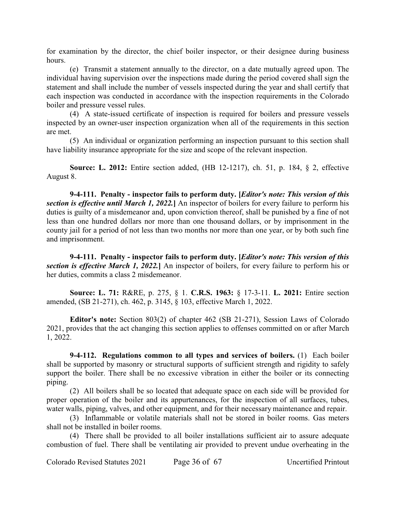for examination by the director, the chief boiler inspector, or their designee during business hours.

(e) Transmit a statement annually to the director, on a date mutually agreed upon. The individual having supervision over the inspections made during the period covered shall sign the statement and shall include the number of vessels inspected during the year and shall certify that each inspection was conducted in accordance with the inspection requirements in the Colorado boiler and pressure vessel rules.

(4) A state-issued certificate of inspection is required for boilers and pressure vessels inspected by an owner-user inspection organization when all of the requirements in this section are met.

(5) An individual or organization performing an inspection pursuant to this section shall have liability insurance appropriate for the size and scope of the relevant inspection.

**Source: L. 2012:** Entire section added, (HB 12-1217), ch. 51, p. 184, § 2, effective August 8.

**9-4-111. Penalty - inspector fails to perform duty. [***Editor's note: This version of this section is effective until March 1, 2022.***]** An inspector of boilers for every failure to perform his duties is guilty of a misdemeanor and, upon conviction thereof, shall be punished by a fine of not less than one hundred dollars nor more than one thousand dollars, or by imprisonment in the county jail for a period of not less than two months nor more than one year, or by both such fine and imprisonment.

**9-4-111. Penalty - inspector fails to perform duty. [***Editor's note: This version of this section is effective March 1, 2022.***]** An inspector of boilers, for every failure to perform his or her duties, commits a class 2 misdemeanor.

**Source: L. 71:** R&RE, p. 275, § 1. **C.R.S. 1963:** § 17-3-11. **L. 2021:** Entire section amended, (SB 21-271), ch. 462, p. 3145, § 103, effective March 1, 2022.

**Editor's note:** Section 803(2) of chapter 462 (SB 21-271), Session Laws of Colorado 2021, provides that the act changing this section applies to offenses committed on or after March 1, 2022.

**9-4-112. Regulations common to all types and services of boilers.** (1) Each boiler shall be supported by masonry or structural supports of sufficient strength and rigidity to safely support the boiler. There shall be no excessive vibration in either the boiler or its connecting piping.

(2) All boilers shall be so located that adequate space on each side will be provided for proper operation of the boiler and its appurtenances, for the inspection of all surfaces, tubes, water walls, piping, valves, and other equipment, and for their necessary maintenance and repair.

(3) Inflammable or volatile materials shall not be stored in boiler rooms. Gas meters shall not be installed in boiler rooms.

(4) There shall be provided to all boiler installations sufficient air to assure adequate combustion of fuel. There shall be ventilating air provided to prevent undue overheating in the

Colorado Revised Statutes 2021 Page 36 of 67 Uncertified Printout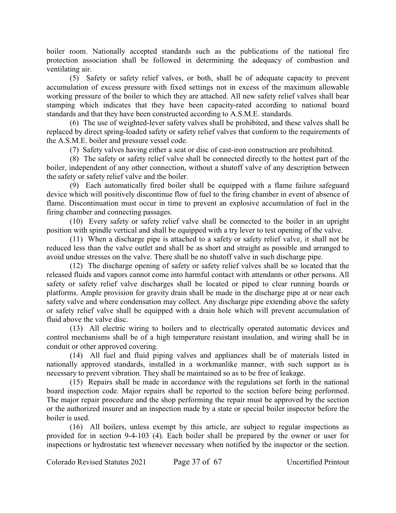boiler room. Nationally accepted standards such as the publications of the national fire protection association shall be followed in determining the adequacy of combustion and ventilating air.

(5) Safety or safety relief valves, or both, shall be of adequate capacity to prevent accumulation of excess pressure with fixed settings not in excess of the maximum allowable working pressure of the boiler to which they are attached. All new safety relief valves shall bear stamping which indicates that they have been capacity-rated according to national board standards and that they have been constructed according to A.S.M.E. standards.

(6) The use of weighted-lever safety valves shall be prohibited, and these valves shall be replaced by direct spring-loaded safety or safety relief valves that conform to the requirements of the A.S.M.E. boiler and pressure vessel code.

(7) Safety valves having either a seat or disc of cast-iron construction are prohibited.

(8) The safety or safety relief valve shall be connected directly to the hottest part of the boiler, independent of any other connection, without a shutoff valve of any description between the safety or safety relief valve and the boiler.

(9) Each automatically fired boiler shall be equipped with a flame failure safeguard device which will positively discontinue flow of fuel to the firing chamber in event of absence of flame. Discontinuation must occur in time to prevent an explosive accumulation of fuel in the firing chamber and connecting passages.

(10) Every safety or safety relief valve shall be connected to the boiler in an upright position with spindle vertical and shall be equipped with a try lever to test opening of the valve.

(11) When a discharge pipe is attached to a safety or safety relief valve, it shall not be reduced less than the valve outlet and shall be as short and straight as possible and arranged to avoid undue stresses on the valve. There shall be no shutoff valve in such discharge pipe.

(12) The discharge opening of safety or safety relief valves shall be so located that the released fluids and vapors cannot come into harmful contact with attendants or other persons. All safety or safety relief valve discharges shall be located or piped to clear running boards or platforms. Ample provision for gravity drain shall be made in the discharge pipe at or near each safety valve and where condensation may collect. Any discharge pipe extending above the safety or safety relief valve shall be equipped with a drain hole which will prevent accumulation of fluid above the valve disc.

(13) All electric wiring to boilers and to electrically operated automatic devices and control mechanisms shall be of a high temperature resistant insulation, and wiring shall be in conduit or other approved covering.

(14) All fuel and fluid piping valves and appliances shall be of materials listed in nationally approved standards, installed in a workmanlike manner, with such support as is necessary to prevent vibration. They shall be maintained so as to be free of leakage.

(15) Repairs shall be made in accordance with the regulations set forth in the national board inspection code. Major repairs shall be reported to the section before being performed. The major repair procedure and the shop performing the repair must be approved by the section or the authorized insurer and an inspection made by a state or special boiler inspector before the boiler is used.

(16) All boilers, unless exempt by this article, are subject to regular inspections as provided for in section 9-4-103 (4). Each boiler shall be prepared by the owner or user for inspections or hydrostatic test whenever necessary when notified by the inspector or the section.

Colorado Revised Statutes 2021 Page 37 of 67 Uncertified Printout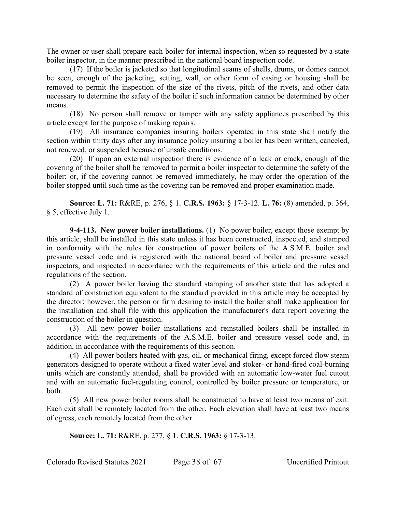The owner or user shall prepare each boiler for internal inspection, when so requested by a state boiler inspector, in the manner prescribed in the national board inspection code.

(17) If the boiler is jacketed so that longitudinal seams of shells, drums, or domes cannot be seen, enough of the jacketing, setting, wall, or other form of casing or housing shall be removed to permit the inspection of the size of the rivets, pitch of the rivets, and other data necessary to determine the safety of the boiler if such information cannot be determined by other means.

(18) No person shall remove or tamper with any safety appliances prescribed by this article except for the purpose of making repairs.

(19) All insurance companies insuring boilers operated in this state shall notify the section within thirty days after any insurance policy insuring a boiler has been written, canceled, not renewed, or suspended because of unsafe conditions.

(20) If upon an external inspection there is evidence of a leak or crack, enough of the covering of the boiler shall be removed to permit a boiler inspector to determine the safety of the boiler; or, if the covering cannot be removed immediately, he may order the operation of the boiler stopped until such time as the covering can be removed and proper examination made.

**Source: L. 71:** R&RE, p. 276, § 1. **C.R.S. 1963:** § 17-3-12. **L. 76:** (8) amended, p. 364, § 5, effective July 1.

**9-4-113. New power boiler installations.** (1) No power boiler, except those exempt by this article, shall be installed in this state unless it has been constructed, inspected, and stamped in conformity with the rules for construction of power boilers of the A.S.M.E. boiler and pressure vessel code and is registered with the national board of boiler and pressure vessel inspectors, and inspected in accordance with the requirements of this article and the rules and regulations of the section.

(2) A power boiler having the standard stamping of another state that has adopted a standard of construction equivalent to the standard provided in this article may be accepted by the director; however, the person or firm desiring to install the boiler shall make application for the installation and shall file with this application the manufacturer's data report covering the construction of the boiler in question.

(3) All new power boiler installations and reinstalled boilers shall be installed in accordance with the requirements of the A.S.M.E. boiler and pressure vessel code and, in addition, in accordance with the requirements of this section.

(4) All power boilers heated with gas, oil, or mechanical firing, except forced flow steam generators designed to operate without a fixed water level and stoker- or hand-fired coal-burning units which are constantly attended, shall be provided with an automatic low-water fuel cutout and with an automatic fuel-regulating control, controlled by boiler pressure or temperature, or both.

(5) All new power boiler rooms shall be constructed to have at least two means of exit. Each exit shall be remotely located from the other. Each elevation shall have at least two means of egress, each remotely located from the other.

**Source: L. 71:** R&RE, p. 277, § 1. **C.R.S. 1963:** § 17-3-13.

Colorado Revised Statutes 2021 Page 38 of 67 Uncertified Printout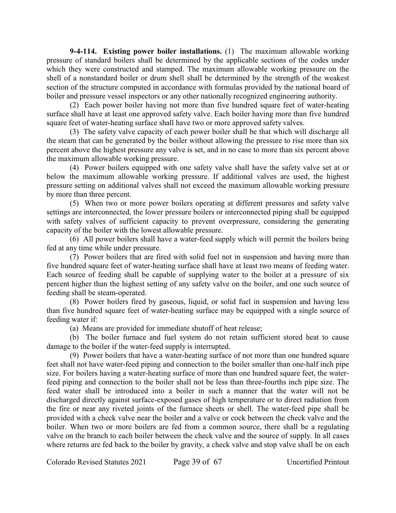**9-4-114. Existing power boiler installations.** (1) The maximum allowable working pressure of standard boilers shall be determined by the applicable sections of the codes under which they were constructed and stamped. The maximum allowable working pressure on the shell of a nonstandard boiler or drum shell shall be determined by the strength of the weakest section of the structure computed in accordance with formulas provided by the national board of boiler and pressure vessel inspectors or any other nationally recognized engineering authority.

(2) Each power boiler having not more than five hundred square feet of water-heating surface shall have at least one approved safety valve. Each boiler having more than five hundred square feet of water-heating surface shall have two or more approved safety valves.

(3) The safety valve capacity of each power boiler shall be that which will discharge all the steam that can be generated by the boiler without allowing the pressure to rise more than six percent above the highest pressure any valve is set, and in no case to more than six percent above the maximum allowable working pressure.

(4) Power boilers equipped with one safety valve shall have the safety valve set at or below the maximum allowable working pressure. If additional valves are used, the highest pressure setting on additional valves shall not exceed the maximum allowable working pressure by more than three percent.

(5) When two or more power boilers operating at different pressures and safety valve settings are interconnected, the lower pressure boilers or interconnected piping shall be equipped with safety valves of sufficient capacity to prevent overpressure, considering the generating capacity of the boiler with the lowest allowable pressure.

(6) All power boilers shall have a water-feed supply which will permit the boilers being fed at any time while under pressure.

(7) Power boilers that are fired with solid fuel not in suspension and having more than five hundred square feet of water-heating surface shall have at least two means of feeding water. Each source of feeding shall be capable of supplying water to the boiler at a pressure of six percent higher than the highest setting of any safety valve on the boiler, and one such source of feeding shall be steam-operated.

(8) Power boilers fired by gaseous, liquid, or solid fuel in suspension and having less than five hundred square feet of water-heating surface may be equipped with a single source of feeding water if:

(a) Means are provided for immediate shutoff of heat release;

(b) The boiler furnace and fuel system do not retain sufficient stored heat to cause damage to the boiler if the water-feed supply is interrupted.

(9) Power boilers that have a water-heating surface of not more than one hundred square feet shall not have water-feed piping and connection to the boiler smaller than one-half inch pipe size. For boilers having a water-heating surface of more than one hundred square feet, the waterfeed piping and connection to the boiler shall not be less than three-fourths inch pipe size. The feed water shall be introduced into a boiler in such a manner that the water will not be discharged directly against surface-exposed gases of high temperature or to direct radiation from the fire or near any riveted joints of the furnace sheets or shell. The water-feed pipe shall be provided with a check valve near the boiler and a valve or cock between the check valve and the boiler. When two or more boilers are fed from a common source, there shall be a regulating valve on the branch to each boiler between the check valve and the source of supply. In all cases where returns are fed back to the boiler by gravity, a check valve and stop valve shall be on each

Colorado Revised Statutes 2021 Page 39 of 67 Uncertified Printout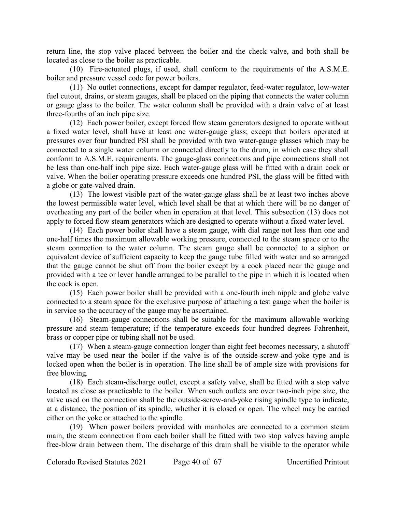return line, the stop valve placed between the boiler and the check valve, and both shall be located as close to the boiler as practicable.

(10) Fire-actuated plugs, if used, shall conform to the requirements of the A.S.M.E. boiler and pressure vessel code for power boilers.

(11) No outlet connections, except for damper regulator, feed-water regulator, low-water fuel cutout, drains, or steam gauges, shall be placed on the piping that connects the water column or gauge glass to the boiler. The water column shall be provided with a drain valve of at least three-fourths of an inch pipe size.

(12) Each power boiler, except forced flow steam generators designed to operate without a fixed water level, shall have at least one water-gauge glass; except that boilers operated at pressures over four hundred PSI shall be provided with two water-gauge glasses which may be connected to a single water column or connected directly to the drum, in which case they shall conform to A.S.M.E. requirements. The gauge-glass connections and pipe connections shall not be less than one-half inch pipe size. Each water-gauge glass will be fitted with a drain cock or valve. When the boiler operating pressure exceeds one hundred PSI, the glass will be fitted with a globe or gate-valved drain.

(13) The lowest visible part of the water-gauge glass shall be at least two inches above the lowest permissible water level, which level shall be that at which there will be no danger of overheating any part of the boiler when in operation at that level. This subsection (13) does not apply to forced flow steam generators which are designed to operate without a fixed water level.

(14) Each power boiler shall have a steam gauge, with dial range not less than one and one-half times the maximum allowable working pressure, connected to the steam space or to the steam connection to the water column. The steam gauge shall be connected to a siphon or equivalent device of sufficient capacity to keep the gauge tube filled with water and so arranged that the gauge cannot be shut off from the boiler except by a cock placed near the gauge and provided with a tee or lever handle arranged to be parallel to the pipe in which it is located when the cock is open.

(15) Each power boiler shall be provided with a one-fourth inch nipple and globe valve connected to a steam space for the exclusive purpose of attaching a test gauge when the boiler is in service so the accuracy of the gauge may be ascertained.

(16) Steam-gauge connections shall be suitable for the maximum allowable working pressure and steam temperature; if the temperature exceeds four hundred degrees Fahrenheit, brass or copper pipe or tubing shall not be used.

(17) When a steam-gauge connection longer than eight feet becomes necessary, a shutoff valve may be used near the boiler if the valve is of the outside-screw-and-yoke type and is locked open when the boiler is in operation. The line shall be of ample size with provisions for free blowing.

(18) Each steam-discharge outlet, except a safety valve, shall be fitted with a stop valve located as close as practicable to the boiler. When such outlets are over two-inch pipe size, the valve used on the connection shall be the outside-screw-and-yoke rising spindle type to indicate, at a distance, the position of its spindle, whether it is closed or open. The wheel may be carried either on the yoke or attached to the spindle.

(19) When power boilers provided with manholes are connected to a common steam main, the steam connection from each boiler shall be fitted with two stop valves having ample free-blow drain between them. The discharge of this drain shall be visible to the operator while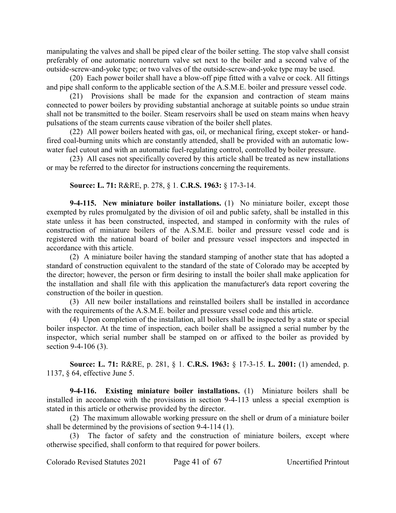manipulating the valves and shall be piped clear of the boiler setting. The stop valve shall consist preferably of one automatic nonreturn valve set next to the boiler and a second valve of the outside-screw-and-yoke type; or two valves of the outside-screw-and-yoke type may be used.

(20) Each power boiler shall have a blow-off pipe fitted with a valve or cock. All fittings and pipe shall conform to the applicable section of the A.S.M.E. boiler and pressure vessel code.

(21) Provisions shall be made for the expansion and contraction of steam mains connected to power boilers by providing substantial anchorage at suitable points so undue strain shall not be transmitted to the boiler. Steam reservoirs shall be used on steam mains when heavy pulsations of the steam currents cause vibration of the boiler shell plates.

(22) All power boilers heated with gas, oil, or mechanical firing, except stoker- or handfired coal-burning units which are constantly attended, shall be provided with an automatic lowwater fuel cutout and with an automatic fuel-regulating control, controlled by boiler pressure.

(23) All cases not specifically covered by this article shall be treated as new installations or may be referred to the director for instructions concerning the requirements.

#### **Source: L. 71:** R&RE, p. 278, § 1. **C.R.S. 1963:** § 17-3-14.

**9-4-115. New miniature boiler installations.** (1) No miniature boiler, except those exempted by rules promulgated by the division of oil and public safety, shall be installed in this state unless it has been constructed, inspected, and stamped in conformity with the rules of construction of miniature boilers of the A.S.M.E. boiler and pressure vessel code and is registered with the national board of boiler and pressure vessel inspectors and inspected in accordance with this article.

(2) A miniature boiler having the standard stamping of another state that has adopted a standard of construction equivalent to the standard of the state of Colorado may be accepted by the director; however, the person or firm desiring to install the boiler shall make application for the installation and shall file with this application the manufacturer's data report covering the construction of the boiler in question.

(3) All new boiler installations and reinstalled boilers shall be installed in accordance with the requirements of the A.S.M.E. boiler and pressure vessel code and this article.

(4) Upon completion of the installation, all boilers shall be inspected by a state or special boiler inspector. At the time of inspection, each boiler shall be assigned a serial number by the inspector, which serial number shall be stamped on or affixed to the boiler as provided by section 9-4-106 (3).

**Source: L. 71:** R&RE, p. 281, § 1. **C.R.S. 1963:** § 17-3-15. **L. 2001:** (1) amended, p. 1137, § 64, effective June 5.

**9-4-116. Existing miniature boiler installations.** (1) Miniature boilers shall be installed in accordance with the provisions in section 9-4-113 unless a special exemption is stated in this article or otherwise provided by the director.

(2) The maximum allowable working pressure on the shell or drum of a miniature boiler shall be determined by the provisions of section 9-4-114 (1).

The factor of safety and the construction of miniature boilers, except where otherwise specified, shall conform to that required for power boilers.

Colorado Revised Statutes 2021 Page 41 of 67 Uncertified Printout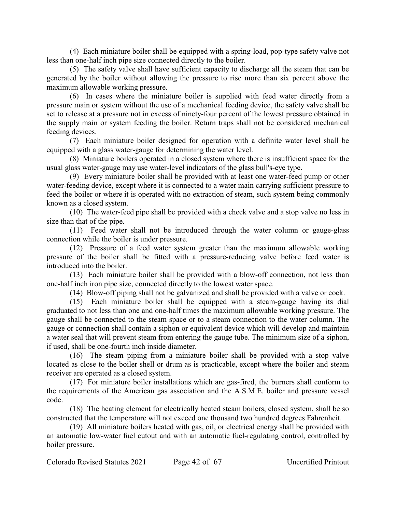(4) Each miniature boiler shall be equipped with a spring-load, pop-type safety valve not less than one-half inch pipe size connected directly to the boiler.

(5) The safety valve shall have sufficient capacity to discharge all the steam that can be generated by the boiler without allowing the pressure to rise more than six percent above the maximum allowable working pressure.

(6) In cases where the miniature boiler is supplied with feed water directly from a pressure main or system without the use of a mechanical feeding device, the safety valve shall be set to release at a pressure not in excess of ninety-four percent of the lowest pressure obtained in the supply main or system feeding the boiler. Return traps shall not be considered mechanical feeding devices.

(7) Each miniature boiler designed for operation with a definite water level shall be equipped with a glass water-gauge for determining the water level.

(8) Miniature boilers operated in a closed system where there is insufficient space for the usual glass water-gauge may use water-level indicators of the glass bull's-eye type.

(9) Every miniature boiler shall be provided with at least one water-feed pump or other water-feeding device, except where it is connected to a water main carrying sufficient pressure to feed the boiler or where it is operated with no extraction of steam, such system being commonly known as a closed system.

(10) The water-feed pipe shall be provided with a check valve and a stop valve no less in size than that of the pipe.

(11) Feed water shall not be introduced through the water column or gauge-glass connection while the boiler is under pressure.

(12) Pressure of a feed water system greater than the maximum allowable working pressure of the boiler shall be fitted with a pressure-reducing valve before feed water is introduced into the boiler.

(13) Each miniature boiler shall be provided with a blow-off connection, not less than one-half inch iron pipe size, connected directly to the lowest water space.

(14) Blow-off piping shall not be galvanized and shall be provided with a valve or cock.

(15) Each miniature boiler shall be equipped with a steam-gauge having its dial graduated to not less than one and one-half times the maximum allowable working pressure. The gauge shall be connected to the steam space or to a steam connection to the water column. The gauge or connection shall contain a siphon or equivalent device which will develop and maintain a water seal that will prevent steam from entering the gauge tube. The minimum size of a siphon, if used, shall be one-fourth inch inside diameter.

(16) The steam piping from a miniature boiler shall be provided with a stop valve located as close to the boiler shell or drum as is practicable, except where the boiler and steam receiver are operated as a closed system.

(17) For miniature boiler installations which are gas-fired, the burners shall conform to the requirements of the American gas association and the A.S.M.E. boiler and pressure vessel code.

(18) The heating element for electrically heated steam boilers, closed system, shall be so constructed that the temperature will not exceed one thousand two hundred degrees Fahrenheit.

(19) All miniature boilers heated with gas, oil, or electrical energy shall be provided with an automatic low-water fuel cutout and with an automatic fuel-regulating control, controlled by boiler pressure.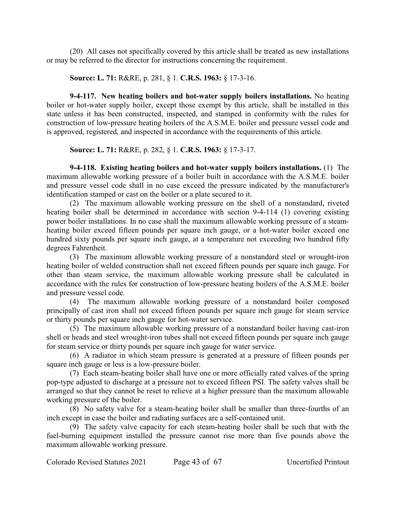(20) All cases not specifically covered by this article shall be treated as new installations or may be referred to the director for instructions concerning the requirement.

**Source: L. 71:** R&RE, p. 281, § 1. **C.R.S. 1963:** § 17-3-16.

**9-4-117. New heating boilers and hot-water supply boilers installations.** No heating boiler or hot-water supply boiler, except those exempt by this article, shall be installed in this state unless it has been constructed, inspected, and stamped in conformity with the rules for construction of low-pressure heating boilers of the A.S.M.E. boiler and pressure vessel code and is approved, registered, and inspected in accordance with the requirements of this article.

**Source: L. 71:** R&RE, p. 282, § 1. **C.R.S. 1963:** § 17-3-17.

**9-4-118. Existing heating boilers and hot-water supply boilers installations.** (1) The maximum allowable working pressure of a boiler built in accordance with the A.S.M.E. boiler and pressure vessel code shall in no case exceed the pressure indicated by the manufacturer's identification stamped or cast on the boiler or a plate secured to it.

(2) The maximum allowable working pressure on the shell of a nonstandard, riveted heating boiler shall be determined in accordance with section 9-4-114 (1) covering existing power boiler installations. In no case shall the maximum allowable working pressure of a steamheating boiler exceed fifteen pounds per square inch gauge, or a hot-water boiler exceed one hundred sixty pounds per square inch gauge, at a temperature not exceeding two hundred fifty degrees Fahrenheit.

(3) The maximum allowable working pressure of a nonstandard steel or wrought-iron heating boiler of welded construction shall not exceed fifteen pounds per square inch gauge. For other than steam service, the maximum allowable working pressure shall be calculated in accordance with the rules for construction of low-pressure heating boilers of the A.S.M.E. boiler and pressure vessel code.

(4) The maximum allowable working pressure of a nonstandard boiler composed principally of cast iron shall not exceed fifteen pounds per square inch gauge for steam service or thirty pounds per square inch gauge for hot-water service.

(5) The maximum allowable working pressure of a nonstandard boiler having cast-iron shell or heads and steel wrought-iron tubes shall not exceed fifteen pounds per square inch gauge for steam service or thirty pounds per square inch gauge for water service.

(6) A radiator in which steam pressure is generated at a pressure of fifteen pounds per square inch gauge or less is a low-pressure boiler.

(7) Each steam-heating boiler shall have one or more officially rated valves of the spring pop-type adjusted to discharge at a pressure not to exceed fifteen PSI. The safety valves shall be arranged so that they cannot be reset to relieve at a higher pressure than the maximum allowable working pressure of the boiler.

(8) No safety valve for a steam-heating boiler shall be smaller than three-fourths of an inch except in case the boiler and radiating surfaces are a self-contained unit.

(9) The safety valve capacity for each steam-heating boiler shall be such that with the fuel-burning equipment installed the pressure cannot rise more than five pounds above the maximum allowable working pressure.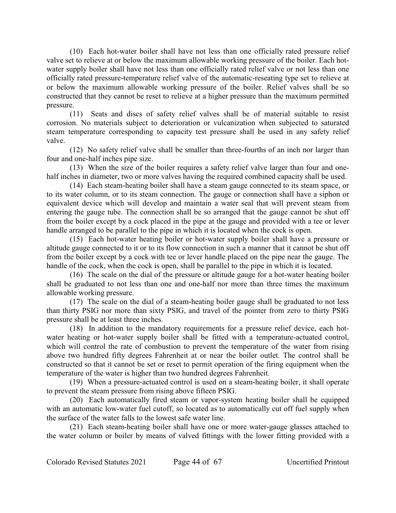(10) Each hot-water boiler shall have not less than one officially rated pressure relief valve set to relieve at or below the maximum allowable working pressure of the boiler. Each hotwater supply boiler shall have not less than one officially rated relief valve or not less than one officially rated pressure-temperature relief valve of the automatic-reseating type set to relieve at or below the maximum allowable working pressure of the boiler. Relief valves shall be so constructed that they cannot be reset to relieve at a higher pressure than the maximum permitted pressure.

(11) Seats and discs of safety relief valves shall be of material suitable to resist corrosion. No materials subject to deterioration or vulcanization when subjected to saturated steam temperature corresponding to capacity test pressure shall be used in any safety relief valve.

(12) No safety relief valve shall be smaller than three-fourths of an inch nor larger than four and one-half inches pipe size.

(13) When the size of the boiler requires a safety relief valve larger than four and onehalf inches in diameter, two or more valves having the required combined capacity shall be used.

(14) Each steam-heating boiler shall have a steam gauge connected to its steam space, or to its water column, or to its steam connection. The gauge or connection shall have a siphon or equivalent device which will develop and maintain a water seal that will prevent steam from entering the gauge tube. The connection shall be so arranged that the gauge cannot be shut off from the boiler except by a cock placed in the pipe at the gauge and provided with a tee or lever handle arranged to be parallel to the pipe in which it is located when the cock is open.

(15) Each hot-water heating boiler or hot-water supply boiler shall have a pressure or altitude gauge connected to it or to its flow connection in such a manner that it cannot be shut off from the boiler except by a cock with tee or lever handle placed on the pipe near the gauge. The handle of the cock, when the cock is open, shall be parallel to the pipe in which it is located.

(16) The scale on the dial of the pressure or altitude gauge for a hot-water heating boiler shall be graduated to not less than one and one-half nor more than three times the maximum allowable working pressure.

(17) The scale on the dial of a steam-heating boiler gauge shall be graduated to not less than thirty PSIG nor more than sixty PSIG, and travel of the pointer from zero to thirty PSIG pressure shall be at least three inches.

(18) In addition to the mandatory requirements for a pressure relief device, each hotwater heating or hot-water supply boiler shall be fitted with a temperature-actuated control, which will control the rate of combustion to prevent the temperature of the water from rising above two hundred fifty degrees Fahrenheit at or near the boiler outlet. The control shall be constructed so that it cannot be set or reset to permit operation of the firing equipment when the temperature of the water is higher than two hundred degrees Fahrenheit.

(19) When a pressure-actuated control is used on a steam-heating boiler, it shall operate to prevent the steam pressure from rising above fifteen PSIG.

(20) Each automatically fired steam or vapor-system heating boiler shall be equipped with an automatic low-water fuel cutoff, so located as to automatically cut off fuel supply when the surface of the water falls to the lowest safe water line.

(21) Each steam-heating boiler shall have one or more water-gauge glasses attached to the water column or boiler by means of valved fittings with the lower fitting provided with a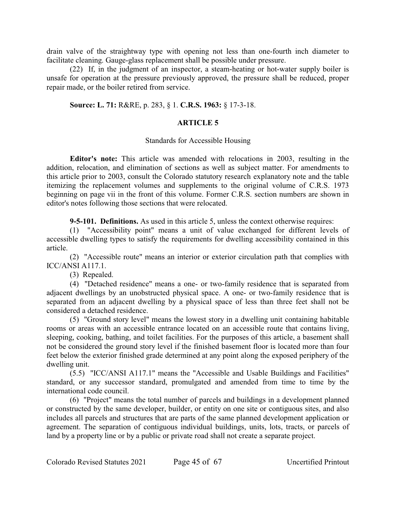drain valve of the straightway type with opening not less than one-fourth inch diameter to facilitate cleaning. Gauge-glass replacement shall be possible under pressure.

(22) If, in the judgment of an inspector, a steam-heating or hot-water supply boiler is unsafe for operation at the pressure previously approved, the pressure shall be reduced, proper repair made, or the boiler retired from service.

#### **Source: L. 71:** R&RE, p. 283, § 1. **C.R.S. 1963:** § 17-3-18.

#### **ARTICLE 5**

#### Standards for Accessible Housing

**Editor's note:** This article was amended with relocations in 2003, resulting in the addition, relocation, and elimination of sections as well as subject matter. For amendments to this article prior to 2003, consult the Colorado statutory research explanatory note and the table itemizing the replacement volumes and supplements to the original volume of C.R.S. 1973 beginning on page vii in the front of this volume. Former C.R.S. section numbers are shown in editor's notes following those sections that were relocated.

**9-5-101. Definitions.** As used in this article 5, unless the context otherwise requires:

(1) "Accessibility point" means a unit of value exchanged for different levels of accessible dwelling types to satisfy the requirements for dwelling accessibility contained in this article.

(2) "Accessible route" means an interior or exterior circulation path that complies with ICC/ANSI A117.1.

(3) Repealed.

(4) "Detached residence" means a one- or two-family residence that is separated from adjacent dwellings by an unobstructed physical space. A one- or two-family residence that is separated from an adjacent dwelling by a physical space of less than three feet shall not be considered a detached residence.

(5) "Ground story level" means the lowest story in a dwelling unit containing habitable rooms or areas with an accessible entrance located on an accessible route that contains living, sleeping, cooking, bathing, and toilet facilities. For the purposes of this article, a basement shall not be considered the ground story level if the finished basement floor is located more than four feet below the exterior finished grade determined at any point along the exposed periphery of the dwelling unit.

(5.5) "ICC/ANSI A117.1" means the "Accessible and Usable Buildings and Facilities" standard, or any successor standard, promulgated and amended from time to time by the international code council.

(6) "Project" means the total number of parcels and buildings in a development planned or constructed by the same developer, builder, or entity on one site or contiguous sites, and also includes all parcels and structures that are parts of the same planned development application or agreement. The separation of contiguous individual buildings, units, lots, tracts, or parcels of land by a property line or by a public or private road shall not create a separate project.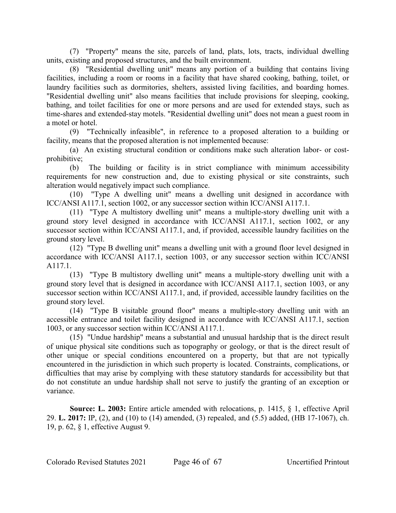(7) "Property" means the site, parcels of land, plats, lots, tracts, individual dwelling units, existing and proposed structures, and the built environment.

(8) "Residential dwelling unit" means any portion of a building that contains living facilities, including a room or rooms in a facility that have shared cooking, bathing, toilet, or laundry facilities such as dormitories, shelters, assisted living facilities, and boarding homes. "Residential dwelling unit" also means facilities that include provisions for sleeping, cooking, bathing, and toilet facilities for one or more persons and are used for extended stays, such as time-shares and extended-stay motels. "Residential dwelling unit" does not mean a guest room in a motel or hotel.

(9) "Technically infeasible", in reference to a proposed alteration to a building or facility, means that the proposed alteration is not implemented because:

(a) An existing structural condition or conditions make such alteration labor- or costprohibitive;

(b) The building or facility is in strict compliance with minimum accessibility requirements for new construction and, due to existing physical or site constraints, such alteration would negatively impact such compliance.

(10) "Type A dwelling unit" means a dwelling unit designed in accordance with ICC/ANSI A117.1, section 1002, or any successor section within ICC/ANSI A117.1.

(11) "Type A multistory dwelling unit" means a multiple-story dwelling unit with a ground story level designed in accordance with ICC/ANSI A117.1, section 1002, or any successor section within ICC/ANSI A117.1, and, if provided, accessible laundry facilities on the ground story level.

(12) "Type B dwelling unit" means a dwelling unit with a ground floor level designed in accordance with ICC/ANSI A117.1, section 1003, or any successor section within ICC/ANSI A117.1.

(13) "Type B multistory dwelling unit" means a multiple-story dwelling unit with a ground story level that is designed in accordance with ICC/ANSI A117.1, section 1003, or any successor section within ICC/ANSI A117.1, and, if provided, accessible laundry facilities on the ground story level.

(14) "Type B visitable ground floor" means a multiple-story dwelling unit with an accessible entrance and toilet facility designed in accordance with ICC/ANSI A117.1, section 1003, or any successor section within ICC/ANSI A117.1.

(15) "Undue hardship" means a substantial and unusual hardship that is the direct result of unique physical site conditions such as topography or geology, or that is the direct result of other unique or special conditions encountered on a property, but that are not typically encountered in the jurisdiction in which such property is located. Constraints, complications, or difficulties that may arise by complying with these statutory standards for accessibility but that do not constitute an undue hardship shall not serve to justify the granting of an exception or variance.

**Source: L. 2003:** Entire article amended with relocations, p. 1415, § 1, effective April 29. **L. 2017:** IP, (2), and (10) to (14) amended, (3) repealed, and (5.5) added, (HB 17-1067), ch. 19, p. 62, § 1, effective August 9.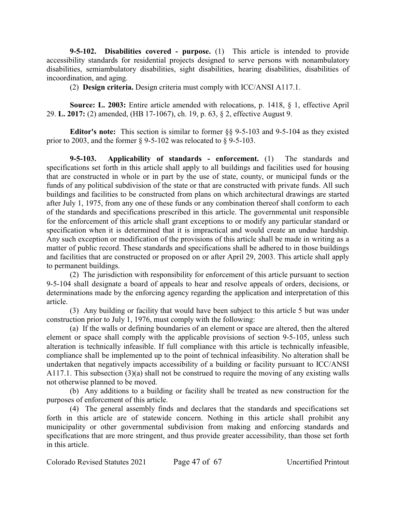**9-5-102. Disabilities covered - purpose.** (1) This article is intended to provide accessibility standards for residential projects designed to serve persons with nonambulatory disabilities, semiambulatory disabilities, sight disabilities, hearing disabilities, disabilities of incoordination, and aging.

(2) **Design criteria.** Design criteria must comply with ICC/ANSI A117.1.

**Source: L. 2003:** Entire article amended with relocations, p. 1418, § 1, effective April 29. **L. 2017:** (2) amended, (HB 17-1067), ch. 19, p. 63, § 2, effective August 9.

**Editor's note:** This section is similar to former §§ 9-5-103 and 9-5-104 as they existed prior to 2003, and the former  $\S$  9-5-102 was relocated to  $\S$  9-5-103.

**9-5-103. Applicability of standards - enforcement.** (1) The standards and specifications set forth in this article shall apply to all buildings and facilities used for housing that are constructed in whole or in part by the use of state, county, or municipal funds or the funds of any political subdivision of the state or that are constructed with private funds. All such buildings and facilities to be constructed from plans on which architectural drawings are started after July 1, 1975, from any one of these funds or any combination thereof shall conform to each of the standards and specifications prescribed in this article. The governmental unit responsible for the enforcement of this article shall grant exceptions to or modify any particular standard or specification when it is determined that it is impractical and would create an undue hardship. Any such exception or modification of the provisions of this article shall be made in writing as a matter of public record. These standards and specifications shall be adhered to in those buildings and facilities that are constructed or proposed on or after April 29, 2003. This article shall apply to permanent buildings.

(2) The jurisdiction with responsibility for enforcement of this article pursuant to section 9-5-104 shall designate a board of appeals to hear and resolve appeals of orders, decisions, or determinations made by the enforcing agency regarding the application and interpretation of this article.

(3) Any building or facility that would have been subject to this article 5 but was under construction prior to July 1, 1976, must comply with the following:

(a) If the walls or defining boundaries of an element or space are altered, then the altered element or space shall comply with the applicable provisions of section 9-5-105, unless such alteration is technically infeasible. If full compliance with this article is technically infeasible, compliance shall be implemented up to the point of technical infeasibility. No alteration shall be undertaken that negatively impacts accessibility of a building or facility pursuant to ICC/ANSI A117.1. This subsection (3)(a) shall not be construed to require the moving of any existing walls not otherwise planned to be moved.

(b) Any additions to a building or facility shall be treated as new construction for the purposes of enforcement of this article.

(4) The general assembly finds and declares that the standards and specifications set forth in this article are of statewide concern. Nothing in this article shall prohibit any municipality or other governmental subdivision from making and enforcing standards and specifications that are more stringent, and thus provide greater accessibility, than those set forth in this article.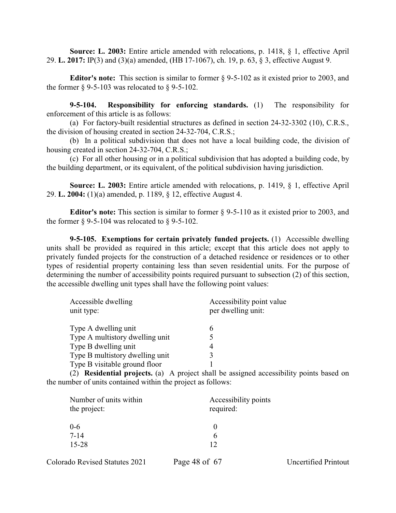**Source: L. 2003:** Entire article amended with relocations, p. 1418, § 1, effective April 29. **L. 2017:** IP(3) and (3)(a) amended, (HB 17-1067), ch. 19, p. 63, § 3, effective August 9.

**Editor's note:** This section is similar to former § 9-5-102 as it existed prior to 2003, and the former  $\S$  9-5-103 was relocated to  $\S$  9-5-102.

**9-5-104. Responsibility for enforcing standards.** (1) The responsibility for enforcement of this article is as follows:

(a) For factory-built residential structures as defined in section 24-32-3302 (10), C.R.S., the division of housing created in section 24-32-704, C.R.S.;

(b) In a political subdivision that does not have a local building code, the division of housing created in section 24-32-704, C.R.S.;

(c) For all other housing or in a political subdivision that has adopted a building code, by the building department, or its equivalent, of the political subdivision having jurisdiction.

**Source: L. 2003:** Entire article amended with relocations, p. 1419, § 1, effective April 29. **L. 2004:** (1)(a) amended, p. 1189, § 12, effective August 4.

**Editor's note:** This section is similar to former § 9-5-110 as it existed prior to 2003, and the former  $\S$  9-5-104 was relocated to  $\S$  9-5-102.

**9-5-105. Exemptions for certain privately funded projects.** (1) Accessible dwelling units shall be provided as required in this article; except that this article does not apply to privately funded projects for the construction of a detached residence or residences or to other types of residential property containing less than seven residential units. For the purpose of determining the number of accessibility points required pursuant to subsection (2) of this section, the accessible dwelling unit types shall have the following point values:

| Accessible dwelling<br>unit type: | Accessibility point value<br>per dwelling unit: |
|-----------------------------------|-------------------------------------------------|
| Type A dwelling unit              | 6                                               |
| Type A multistory dwelling unit   | 5                                               |
| Type B dwelling unit              | 4                                               |
| Type B multistory dwelling unit   | 3                                               |
| Type B visitable ground floor     |                                                 |

(2) **Residential projects.** (a) A project shall be assigned accessibility points based on the number of units contained within the project as follows:

| Number of units within           | Accessibility points |
|----------------------------------|----------------------|
| the project:                     | required:            |
| $0 - 6$<br>$7 - 14$<br>$15 - 28$ | h<br>12              |

| Colorado Revised Statutes 2021 | Page 48 of 67 | Un |
|--------------------------------|---------------|----|
|--------------------------------|---------------|----|

certified Printout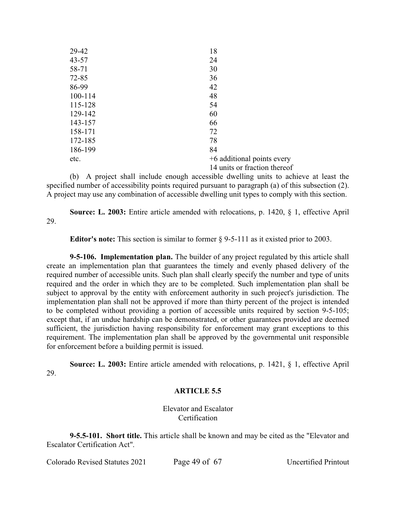| 29-42     | 18                           |
|-----------|------------------------------|
| $43 - 57$ | 24                           |
| 58-71     | 30                           |
| $72 - 85$ | 36                           |
| 86-99     | 42                           |
| 100-114   | 48                           |
| 115-128   | 54                           |
| 129-142   | 60                           |
| 143-157   | 66                           |
| 158-171   | 72                           |
| 172-185   | 78                           |
| 186-199   | 84                           |
| etc.      | +6 additional points every   |
|           | 14 units or fraction thereof |

(b) A project shall include enough accessible dwelling units to achieve at least the specified number of accessibility points required pursuant to paragraph (a) of this subsection (2). A project may use any combination of accessible dwelling unit types to comply with this section.

**Source: L. 2003:** Entire article amended with relocations, p. 1420, § 1, effective April 29.

**Editor's note:** This section is similar to former § 9-5-111 as it existed prior to 2003.

**9-5-106. Implementation plan.** The builder of any project regulated by this article shall create an implementation plan that guarantees the timely and evenly phased delivery of the required number of accessible units. Such plan shall clearly specify the number and type of units required and the order in which they are to be completed. Such implementation plan shall be subject to approval by the entity with enforcement authority in such project's jurisdiction. The implementation plan shall not be approved if more than thirty percent of the project is intended to be completed without providing a portion of accessible units required by section 9-5-105; except that, if an undue hardship can be demonstrated, or other guarantees provided are deemed sufficient, the jurisdiction having responsibility for enforcement may grant exceptions to this requirement. The implementation plan shall be approved by the governmental unit responsible for enforcement before a building permit is issued.

**Source: L. 2003:** Entire article amended with relocations, p. 1421, § 1, effective April 29.

#### **ARTICLE 5.5**

Elevator and Escalator **Certification** 

**9-5.5-101. Short title.** This article shall be known and may be cited as the "Elevator and Escalator Certification Act".

Colorado Revised Statutes 2021 Page 49 of 67 Uncertified Printout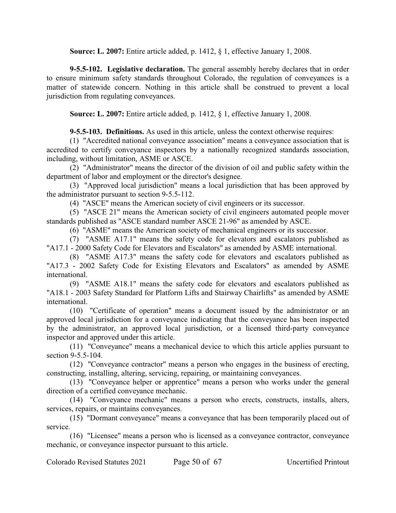**Source: L. 2007:** Entire article added, p. 1412, § 1, effective January 1, 2008.

**9-5.5-102. Legislative declaration.** The general assembly hereby declares that in order to ensure minimum safety standards throughout Colorado, the regulation of conveyances is a matter of statewide concern. Nothing in this article shall be construed to prevent a local jurisdiction from regulating conveyances.

**Source: L. 2007:** Entire article added, p. 1412, § 1, effective January 1, 2008.

**9-5.5-103. Definitions.** As used in this article, unless the context otherwise requires:

(1) "Accredited national conveyance association" means a conveyance association that is accredited to certify conveyance inspectors by a nationally recognized standards association, including, without limitation, ASME or ASCE.

(2) "Administrator" means the director of the division of oil and public safety within the department of labor and employment or the director's designee.

(3) "Approved local jurisdiction" means a local jurisdiction that has been approved by the administrator pursuant to section 9-5.5-112.

(4) "ASCE" means the American society of civil engineers or its successor.

(5) "ASCE 21" means the American society of civil engineers automated people mover standards published as "ASCE standard number ASCE 21-96" as amended by ASCE.

(6) "ASME" means the American society of mechanical engineers or its successor.

(7) "ASME A17.1" means the safety code for elevators and escalators published as "A17.1 - 2000 Safety Code for Elevators and Escalators" as amended by ASME international.

(8) "ASME A17.3" means the safety code for elevators and escalators published as "A17.3 - 2002 Safety Code for Existing Elevators and Escalators" as amended by ASME international.

(9) "ASME A18.1" means the safety code for elevators and escalators published as "A18.1 - 2003 Safety Standard for Platform Lifts and Stairway Chairlifts" as amended by ASME international.

(10) "Certificate of operation" means a document issued by the administrator or an approved local jurisdiction for a conveyance indicating that the conveyance has been inspected by the administrator, an approved local jurisdiction, or a licensed third-party conveyance inspector and approved under this article.

(11) "Conveyance" means a mechanical device to which this article applies pursuant to section 9-5.5-104.

(12) "Conveyance contractor" means a person who engages in the business of erecting, constructing, installing, altering, servicing, repairing, or maintaining conveyances.

(13) "Conveyance helper or apprentice" means a person who works under the general direction of a certified conveyance mechanic.

(14) "Conveyance mechanic" means a person who erects, constructs, installs, alters, services, repairs, or maintains conveyances.

(15) "Dormant conveyance" means a conveyance that has been temporarily placed out of service.

(16) "Licensee" means a person who is licensed as a conveyance contractor, conveyance mechanic, or conveyance inspector pursuant to this article.

Colorado Revised Statutes 2021 Page 50 of 67 Uncertified Printout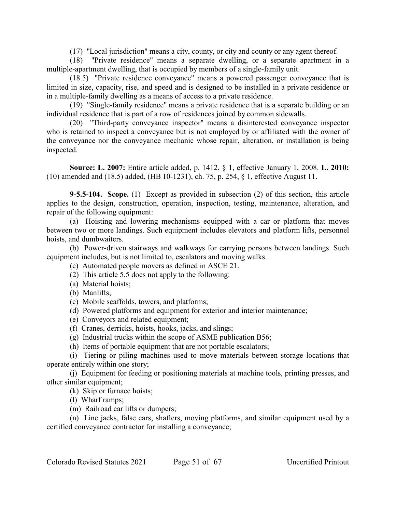(17) "Local jurisdiction" means a city, county, or city and county or any agent thereof.

(18) "Private residence" means a separate dwelling, or a separate apartment in a multiple-apartment dwelling, that is occupied by members of a single-family unit.

(18.5) "Private residence conveyance" means a powered passenger conveyance that is limited in size, capacity, rise, and speed and is designed to be installed in a private residence or in a multiple-family dwelling as a means of access to a private residence.

(19) "Single-family residence" means a private residence that is a separate building or an individual residence that is part of a row of residences joined by common sidewalls.

(20) "Third-party conveyance inspector" means a disinterested conveyance inspector who is retained to inspect a conveyance but is not employed by or affiliated with the owner of the conveyance nor the conveyance mechanic whose repair, alteration, or installation is being inspected.

**Source: L. 2007:** Entire article added, p. 1412, § 1, effective January 1, 2008. **L. 2010:** (10) amended and (18.5) added, (HB 10-1231), ch. 75, p. 254, § 1, effective August 11.

**9-5.5-104. Scope.** (1) Except as provided in subsection (2) of this section, this article applies to the design, construction, operation, inspection, testing, maintenance, alteration, and repair of the following equipment:

(a) Hoisting and lowering mechanisms equipped with a car or platform that moves between two or more landings. Such equipment includes elevators and platform lifts, personnel hoists, and dumbwaiters.

(b) Power-driven stairways and walkways for carrying persons between landings. Such equipment includes, but is not limited to, escalators and moving walks.

(c) Automated people movers as defined in ASCE 21.

(2) This article 5.5 does not apply to the following:

(a) Material hoists;

(b) Manlifts;

(c) Mobile scaffolds, towers, and platforms;

(d) Powered platforms and equipment for exterior and interior maintenance;

(e) Conveyors and related equipment;

(f) Cranes, derricks, hoists, hooks, jacks, and slings;

(g) Industrial trucks within the scope of ASME publication B56;

(h) Items of portable equipment that are not portable escalators;

(i) Tiering or piling machines used to move materials between storage locations that operate entirely within one story;

(j) Equipment for feeding or positioning materials at machine tools, printing presses, and other similar equipment;

(k) Skip or furnace hoists;

(l) Wharf ramps;

(m) Railroad car lifts or dumpers;

(n) Line jacks, false cars, shafters, moving platforms, and similar equipment used by a certified conveyance contractor for installing a conveyance;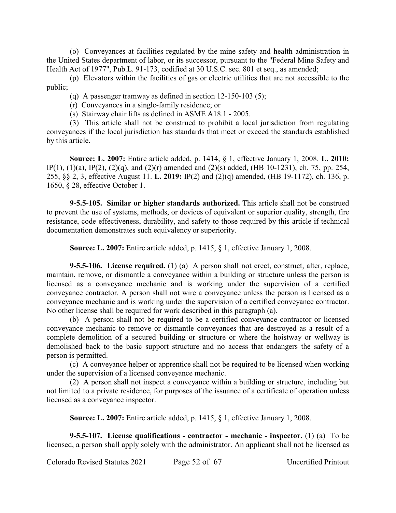(o) Conveyances at facilities regulated by the mine safety and health administration in the United States department of labor, or its successor, pursuant to the "Federal Mine Safety and Health Act of 1977", Pub.L. 91-173, codified at 30 U.S.C. sec. 801 et seq., as amended;

(p) Elevators within the facilities of gas or electric utilities that are not accessible to the public;

(q) A passenger tramway as defined in section 12-150-103 (5);

(r) Conveyances in a single-family residence; or

(s) Stairway chair lifts as defined in ASME A18.1 - 2005.

(3) This article shall not be construed to prohibit a local jurisdiction from regulating conveyances if the local jurisdiction has standards that meet or exceed the standards established by this article.

**Source: L. 2007:** Entire article added, p. 1414, § 1, effective January 1, 2008. **L. 2010:** IP(1), (1)(a), IP(2), (2)(q), and (2)(r) amended and (2)(s) added, (HB 10-1231), ch. 75, pp. 254, 255, §§ 2, 3, effective August 11. **L. 2019:** IP(2) and (2)(q) amended, (HB 19-1172), ch. 136, p. 1650, § 28, effective October 1.

**9-5.5-105. Similar or higher standards authorized.** This article shall not be construed to prevent the use of systems, methods, or devices of equivalent or superior quality, strength, fire resistance, code effectiveness, durability, and safety to those required by this article if technical documentation demonstrates such equivalency or superiority.

**Source: L. 2007:** Entire article added, p. 1415, § 1, effective January 1, 2008.

**9-5.5-106. License required.** (1) (a) A person shall not erect, construct, alter, replace, maintain, remove, or dismantle a conveyance within a building or structure unless the person is licensed as a conveyance mechanic and is working under the supervision of a certified conveyance contractor. A person shall not wire a conveyance unless the person is licensed as a conveyance mechanic and is working under the supervision of a certified conveyance contractor. No other license shall be required for work described in this paragraph (a).

(b) A person shall not be required to be a certified conveyance contractor or licensed conveyance mechanic to remove or dismantle conveyances that are destroyed as a result of a complete demolition of a secured building or structure or where the hoistway or wellway is demolished back to the basic support structure and no access that endangers the safety of a person is permitted.

(c) A conveyance helper or apprentice shall not be required to be licensed when working under the supervision of a licensed conveyance mechanic.

(2) A person shall not inspect a conveyance within a building or structure, including but not limited to a private residence, for purposes of the issuance of a certificate of operation unless licensed as a conveyance inspector.

**Source: L. 2007:** Entire article added, p. 1415, § 1, effective January 1, 2008.

**9-5.5-107. License qualifications - contractor - mechanic - inspector.** (1) (a) To be licensed, a person shall apply solely with the administrator. An applicant shall not be licensed as

Colorado Revised Statutes 2021 Page 52 of 67 Uncertified Printout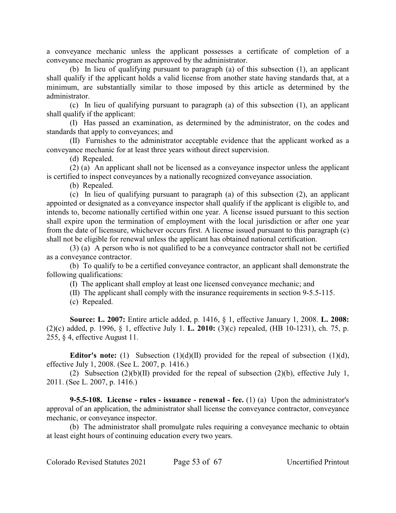a conveyance mechanic unless the applicant possesses a certificate of completion of a conveyance mechanic program as approved by the administrator.

(b) In lieu of qualifying pursuant to paragraph (a) of this subsection (1), an applicant shall qualify if the applicant holds a valid license from another state having standards that, at a minimum, are substantially similar to those imposed by this article as determined by the administrator.

(c) In lieu of qualifying pursuant to paragraph (a) of this subsection (1), an applicant shall qualify if the applicant:

(I) Has passed an examination, as determined by the administrator, on the codes and standards that apply to conveyances; and

(II) Furnishes to the administrator acceptable evidence that the applicant worked as a conveyance mechanic for at least three years without direct supervision.

(d) Repealed.

(2) (a) An applicant shall not be licensed as a conveyance inspector unless the applicant is certified to inspect conveyances by a nationally recognized conveyance association.

(b) Repealed.

(c) In lieu of qualifying pursuant to paragraph (a) of this subsection (2), an applicant appointed or designated as a conveyance inspector shall qualify if the applicant is eligible to, and intends to, become nationally certified within one year. A license issued pursuant to this section shall expire upon the termination of employment with the local jurisdiction or after one year from the date of licensure, whichever occurs first. A license issued pursuant to this paragraph (c) shall not be eligible for renewal unless the applicant has obtained national certification.

(3) (a) A person who is not qualified to be a conveyance contractor shall not be certified as a conveyance contractor.

(b) To qualify to be a certified conveyance contractor, an applicant shall demonstrate the following qualifications:

(I) The applicant shall employ at least one licensed conveyance mechanic; and

(II) The applicant shall comply with the insurance requirements in section 9-5.5-115.

(c) Repealed.

**Source: L. 2007:** Entire article added, p. 1416, § 1, effective January 1, 2008. **L. 2008:** (2)(c) added, p. 1996, § 1, effective July 1. **L. 2010:** (3)(c) repealed, (HB 10-1231), ch. 75, p. 255, § 4, effective August 11.

**Editor's note:** (1) Subsection (1)(d)(II) provided for the repeal of subsection (1)(d), effective July 1, 2008. (See L. 2007, p. 1416.)

(2) Subsection (2)(b)(II) provided for the repeal of subsection (2)(b), effective July 1, 2011. (See L. 2007, p. 1416.)

**9-5.5-108. License - rules - issuance - renewal - fee.** (1) (a) Upon the administrator's approval of an application, the administrator shall license the conveyance contractor, conveyance mechanic, or conveyance inspector.

(b) The administrator shall promulgate rules requiring a conveyance mechanic to obtain at least eight hours of continuing education every two years.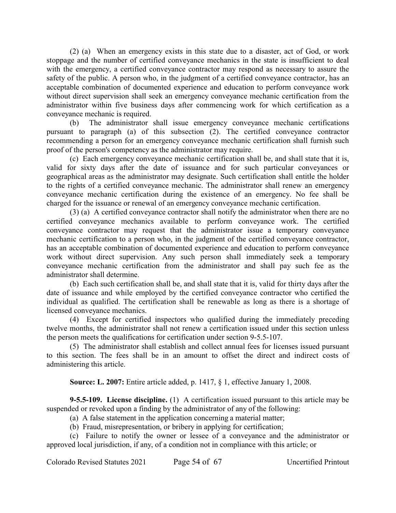(2) (a) When an emergency exists in this state due to a disaster, act of God, or work stoppage and the number of certified conveyance mechanics in the state is insufficient to deal with the emergency, a certified conveyance contractor may respond as necessary to assure the safety of the public. A person who, in the judgment of a certified conveyance contractor, has an acceptable combination of documented experience and education to perform conveyance work without direct supervision shall seek an emergency conveyance mechanic certification from the administrator within five business days after commencing work for which certification as a conveyance mechanic is required.

(b) The administrator shall issue emergency conveyance mechanic certifications pursuant to paragraph (a) of this subsection (2). The certified conveyance contractor recommending a person for an emergency conveyance mechanic certification shall furnish such proof of the person's competency as the administrator may require.

(c) Each emergency conveyance mechanic certification shall be, and shall state that it is, valid for sixty days after the date of issuance and for such particular conveyances or geographical areas as the administrator may designate. Such certification shall entitle the holder to the rights of a certified conveyance mechanic. The administrator shall renew an emergency conveyance mechanic certification during the existence of an emergency. No fee shall be charged for the issuance or renewal of an emergency conveyance mechanic certification.

(3) (a) A certified conveyance contractor shall notify the administrator when there are no certified conveyance mechanics available to perform conveyance work. The certified conveyance contractor may request that the administrator issue a temporary conveyance mechanic certification to a person who, in the judgment of the certified conveyance contractor, has an acceptable combination of documented experience and education to perform conveyance work without direct supervision. Any such person shall immediately seek a temporary conveyance mechanic certification from the administrator and shall pay such fee as the administrator shall determine.

(b) Each such certification shall be, and shall state that it is, valid for thirty days after the date of issuance and while employed by the certified conveyance contractor who certified the individual as qualified. The certification shall be renewable as long as there is a shortage of licensed conveyance mechanics.

(4) Except for certified inspectors who qualified during the immediately preceding twelve months, the administrator shall not renew a certification issued under this section unless the person meets the qualifications for certification under section 9-5.5-107.

(5) The administrator shall establish and collect annual fees for licenses issued pursuant to this section. The fees shall be in an amount to offset the direct and indirect costs of administering this article.

**Source: L. 2007:** Entire article added, p. 1417, § 1, effective January 1, 2008.

**9-5.5-109. License discipline.** (1) A certification issued pursuant to this article may be suspended or revoked upon a finding by the administrator of any of the following:

(a) A false statement in the application concerning a material matter;

(b) Fraud, misrepresentation, or bribery in applying for certification;

(c) Failure to notify the owner or lessee of a conveyance and the administrator or approved local jurisdiction, if any, of a condition not in compliance with this article; or

Colorado Revised Statutes 2021 Page 54 of 67 Uncertified Printout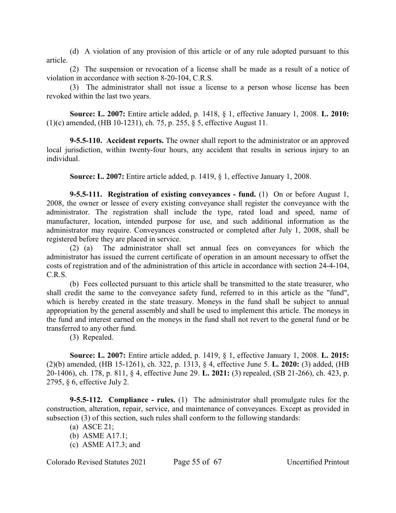(d) A violation of any provision of this article or of any rule adopted pursuant to this article.

(2) The suspension or revocation of a license shall be made as a result of a notice of violation in accordance with section 8-20-104, C.R.S.

(3) The administrator shall not issue a license to a person whose license has been revoked within the last two years.

**Source: L. 2007:** Entire article added, p. 1418, § 1, effective January 1, 2008. **L. 2010:** (1)(c) amended, (HB 10-1231), ch. 75, p. 255, § 5, effective August 11.

**9-5.5-110. Accident reports.** The owner shall report to the administrator or an approved local jurisdiction, within twenty-four hours, any accident that results in serious injury to an individual.

**Source: L. 2007:** Entire article added, p. 1419, § 1, effective January 1, 2008.

**9-5.5-111. Registration of existing conveyances - fund.** (1) On or before August 1, 2008, the owner or lessee of every existing conveyance shall register the conveyance with the administrator. The registration shall include the type, rated load and speed, name of manufacturer, location, intended purpose for use, and such additional information as the administrator may require. Conveyances constructed or completed after July 1, 2008, shall be registered before they are placed in service.

(2) (a) The administrator shall set annual fees on conveyances for which the administrator has issued the current certificate of operation in an amount necessary to offset the costs of registration and of the administration of this article in accordance with section 24-4-104, C.R.S.

(b) Fees collected pursuant to this article shall be transmitted to the state treasurer, who shall credit the same to the conveyance safety fund, referred to in this article as the "fund", which is hereby created in the state treasury. Moneys in the fund shall be subject to annual appropriation by the general assembly and shall be used to implement this article. The moneys in the fund and interest earned on the moneys in the fund shall not revert to the general fund or be transferred to any other fund.

(3) Repealed.

**Source: L. 2007:** Entire article added, p. 1419, § 1, effective January 1, 2008. **L. 2015:** (2)(b) amended, (HB 15-1261), ch. 322, p. 1313, § 4, effective June 5. **L. 2020:** (3) added, (HB 20-1406), ch. 178, p. 811, § 4, effective June 29. **L. 2021:** (3) repealed, (SB 21-266), ch. 423, p. 2795, § 6, effective July 2.

**9-5.5-112. Compliance - rules.** (1) The administrator shall promulgate rules for the construction, alteration, repair, service, and maintenance of conveyances. Except as provided in subsection (3) of this section, such rules shall conform to the following standards:

(c) ASME A17.3; and

Colorado Revised Statutes 2021 Page 55 of 67 Uncertified Printout

<sup>(</sup>a) ASCE 21;

<sup>(</sup>b) ASME A17.1;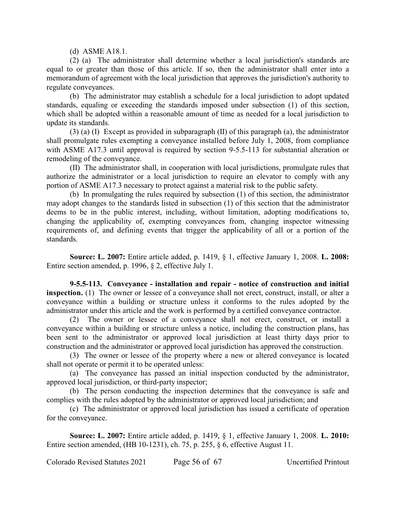(d) ASME A18.1.

(2) (a) The administrator shall determine whether a local jurisdiction's standards are equal to or greater than those of this article. If so, then the administrator shall enter into a memorandum of agreement with the local jurisdiction that approves the jurisdiction's authority to regulate conveyances.

(b) The administrator may establish a schedule for a local jurisdiction to adopt updated standards, equaling or exceeding the standards imposed under subsection (1) of this section, which shall be adopted within a reasonable amount of time as needed for a local jurisdiction to update its standards.

(3) (a) (I) Except as provided in subparagraph (II) of this paragraph (a), the administrator shall promulgate rules exempting a conveyance installed before July 1, 2008, from compliance with ASME A17.3 until approval is required by section 9-5.5-113 for substantial alteration or remodeling of the conveyance.

(II) The administrator shall, in cooperation with local jurisdictions, promulgate rules that authorize the administrator or a local jurisdiction to require an elevator to comply with any portion of ASME A17.3 necessary to protect against a material risk to the public safety.

(b) In promulgating the rules required by subsection (1) of this section, the administrator may adopt changes to the standards listed in subsection (1) of this section that the administrator deems to be in the public interest, including, without limitation, adopting modifications to, changing the applicability of, exempting conveyances from, changing inspector witnessing requirements of, and defining events that trigger the applicability of all or a portion of the standards.

**Source: L. 2007:** Entire article added, p. 1419, § 1, effective January 1, 2008. **L. 2008:** Entire section amended, p. 1996, § 2, effective July 1.

**9-5.5-113. Conveyance - installation and repair - notice of construction and initial inspection.** (1) The owner or lessee of a conveyance shall not erect, construct, install, or alter a conveyance within a building or structure unless it conforms to the rules adopted by the administrator under this article and the work is performed by a certified conveyance contractor.

(2) The owner or lessee of a conveyance shall not erect, construct, or install a conveyance within a building or structure unless a notice, including the construction plans, has been sent to the administrator or approved local jurisdiction at least thirty days prior to construction and the administrator or approved local jurisdiction has approved the construction.

(3) The owner or lessee of the property where a new or altered conveyance is located shall not operate or permit it to be operated unless:

(a) The conveyance has passed an initial inspection conducted by the administrator, approved local jurisdiction, or third-party inspector;

(b) The person conducting the inspection determines that the conveyance is safe and complies with the rules adopted by the administrator or approved local jurisdiction; and

(c) The administrator or approved local jurisdiction has issued a certificate of operation for the conveyance.

**Source: L. 2007:** Entire article added, p. 1419, § 1, effective January 1, 2008. **L. 2010:** Entire section amended, (HB 10-1231), ch. 75, p. 255, § 6, effective August 11.

Colorado Revised Statutes 2021 Page 56 of 67 Uncertified Printout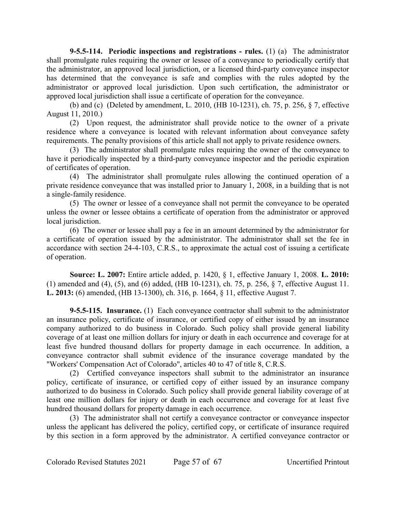**9-5.5-114. Periodic inspections and registrations - rules.** (1) (a) The administrator shall promulgate rules requiring the owner or lessee of a conveyance to periodically certify that the administrator, an approved local jurisdiction, or a licensed third-party conveyance inspector has determined that the conveyance is safe and complies with the rules adopted by the administrator or approved local jurisdiction. Upon such certification, the administrator or approved local jurisdiction shall issue a certificate of operation for the conveyance.

(b) and (c) (Deleted by amendment, L. 2010, (HB 10-1231), ch. 75, p. 256, § 7, effective August 11, 2010.)

(2) Upon request, the administrator shall provide notice to the owner of a private residence where a conveyance is located with relevant information about conveyance safety requirements. The penalty provisions of this article shall not apply to private residence owners.

(3) The administrator shall promulgate rules requiring the owner of the conveyance to have it periodically inspected by a third-party conveyance inspector and the periodic expiration of certificates of operation.

(4) The administrator shall promulgate rules allowing the continued operation of a private residence conveyance that was installed prior to January 1, 2008, in a building that is not a single-family residence.

(5) The owner or lessee of a conveyance shall not permit the conveyance to be operated unless the owner or lessee obtains a certificate of operation from the administrator or approved local jurisdiction.

(6) The owner or lessee shall pay a fee in an amount determined by the administrator for a certificate of operation issued by the administrator. The administrator shall set the fee in accordance with section 24-4-103, C.R.S., to approximate the actual cost of issuing a certificate of operation.

**Source: L. 2007:** Entire article added, p. 1420, § 1, effective January 1, 2008. **L. 2010:** (1) amended and (4), (5), and (6) added, (HB 10-1231), ch. 75, p. 256, § 7, effective August 11. **L. 2013:** (6) amended, (HB 13-1300), ch. 316, p. 1664, § 11, effective August 7.

**9-5.5-115. Insurance.** (1) Each conveyance contractor shall submit to the administrator an insurance policy, certificate of insurance, or certified copy of either issued by an insurance company authorized to do business in Colorado. Such policy shall provide general liability coverage of at least one million dollars for injury or death in each occurrence and coverage for at least five hundred thousand dollars for property damage in each occurrence. In addition, a conveyance contractor shall submit evidence of the insurance coverage mandated by the "Workers' Compensation Act of Colorado", articles 40 to 47 of title 8, C.R.S.

(2) Certified conveyance inspectors shall submit to the administrator an insurance policy, certificate of insurance, or certified copy of either issued by an insurance company authorized to do business in Colorado. Such policy shall provide general liability coverage of at least one million dollars for injury or death in each occurrence and coverage for at least five hundred thousand dollars for property damage in each occurrence.

(3) The administrator shall not certify a conveyance contractor or conveyance inspector unless the applicant has delivered the policy, certified copy, or certificate of insurance required by this section in a form approved by the administrator. A certified conveyance contractor or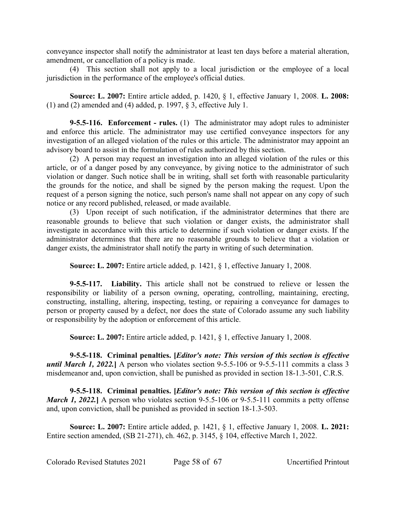conveyance inspector shall notify the administrator at least ten days before a material alteration, amendment, or cancellation of a policy is made.

(4) This section shall not apply to a local jurisdiction or the employee of a local jurisdiction in the performance of the employee's official duties.

**Source: L. 2007:** Entire article added, p. 1420, § 1, effective January 1, 2008. **L. 2008:** (1) and (2) amended and (4) added, p. 1997, § 3, effective July 1.

**9-5.5-116. Enforcement - rules.** (1) The administrator may adopt rules to administer and enforce this article. The administrator may use certified conveyance inspectors for any investigation of an alleged violation of the rules or this article. The administrator may appoint an advisory board to assist in the formulation of rules authorized by this section.

(2) A person may request an investigation into an alleged violation of the rules or this article, or of a danger posed by any conveyance, by giving notice to the administrator of such violation or danger. Such notice shall be in writing, shall set forth with reasonable particularity the grounds for the notice, and shall be signed by the person making the request. Upon the request of a person signing the notice, such person's name shall not appear on any copy of such notice or any record published, released, or made available.

(3) Upon receipt of such notification, if the administrator determines that there are reasonable grounds to believe that such violation or danger exists, the administrator shall investigate in accordance with this article to determine if such violation or danger exists. If the administrator determines that there are no reasonable grounds to believe that a violation or danger exists, the administrator shall notify the party in writing of such determination.

**Source: L. 2007:** Entire article added, p. 1421, § 1, effective January 1, 2008.

**9-5.5-117. Liability.** This article shall not be construed to relieve or lessen the responsibility or liability of a person owning, operating, controlling, maintaining, erecting, constructing, installing, altering, inspecting, testing, or repairing a conveyance for damages to person or property caused by a defect, nor does the state of Colorado assume any such liability or responsibility by the adoption or enforcement of this article.

**Source: L. 2007:** Entire article added, p. 1421, § 1, effective January 1, 2008.

**9-5.5-118. Criminal penalties. [***Editor's note: This version of this section is effective until March 1, 2022.* A person who violates section 9-5.5-106 or 9-5.5-111 commits a class 3 misdemeanor and, upon conviction, shall be punished as provided in section 18-1.3-501, C.R.S.

**9-5.5-118. Criminal penalties. [***Editor's note: This version of this section is effective March 1, 2022.* A person who violates section 9-5.5-106 or 9-5.5-111 commits a petty offense and, upon conviction, shall be punished as provided in section 18-1.3-503.

**Source: L. 2007:** Entire article added, p. 1421, § 1, effective January 1, 2008. **L. 2021:** Entire section amended, (SB 21-271), ch. 462, p. 3145, § 104, effective March 1, 2022.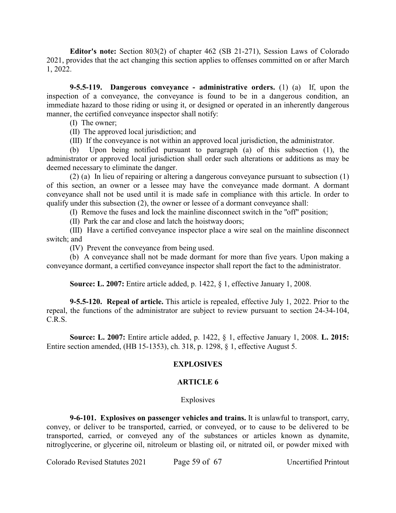**Editor's note:** Section 803(2) of chapter 462 (SB 21-271), Session Laws of Colorado 2021, provides that the act changing this section applies to offenses committed on or after March 1, 2022.

**9-5.5-119. Dangerous conveyance - administrative orders.** (1) (a) If, upon the inspection of a conveyance, the conveyance is found to be in a dangerous condition, an immediate hazard to those riding or using it, or designed or operated in an inherently dangerous manner, the certified conveyance inspector shall notify:

(I) The owner;

(II) The approved local jurisdiction; and

(III) If the conveyance is not within an approved local jurisdiction, the administrator.

(b) Upon being notified pursuant to paragraph (a) of this subsection (1), the administrator or approved local jurisdiction shall order such alterations or additions as may be deemed necessary to eliminate the danger.

(2) (a) In lieu of repairing or altering a dangerous conveyance pursuant to subsection (1) of this section, an owner or a lessee may have the conveyance made dormant. A dormant conveyance shall not be used until it is made safe in compliance with this article. In order to qualify under this subsection (2), the owner or lessee of a dormant conveyance shall:

(I) Remove the fuses and lock the mainline disconnect switch in the "off" position;

(II) Park the car and close and latch the hoistway doors;

(III) Have a certified conveyance inspector place a wire seal on the mainline disconnect switch; and

(IV) Prevent the conveyance from being used.

(b) A conveyance shall not be made dormant for more than five years. Upon making a conveyance dormant, a certified conveyance inspector shall report the fact to the administrator.

**Source: L. 2007:** Entire article added, p. 1422, § 1, effective January 1, 2008.

**9-5.5-120. Repeal of article.** This article is repealed, effective July 1, 2022. Prior to the repeal, the functions of the administrator are subject to review pursuant to section 24-34-104, C.R.S.

**Source: L. 2007:** Entire article added, p. 1422, § 1, effective January 1, 2008. **L. 2015:** Entire section amended, (HB 15-1353), ch. 318, p. 1298, § 1, effective August 5.

# **EXPLOSIVES**

# **ARTICLE 6**

#### **Explosives**

**9-6-101. Explosives on passenger vehicles and trains.** It is unlawful to transport, carry, convey, or deliver to be transported, carried, or conveyed, or to cause to be delivered to be transported, carried, or conveyed any of the substances or articles known as dynamite, nitroglycerine, or glycerine oil, nitroleum or blasting oil, or nitrated oil, or powder mixed with

Colorado Revised Statutes 2021 Page 59 of 67 Uncertified Printout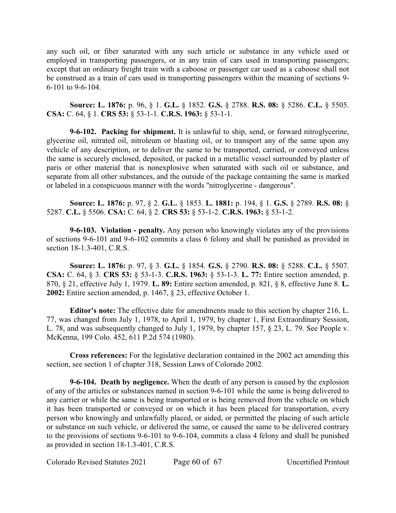any such oil, or fiber saturated with any such article or substance in any vehicle used or employed in transporting passengers, or in any train of cars used in transporting passengers; except that an ordinary freight train with a caboose or passenger car used as a caboose shall not be construed as a train of cars used in transporting passengers within the meaning of sections 9- 6-101 to 9-6-104.

**Source: L. 1876:** p. 96, § 1. **G.L.** § 1852. **G.S.** § 2788. **R.S. 08:** § 5286. **C.L.** § 5505. **CSA:** C. 64, § 1. **CRS 53:** § 53-1-1. **C.R.S. 1963:** § 53-1-1.

**9-6-102. Packing for shipment.** It is unlawful to ship, send, or forward nitroglycerine, glycerine oil, nitrated oil, nitroleum or blasting oil, or to transport any of the same upon any vehicle of any description, or to deliver the same to be transported, carried, or conveyed unless the same is securely enclosed, deposited, or packed in a metallic vessel surrounded by plaster of paris or other material that is nonexplosive when saturated with such oil or substance, and separate from all other substances, and the outside of the package containing the same is marked or labeled in a conspicuous manner with the words "nitroglycerine - dangerous".

**Source: L. 1876:** p. 97, § 2. **G.L.** § 1853. **L. 1881:** p. 194, § 1. **G.S.** § 2789. **R.S. 08:** § 5287. **C.L.** § 5506. **CSA:** C. 64, § 2. **CRS 53:** § 53-1-2. **C.R.S. 1963:** § 53-1-2.

**9-6-103. Violation - penalty.** Any person who knowingly violates any of the provisions of sections 9-6-101 and 9-6-102 commits a class 6 felony and shall be punished as provided in section 18-1.3-401, C.R.S.

**Source: L. 1876:** p. 97, § 3. **G.L.** § 1854. **G.S.** § 2790. **R.S. 08:** § 5288. **C.L.** § 5507. **CSA:** C. 64, § 3. **CRS 53:** § 53-1-3. **C.R.S. 1963:** § 53-1-3. **L. 77:** Entire section amended, p. 870, § 21, effective July 1, 1979. **L. 89:** Entire section amended, p. 821, § 8, effective June 8. **L. 2002:** Entire section amended, p. 1467, § 23, effective October 1.

**Editor's note:** The effective date for amendments made to this section by chapter 216, L. 77, was changed from July 1, 1978, to April 1, 1979, by chapter 1, First Extraordinary Session, L. 78, and was subsequently changed to July 1, 1979, by chapter 157, § 23, L. 79. See People v. McKenna, 199 Colo. 452, 611 P.2d 574 (1980).

**Cross references:** For the legislative declaration contained in the 2002 act amending this section, see section 1 of chapter 318, Session Laws of Colorado 2002.

**9-6-104. Death by negligence.** When the death of any person is caused by the explosion of any of the articles or substances named in section 9-6-101 while the same is being delivered to any carrier or while the same is being transported or is being removed from the vehicle on which it has been transported or conveyed or on which it has been placed for transportation, every person who knowingly and unlawfully placed, or aided, or permitted the placing of such article or substance on such vehicle, or delivered the same, or caused the same to be delivered contrary to the provisions of sections 9-6-101 to 9-6-104, commits a class 4 felony and shall be punished as provided in section 18-1.3-401, C.R.S.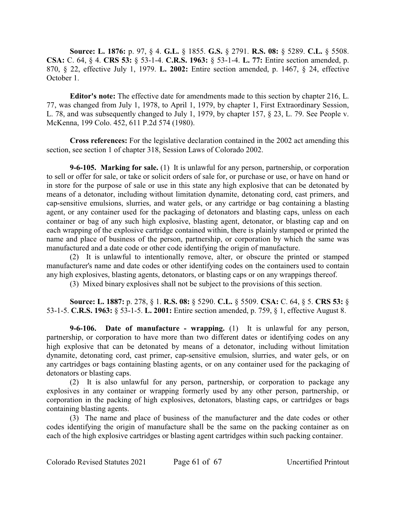**Source: L. 1876:** p. 97, § 4. **G.L.** § 1855. **G.S.** § 2791. **R.S. 08:** § 5289. **C.L.** § 5508. **CSA:** C. 64, § 4. **CRS 53:** § 53-1-4. **C.R.S. 1963:** § 53-1-4. **L. 77:** Entire section amended, p. 870, § 22, effective July 1, 1979. **L. 2002:** Entire section amended, p. 1467, § 24, effective October 1.

**Editor's note:** The effective date for amendments made to this section by chapter 216, L. 77, was changed from July 1, 1978, to April 1, 1979, by chapter 1, First Extraordinary Session, L. 78, and was subsequently changed to July 1, 1979, by chapter 157, § 23, L. 79. See People v. McKenna, 199 Colo. 452, 611 P.2d 574 (1980).

**Cross references:** For the legislative declaration contained in the 2002 act amending this section, see section 1 of chapter 318, Session Laws of Colorado 2002.

**9-6-105. Marking for sale.** (1) It is unlawful for any person, partnership, or corporation to sell or offer for sale, or take or solicit orders of sale for, or purchase or use, or have on hand or in store for the purpose of sale or use in this state any high explosive that can be detonated by means of a detonator, including without limitation dynamite, detonating cord, cast primers, and cap-sensitive emulsions, slurries, and water gels, or any cartridge or bag containing a blasting agent, or any container used for the packaging of detonators and blasting caps, unless on each container or bag of any such high explosive, blasting agent, detonator, or blasting cap and on each wrapping of the explosive cartridge contained within, there is plainly stamped or printed the name and place of business of the person, partnership, or corporation by which the same was manufactured and a date code or other code identifying the origin of manufacture.

(2) It is unlawful to intentionally remove, alter, or obscure the printed or stamped manufacturer's name and date codes or other identifying codes on the containers used to contain any high explosives, blasting agents, detonators, or blasting caps or on any wrappings thereof.

(3) Mixed binary explosives shall not be subject to the provisions of this section.

**Source: L. 1887:** p. 278, § 1. **R.S. 08:** § 5290. **C.L.** § 5509. **CSA:** C. 64, § 5. **CRS 53:** § 53-1-5. **C.R.S. 1963:** § 53-1-5. **L. 2001:** Entire section amended, p. 759, § 1, effective August 8.

**9-6-106. Date of manufacture - wrapping.** (1) It is unlawful for any person, partnership, or corporation to have more than two different dates or identifying codes on any high explosive that can be detonated by means of a detonator, including without limitation dynamite, detonating cord, cast primer, cap-sensitive emulsion, slurries, and water gels, or on any cartridges or bags containing blasting agents, or on any container used for the packaging of detonators or blasting caps.

(2) It is also unlawful for any person, partnership, or corporation to package any explosives in any container or wrapping formerly used by any other person, partnership, or corporation in the packing of high explosives, detonators, blasting caps, or cartridges or bags containing blasting agents.

(3) The name and place of business of the manufacturer and the date codes or other codes identifying the origin of manufacture shall be the same on the packing container as on each of the high explosive cartridges or blasting agent cartridges within such packing container.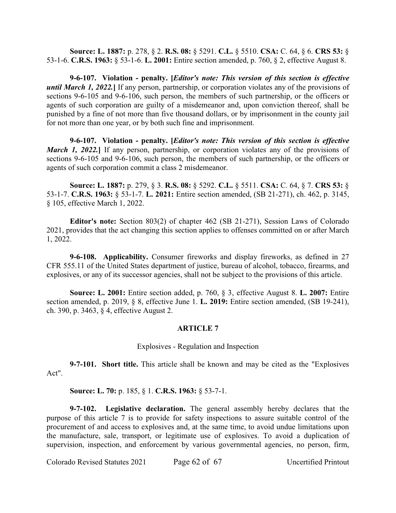**Source: L. 1887:** p. 278, § 2. **R.S. 08:** § 5291. **C.L.** § 5510. **CSA:** C. 64, § 6. **CRS 53:** § 53-1-6. **C.R.S. 1963:** § 53-1-6. **L. 2001:** Entire section amended, p. 760, § 2, effective August 8.

**9-6-107. Violation - penalty. [***Editor's note: This version of this section is effective until March 1, 2022.***]** If any person, partnership, or corporation violates any of the provisions of sections 9-6-105 and 9-6-106, such person, the members of such partnership, or the officers or agents of such corporation are guilty of a misdemeanor and, upon conviction thereof, shall be punished by a fine of not more than five thousand dollars, or by imprisonment in the county jail for not more than one year, or by both such fine and imprisonment.

**9-6-107. Violation - penalty. [***Editor's note: This version of this section is effective March 1, 2022.* If any person, partnership, or corporation violates any of the provisions of sections 9-6-105 and 9-6-106, such person, the members of such partnership, or the officers or agents of such corporation commit a class 2 misdemeanor.

**Source: L. 1887:** p. 279, § 3. **R.S. 08:** § 5292. **C.L.** § 5511. **CSA:** C. 64, § 7. **CRS 53:** § 53-1-7. **C.R.S. 1963:** § 53-1-7. **L. 2021:** Entire section amended, (SB 21-271), ch. 462, p. 3145, § 105, effective March 1, 2022.

**Editor's note:** Section 803(2) of chapter 462 (SB 21-271), Session Laws of Colorado 2021, provides that the act changing this section applies to offenses committed on or after March 1, 2022.

**9-6-108. Applicability.** Consumer fireworks and display fireworks, as defined in 27 CFR 555.11 of the United States department of justice, bureau of alcohol, tobacco, firearms, and explosives, or any of its successor agencies, shall not be subject to the provisions of this article.

**Source: L. 2001:** Entire section added, p. 760, § 3, effective August 8. **L. 2007:** Entire section amended, p. 2019, § 8, effective June 1. **L. 2019:** Entire section amended, (SB 19-241), ch. 390, p. 3463, § 4, effective August 2.

# **ARTICLE 7**

#### Explosives - Regulation and Inspection

**9-7-101. Short title.** This article shall be known and may be cited as the "Explosives Act".

**Source: L. 70:** p. 185, § 1. **C.R.S. 1963:** § 53-7-1.

**9-7-102. Legislative declaration.** The general assembly hereby declares that the purpose of this article 7 is to provide for safety inspections to assure suitable control of the procurement of and access to explosives and, at the same time, to avoid undue limitations upon the manufacture, sale, transport, or legitimate use of explosives. To avoid a duplication of supervision, inspection, and enforcement by various governmental agencies, no person, firm,

Colorado Revised Statutes 2021 Page 62 of 67 Uncertified Printout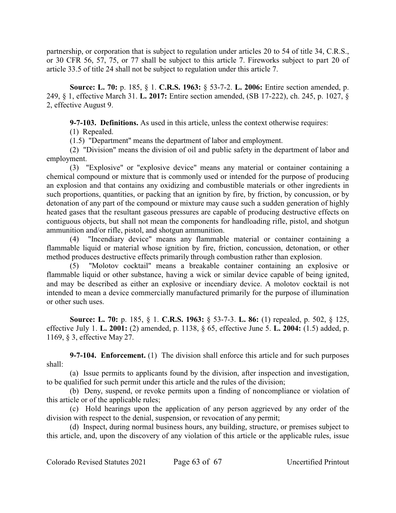partnership, or corporation that is subject to regulation under articles 20 to 54 of title 34, C.R.S., or 30 CFR 56, 57, 75, or 77 shall be subject to this article 7. Fireworks subject to part 20 of article 33.5 of title 24 shall not be subject to regulation under this article 7.

**Source: L. 70:** p. 185, § 1. **C.R.S. 1963:** § 53-7-2. **L. 2006:** Entire section amended, p. 249, § 1, effective March 31. **L. 2017:** Entire section amended, (SB 17-222), ch. 245, p. 1027, § 2, effective August 9.

**9-7-103. Definitions.** As used in this article, unless the context otherwise requires:

(1) Repealed.

(1.5) "Department" means the department of labor and employment.

(2) "Division" means the division of oil and public safety in the department of labor and employment.

(3) "Explosive" or "explosive device" means any material or container containing a chemical compound or mixture that is commonly used or intended for the purpose of producing an explosion and that contains any oxidizing and combustible materials or other ingredients in such proportions, quantities, or packing that an ignition by fire, by friction, by concussion, or by detonation of any part of the compound or mixture may cause such a sudden generation of highly heated gases that the resultant gaseous pressures are capable of producing destructive effects on contiguous objects, but shall not mean the components for handloading rifle, pistol, and shotgun ammunition and/or rifle, pistol, and shotgun ammunition.

(4) "Incendiary device" means any flammable material or container containing a flammable liquid or material whose ignition by fire, friction, concussion, detonation, or other method produces destructive effects primarily through combustion rather than explosion.

(5) "Molotov cocktail" means a breakable container containing an explosive or flammable liquid or other substance, having a wick or similar device capable of being ignited, and may be described as either an explosive or incendiary device. A molotov cocktail is not intended to mean a device commercially manufactured primarily for the purpose of illumination or other such uses.

**Source: L. 70:** p. 185, § 1. **C.R.S. 1963:** § 53-7-3. **L. 86:** (1) repealed, p. 502, § 125, effective July 1. **L. 2001:** (2) amended, p. 1138, § 65, effective June 5. **L. 2004:** (1.5) added, p. 1169, § 3, effective May 27.

**9-7-104. Enforcement.** (1) The division shall enforce this article and for such purposes shall:

(a) Issue permits to applicants found by the division, after inspection and investigation, to be qualified for such permit under this article and the rules of the division;

(b) Deny, suspend, or revoke permits upon a finding of noncompliance or violation of this article or of the applicable rules;

(c) Hold hearings upon the application of any person aggrieved by any order of the division with respect to the denial, suspension, or revocation of any permit;

(d) Inspect, during normal business hours, any building, structure, or premises subject to this article, and, upon the discovery of any violation of this article or the applicable rules, issue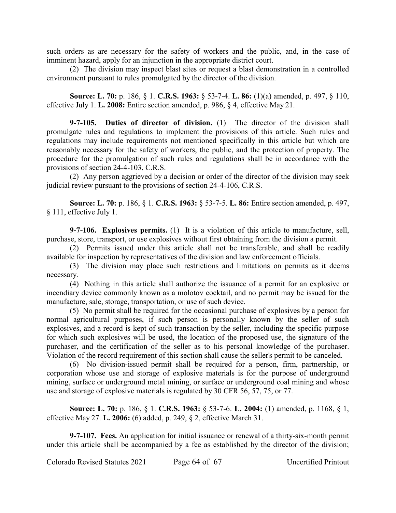such orders as are necessary for the safety of workers and the public, and, in the case of imminent hazard, apply for an injunction in the appropriate district court.

(2) The division may inspect blast sites or request a blast demonstration in a controlled environment pursuant to rules promulgated by the director of the division.

**Source: L. 70:** p. 186, § 1. **C.R.S. 1963:** § 53-7-4. **L. 86:** (1)(a) amended, p. 497, § 110, effective July 1. **L. 2008:** Entire section amended, p. 986, § 4, effective May 21.

**9-7-105. Duties of director of division.** (1) The director of the division shall promulgate rules and regulations to implement the provisions of this article. Such rules and regulations may include requirements not mentioned specifically in this article but which are reasonably necessary for the safety of workers, the public, and the protection of property. The procedure for the promulgation of such rules and regulations shall be in accordance with the provisions of section 24-4-103, C.R.S.

(2) Any person aggrieved by a decision or order of the director of the division may seek judicial review pursuant to the provisions of section 24-4-106, C.R.S.

**Source: L. 70:** p. 186, § 1. **C.R.S. 1963:** § 53-7-5. **L. 86:** Entire section amended, p. 497, § 111, effective July 1.

**9-7-106. Explosives permits.** (1) It is a violation of this article to manufacture, sell, purchase, store, transport, or use explosives without first obtaining from the division a permit.

(2) Permits issued under this article shall not be transferable, and shall be readily available for inspection by representatives of the division and law enforcement officials.

(3) The division may place such restrictions and limitations on permits as it deems necessary.

(4) Nothing in this article shall authorize the issuance of a permit for an explosive or incendiary device commonly known as a molotov cocktail, and no permit may be issued for the manufacture, sale, storage, transportation, or use of such device.

(5) No permit shall be required for the occasional purchase of explosives by a person for normal agricultural purposes, if such person is personally known by the seller of such explosives, and a record is kept of such transaction by the seller, including the specific purpose for which such explosives will be used, the location of the proposed use, the signature of the purchaser, and the certification of the seller as to his personal knowledge of the purchaser. Violation of the record requirement of this section shall cause the seller's permit to be canceled.

(6) No division-issued permit shall be required for a person, firm, partnership, or corporation whose use and storage of explosive materials is for the purpose of underground mining, surface or underground metal mining, or surface or underground coal mining and whose use and storage of explosive materials is regulated by 30 CFR 56, 57, 75, or 77.

**Source: L. 70:** p. 186, § 1. **C.R.S. 1963:** § 53-7-6. **L. 2004:** (1) amended, p. 1168, § 1, effective May 27. **L. 2006:** (6) added, p. 249, § 2, effective March 31.

**9-7-107. Fees.** An application for initial issuance or renewal of a thirty-six-month permit under this article shall be accompanied by a fee as established by the director of the division;

Colorado Revised Statutes 2021 Page 64 of 67 Uncertified Printout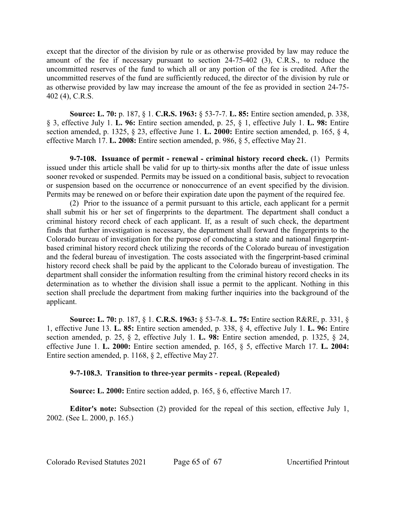except that the director of the division by rule or as otherwise provided by law may reduce the amount of the fee if necessary pursuant to section 24-75-402 (3), C.R.S., to reduce the uncommitted reserves of the fund to which all or any portion of the fee is credited. After the uncommitted reserves of the fund are sufficiently reduced, the director of the division by rule or as otherwise provided by law may increase the amount of the fee as provided in section 24-75- 402 (4), C.R.S.

**Source: L. 70:** p. 187, § 1. **C.R.S. 1963:** § 53-7-7. **L. 85:** Entire section amended, p. 338, § 3, effective July 1. **L. 96:** Entire section amended, p. 25, § 1, effective July 1. **L. 98:** Entire section amended, p. 1325, § 23, effective June 1. **L. 2000:** Entire section amended, p. 165, § 4, effective March 17. **L. 2008:** Entire section amended, p. 986, § 5, effective May 21.

**9-7-108. Issuance of permit - renewal - criminal history record check.** (1) Permits issued under this article shall be valid for up to thirty-six months after the date of issue unless sooner revoked or suspended. Permits may be issued on a conditional basis, subject to revocation or suspension based on the occurrence or nonoccurrence of an event specified by the division. Permits may be renewed on or before their expiration date upon the payment of the required fee.

(2) Prior to the issuance of a permit pursuant to this article, each applicant for a permit shall submit his or her set of fingerprints to the department. The department shall conduct a criminal history record check of each applicant. If, as a result of such check, the department finds that further investigation is necessary, the department shall forward the fingerprints to the Colorado bureau of investigation for the purpose of conducting a state and national fingerprintbased criminal history record check utilizing the records of the Colorado bureau of investigation and the federal bureau of investigation. The costs associated with the fingerprint-based criminal history record check shall be paid by the applicant to the Colorado bureau of investigation. The department shall consider the information resulting from the criminal history record checks in its determination as to whether the division shall issue a permit to the applicant. Nothing in this section shall preclude the department from making further inquiries into the background of the applicant.

**Source: L. 70:** p. 187, § 1. **C.R.S. 1963:** § 53-7-8. **L. 75:** Entire section R&RE, p. 331, § 1, effective June 13. **L. 85:** Entire section amended, p. 338, § 4, effective July 1. **L. 96:** Entire section amended, p. 25, § 2, effective July 1. **L. 98:** Entire section amended, p. 1325, § 24, effective June 1. **L. 2000:** Entire section amended, p. 165, § 5, effective March 17. **L. 2004:** Entire section amended, p. 1168, § 2, effective May 27.

# **9-7-108.3. Transition to three-year permits - repeal. (Repealed)**

**Source: L. 2000:** Entire section added, p. 165, § 6, effective March 17.

**Editor's note:** Subsection (2) provided for the repeal of this section, effective July 1, 2002. (See L. 2000, p. 165.)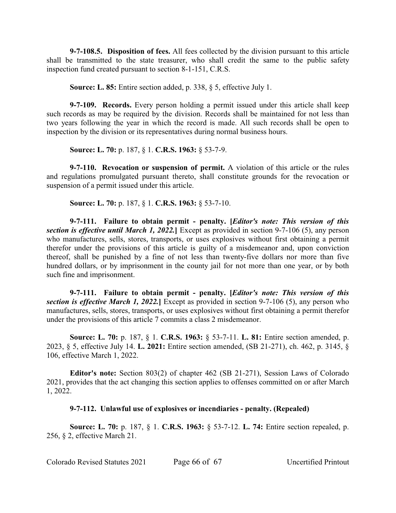**9-7-108.5. Disposition of fees.** All fees collected by the division pursuant to this article shall be transmitted to the state treasurer, who shall credit the same to the public safety inspection fund created pursuant to section 8-1-151, C.R.S.

**Source: L. 85:** Entire section added, p. 338, § 5, effective July 1.

**9-7-109. Records.** Every person holding a permit issued under this article shall keep such records as may be required by the division. Records shall be maintained for not less than two years following the year in which the record is made. All such records shall be open to inspection by the division or its representatives during normal business hours.

**Source: L. 70:** p. 187, § 1. **C.R.S. 1963:** § 53-7-9.

**9-7-110. Revocation or suspension of permit.** A violation of this article or the rules and regulations promulgated pursuant thereto, shall constitute grounds for the revocation or suspension of a permit issued under this article.

**Source: L. 70:** p. 187, § 1. **C.R.S. 1963:** § 53-7-10.

**9-7-111. Failure to obtain permit - penalty. [***Editor's note: This version of this section is effective until March 1, 2022.***]** Except as provided in section 9-7-106 (5), any person who manufactures, sells, stores, transports, or uses explosives without first obtaining a permit therefor under the provisions of this article is guilty of a misdemeanor and, upon conviction thereof, shall be punished by a fine of not less than twenty-five dollars nor more than five hundred dollars, or by imprisonment in the county jail for not more than one year, or by both such fine and imprisonment.

**9-7-111. Failure to obtain permit - penalty. [***Editor's note: This version of this section is effective March 1, 2022.***]** Except as provided in section 9-7-106 (5), any person who manufactures, sells, stores, transports, or uses explosives without first obtaining a permit therefor under the provisions of this article 7 commits a class 2 misdemeanor.

**Source: L. 70:** p. 187, § 1. **C.R.S. 1963:** § 53-7-11. **L. 81:** Entire section amended, p. 2023, § 5, effective July 14. **L. 2021:** Entire section amended, (SB 21-271), ch. 462, p. 3145, § 106, effective March 1, 2022.

**Editor's note:** Section 803(2) of chapter 462 (SB 21-271), Session Laws of Colorado 2021, provides that the act changing this section applies to offenses committed on or after March 1, 2022.

# **9-7-112. Unlawful use of explosives or incendiaries - penalty. (Repealed)**

**Source: L. 70:** p. 187, § 1. **C.R.S. 1963:** § 53-7-12. **L. 74:** Entire section repealed, p. 256, § 2, effective March 21.